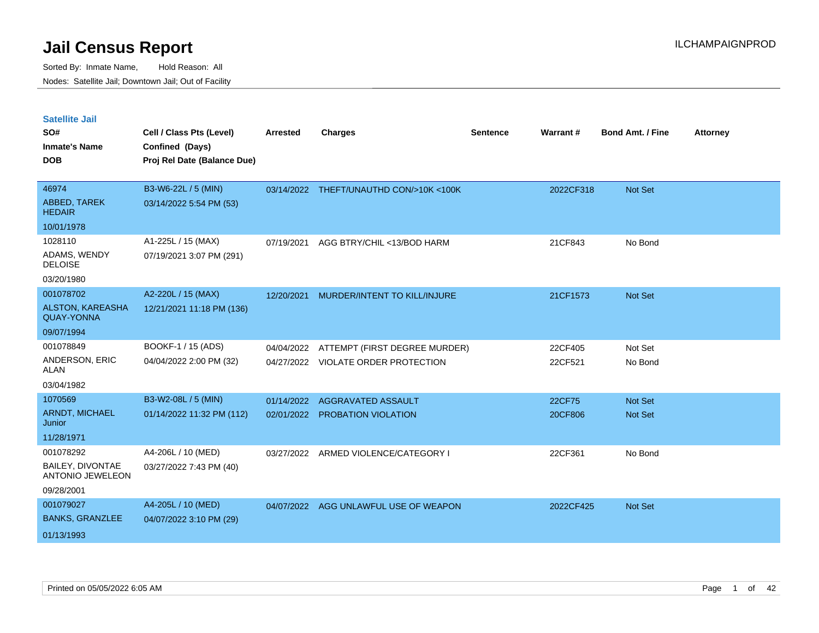| <b>Satellite Jail</b>                        |                             |                 |                                         |                 |           |                         |                 |
|----------------------------------------------|-----------------------------|-----------------|-----------------------------------------|-----------------|-----------|-------------------------|-----------------|
| SO#                                          | Cell / Class Pts (Level)    | <b>Arrested</b> | <b>Charges</b>                          | <b>Sentence</b> | Warrant#  | <b>Bond Amt. / Fine</b> | <b>Attorney</b> |
| Inmate's Name                                | Confined (Days)             |                 |                                         |                 |           |                         |                 |
| <b>DOB</b>                                   | Proj Rel Date (Balance Due) |                 |                                         |                 |           |                         |                 |
|                                              |                             |                 |                                         |                 |           |                         |                 |
| 46974                                        | B3-W6-22L / 5 (MIN)         |                 | 03/14/2022 THEFT/UNAUTHD CON/>10K <100K |                 | 2022CF318 | Not Set                 |                 |
| ABBED, TAREK<br><b>HEDAIR</b>                | 03/14/2022 5:54 PM (53)     |                 |                                         |                 |           |                         |                 |
| 10/01/1978                                   |                             |                 |                                         |                 |           |                         |                 |
| 1028110                                      | A1-225L / 15 (MAX)          | 07/19/2021      | AGG BTRY/CHIL <13/BOD HARM              |                 | 21CF843   | No Bond                 |                 |
| ADAMS, WENDY<br><b>DELOISE</b>               | 07/19/2021 3:07 PM (291)    |                 |                                         |                 |           |                         |                 |
| 03/20/1980                                   |                             |                 |                                         |                 |           |                         |                 |
| 001078702                                    | A2-220L / 15 (MAX)          | 12/20/2021      | MURDER/INTENT TO KILL/INJURE            |                 | 21CF1573  | Not Set                 |                 |
| <b>ALSTON, KAREASHA</b><br><b>QUAY-YONNA</b> | 12/21/2021 11:18 PM (136)   |                 |                                         |                 |           |                         |                 |
| 09/07/1994                                   |                             |                 |                                         |                 |           |                         |                 |
| 001078849                                    | BOOKF-1 / 15 (ADS)          | 04/04/2022      | ATTEMPT (FIRST DEGREE MURDER)           |                 | 22CF405   | Not Set                 |                 |
| ANDERSON, ERIC<br>ALAN                       | 04/04/2022 2:00 PM (32)     |                 | 04/27/2022 VIOLATE ORDER PROTECTION     |                 | 22CF521   | No Bond                 |                 |
| 03/04/1982                                   |                             |                 |                                         |                 |           |                         |                 |
| 1070569                                      | B3-W2-08L / 5 (MIN)         | 01/14/2022      | AGGRAVATED ASSAULT                      |                 | 22CF75    | Not Set                 |                 |
| <b>ARNDT, MICHAEL</b><br>Junior              | 01/14/2022 11:32 PM (112)   |                 | 02/01/2022 PROBATION VIOLATION          |                 | 20CF806   | <b>Not Set</b>          |                 |
| 11/28/1971                                   |                             |                 |                                         |                 |           |                         |                 |
| 001078292                                    | A4-206L / 10 (MED)          |                 | 03/27/2022 ARMED VIOLENCE/CATEGORY I    |                 | 22CF361   | No Bond                 |                 |
| BAILEY, DIVONTAE<br><b>ANTONIO JEWELEON</b>  | 03/27/2022 7:43 PM (40)     |                 |                                         |                 |           |                         |                 |
| 09/28/2001                                   |                             |                 |                                         |                 |           |                         |                 |
| 001079027                                    | A4-205L / 10 (MED)          |                 | 04/07/2022 AGG UNLAWFUL USE OF WEAPON   |                 | 2022CF425 | Not Set                 |                 |
| <b>BANKS, GRANZLEE</b>                       | 04/07/2022 3:10 PM (29)     |                 |                                         |                 |           |                         |                 |
| 01/13/1993                                   |                             |                 |                                         |                 |           |                         |                 |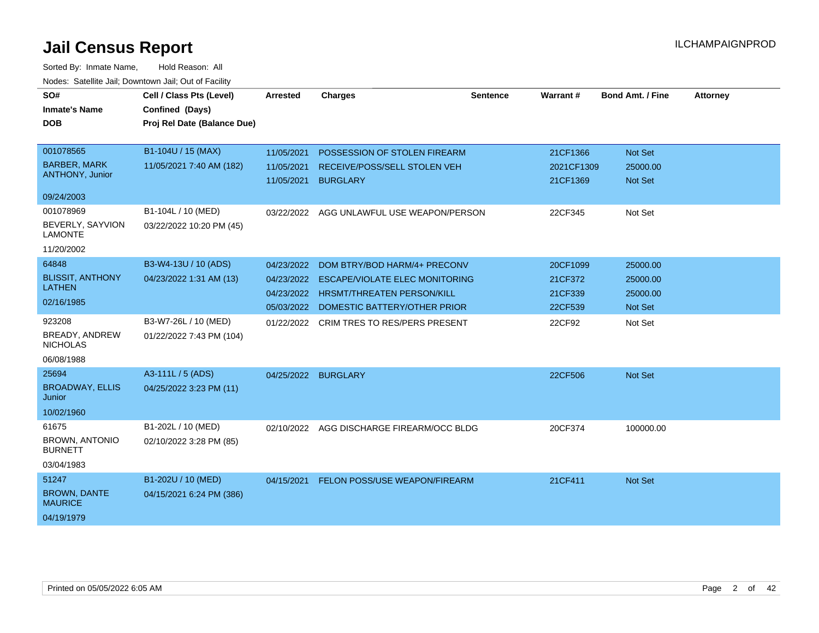| SO#<br><b>Inmate's Name</b>              | Cell / Class Pts (Level)<br>Confined (Days) | <b>Arrested</b>     | <b>Charges</b>                            | <b>Sentence</b> | Warrant#   | <b>Bond Amt. / Fine</b> | <b>Attorney</b> |
|------------------------------------------|---------------------------------------------|---------------------|-------------------------------------------|-----------------|------------|-------------------------|-----------------|
| <b>DOB</b>                               | Proj Rel Date (Balance Due)                 |                     |                                           |                 |            |                         |                 |
| 001078565                                | B1-104U / 15 (MAX)                          | 11/05/2021          | POSSESSION OF STOLEN FIREARM              |                 | 21CF1366   | Not Set                 |                 |
| <b>BARBER, MARK</b>                      | 11/05/2021 7:40 AM (182)                    | 11/05/2021          | RECEIVE/POSS/SELL STOLEN VEH              |                 | 2021CF1309 | 25000.00                |                 |
| ANTHONY, Junior                          |                                             | 11/05/2021          | <b>BURGLARY</b>                           |                 | 21CF1369   | Not Set                 |                 |
| 09/24/2003                               |                                             |                     |                                           |                 |            |                         |                 |
| 001078969                                | B1-104L / 10 (MED)                          |                     | 03/22/2022 AGG UNLAWFUL USE WEAPON/PERSON |                 | 22CF345    | Not Set                 |                 |
| BEVERLY, SAYVION<br><b>LAMONTE</b>       | 03/22/2022 10:20 PM (45)                    |                     |                                           |                 |            |                         |                 |
| 11/20/2002                               |                                             |                     |                                           |                 |            |                         |                 |
| 64848                                    | B3-W4-13U / 10 (ADS)                        | 04/23/2022          | DOM BTRY/BOD HARM/4+ PRECONV              |                 | 20CF1099   | 25000.00                |                 |
| <b>BLISSIT, ANTHONY</b><br><b>LATHEN</b> | 04/23/2022 1:31 AM (13)                     | 04/23/2022          | <b>ESCAPE/VIOLATE ELEC MONITORING</b>     |                 | 21CF372    | 25000.00                |                 |
|                                          |                                             | 04/23/2022          | <b>HRSMT/THREATEN PERSON/KILL</b>         |                 | 21CF339    | 25000.00                |                 |
| 02/16/1985                               |                                             |                     | 05/03/2022 DOMESTIC BATTERY/OTHER PRIOR   |                 | 22CF539    | Not Set                 |                 |
| 923208                                   | B3-W7-26L / 10 (MED)                        |                     | 01/22/2022 CRIM TRES TO RES/PERS PRESENT  |                 | 22CF92     | Not Set                 |                 |
| BREADY, ANDREW<br><b>NICHOLAS</b>        | 01/22/2022 7:43 PM (104)                    |                     |                                           |                 |            |                         |                 |
| 06/08/1988                               |                                             |                     |                                           |                 |            |                         |                 |
| 25694                                    | A3-111L / 5 (ADS)                           | 04/25/2022 BURGLARY |                                           |                 | 22CF506    | Not Set                 |                 |
| <b>BROADWAY, ELLIS</b><br>Junior         | 04/25/2022 3:23 PM (11)                     |                     |                                           |                 |            |                         |                 |
| 10/02/1960                               |                                             |                     |                                           |                 |            |                         |                 |
| 61675                                    | B1-202L / 10 (MED)                          | 02/10/2022          | AGG DISCHARGE FIREARM/OCC BLDG            |                 | 20CF374    | 100000.00               |                 |
| <b>BROWN, ANTONIO</b><br><b>BURNETT</b>  | 02/10/2022 3:28 PM (85)                     |                     |                                           |                 |            |                         |                 |
| 03/04/1983                               |                                             |                     |                                           |                 |            |                         |                 |
| 51247                                    | B1-202U / 10 (MED)                          | 04/15/2021          | FELON POSS/USE WEAPON/FIREARM             |                 | 21CF411    | Not Set                 |                 |
| <b>BROWN, DANTE</b><br><b>MAURICE</b>    | 04/15/2021 6:24 PM (386)                    |                     |                                           |                 |            |                         |                 |
| 04/19/1979                               |                                             |                     |                                           |                 |            |                         |                 |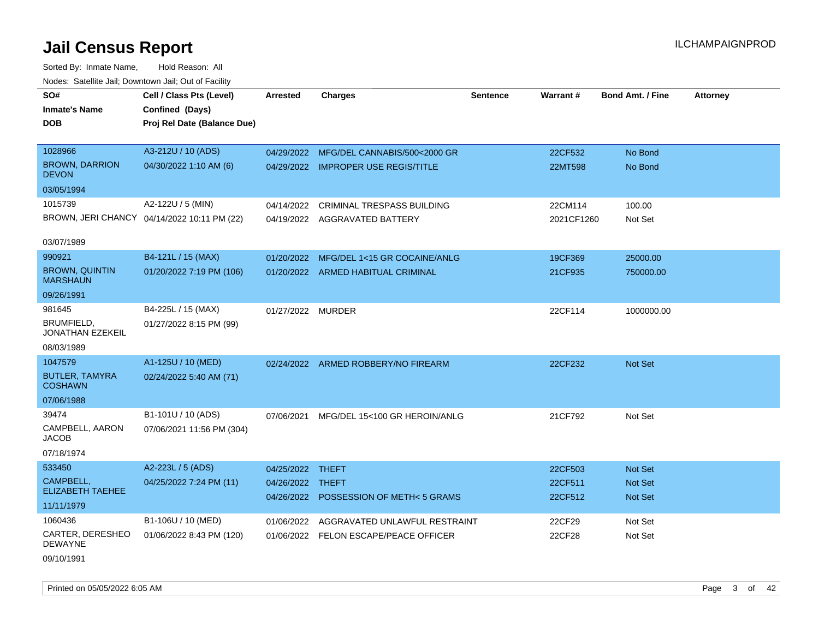Sorted By: Inmate Name, Hold Reason: All Nodes: Satellite Jail; Downtown Jail; Out of Facility

| vodos. Odtomto dan, Downtown dan, Out or Fabilit |                                             |                   |                                        |                 |            |                         |                 |
|--------------------------------------------------|---------------------------------------------|-------------------|----------------------------------------|-----------------|------------|-------------------------|-----------------|
| SO#                                              | Cell / Class Pts (Level)                    | <b>Arrested</b>   | <b>Charges</b>                         | <b>Sentence</b> | Warrant#   | <b>Bond Amt. / Fine</b> | <b>Attorney</b> |
| <b>Inmate's Name</b>                             | Confined (Days)                             |                   |                                        |                 |            |                         |                 |
| DOB                                              | Proj Rel Date (Balance Due)                 |                   |                                        |                 |            |                         |                 |
|                                                  |                                             |                   |                                        |                 |            |                         |                 |
| 1028966                                          | A3-212U / 10 (ADS)                          | 04/29/2022        | MFG/DEL CANNABIS/500<2000 GR           |                 | 22CF532    | No Bond                 |                 |
| <b>BROWN, DARRION</b><br><b>DEVON</b>            | 04/30/2022 1:10 AM (6)                      |                   | 04/29/2022 IMPROPER USE REGIS/TITLE    |                 | 22MT598    | No Bond                 |                 |
| 03/05/1994                                       |                                             |                   |                                        |                 |            |                         |                 |
| 1015739                                          | A2-122U / 5 (MIN)                           | 04/14/2022        | CRIMINAL TRESPASS BUILDING             |                 | 22CM114    | 100.00                  |                 |
|                                                  | BROWN, JERI CHANCY 04/14/2022 10:11 PM (22) |                   | 04/19/2022 AGGRAVATED BATTERY          |                 | 2021CF1260 | Not Set                 |                 |
|                                                  |                                             |                   |                                        |                 |            |                         |                 |
| 03/07/1989                                       |                                             |                   |                                        |                 |            |                         |                 |
| 990921                                           | B4-121L / 15 (MAX)                          | 01/20/2022        | MFG/DEL 1<15 GR COCAINE/ANLG           |                 | 19CF369    | 25000.00                |                 |
| <b>BROWN, QUINTIN</b><br><b>MARSHAUN</b>         | 01/20/2022 7:19 PM (106)                    |                   | 01/20/2022 ARMED HABITUAL CRIMINAL     |                 | 21CF935    | 750000.00               |                 |
| 09/26/1991                                       |                                             |                   |                                        |                 |            |                         |                 |
| 981645                                           | B4-225L / 15 (MAX)                          | 01/27/2022 MURDER |                                        |                 | 22CF114    | 1000000.00              |                 |
| BRUMFIELD,<br>JONATHAN EZEKEIL                   | 01/27/2022 8:15 PM (99)                     |                   |                                        |                 |            |                         |                 |
| 08/03/1989                                       |                                             |                   |                                        |                 |            |                         |                 |
| 1047579                                          | A1-125U / 10 (MED)                          |                   | 02/24/2022 ARMED ROBBERY/NO FIREARM    |                 | 22CF232    | Not Set                 |                 |
| <b>BUTLER, TAMYRA</b><br><b>COSHAWN</b>          | 02/24/2022 5:40 AM (71)                     |                   |                                        |                 |            |                         |                 |
| 07/06/1988                                       |                                             |                   |                                        |                 |            |                         |                 |
| 39474                                            | B1-101U / 10 (ADS)                          | 07/06/2021        | MFG/DEL 15<100 GR HEROIN/ANLG          |                 | 21CF792    | Not Set                 |                 |
| CAMPBELL, AARON<br>JACOB                         | 07/06/2021 11:56 PM (304)                   |                   |                                        |                 |            |                         |                 |
| 07/18/1974                                       |                                             |                   |                                        |                 |            |                         |                 |
| 533450                                           | A2-223L / 5 (ADS)                           | 04/25/2022        | THEFT                                  |                 | 22CF503    | Not Set                 |                 |
| CAMPBELL,                                        | 04/25/2022 7:24 PM (11)                     | 04/26/2022        | <b>THEFT</b>                           |                 | 22CF511    | <b>Not Set</b>          |                 |
| <b>ELIZABETH TAEHEE</b>                          |                                             |                   | 04/26/2022 POSSESSION OF METH< 5 GRAMS |                 | 22CF512    | <b>Not Set</b>          |                 |
| 11/11/1979                                       |                                             |                   |                                        |                 |            |                         |                 |
| 1060436                                          | B1-106U / 10 (MED)                          | 01/06/2022        | AGGRAVATED UNLAWFUL RESTRAINT          |                 | 22CF29     | Not Set                 |                 |
| CARTER, DERESHEO<br><b>DEWAYNE</b>               | 01/06/2022 8:43 PM (120)                    |                   | 01/06/2022 FELON ESCAPE/PEACE OFFICER  |                 | 22CF28     | Not Set                 |                 |

09/10/1991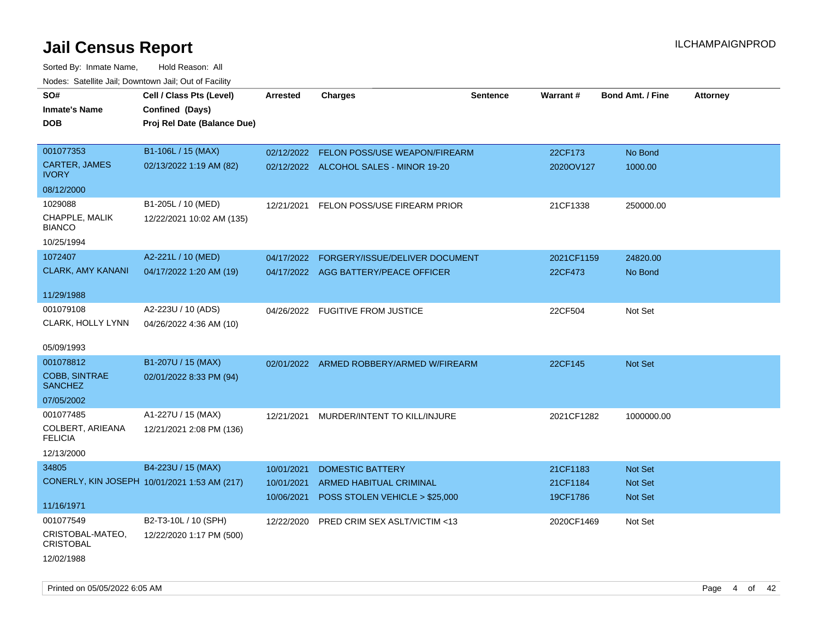| roaco. Catolino cali, Domntonn cali, Out of Facility |                                              |                 |                                          |                 |            |                         |                 |
|------------------------------------------------------|----------------------------------------------|-----------------|------------------------------------------|-----------------|------------|-------------------------|-----------------|
| SO#                                                  | Cell / Class Pts (Level)                     | <b>Arrested</b> | <b>Charges</b>                           | <b>Sentence</b> | Warrant#   | <b>Bond Amt. / Fine</b> | <b>Attorney</b> |
| <b>Inmate's Name</b>                                 | Confined (Days)                              |                 |                                          |                 |            |                         |                 |
| <b>DOB</b>                                           | Proj Rel Date (Balance Due)                  |                 |                                          |                 |            |                         |                 |
|                                                      |                                              |                 |                                          |                 |            |                         |                 |
| 001077353                                            | B1-106L / 15 (MAX)                           |                 | 02/12/2022 FELON POSS/USE WEAPON/FIREARM |                 | 22CF173    | No Bond                 |                 |
| CARTER, JAMES<br><b>IVORY</b>                        | 02/13/2022 1:19 AM (82)                      |                 | 02/12/2022 ALCOHOL SALES - MINOR 19-20   |                 | 2020OV127  | 1000.00                 |                 |
| 08/12/2000                                           |                                              |                 |                                          |                 |            |                         |                 |
| 1029088                                              | B1-205L / 10 (MED)                           | 12/21/2021      | FELON POSS/USE FIREARM PRIOR             |                 | 21CF1338   | 250000.00               |                 |
| CHAPPLE, MALIK<br><b>BIANCO</b>                      | 12/22/2021 10:02 AM (135)                    |                 |                                          |                 |            |                         |                 |
| 10/25/1994                                           |                                              |                 |                                          |                 |            |                         |                 |
| 1072407                                              | A2-221L / 10 (MED)                           | 04/17/2022      | FORGERY/ISSUE/DELIVER DOCUMENT           |                 | 2021CF1159 | 24820.00                |                 |
| <b>CLARK, AMY KANANI</b>                             | 04/17/2022 1:20 AM (19)                      |                 | 04/17/2022 AGG BATTERY/PEACE OFFICER     |                 | 22CF473    | No Bond                 |                 |
|                                                      |                                              |                 |                                          |                 |            |                         |                 |
| 11/29/1988                                           |                                              |                 |                                          |                 |            |                         |                 |
| 001079108                                            | A2-223U / 10 (ADS)                           |                 | 04/26/2022 FUGITIVE FROM JUSTICE         |                 | 22CF504    | Not Set                 |                 |
| CLARK, HOLLY LYNN                                    | 04/26/2022 4:36 AM (10)                      |                 |                                          |                 |            |                         |                 |
|                                                      |                                              |                 |                                          |                 |            |                         |                 |
| 05/09/1993                                           |                                              |                 |                                          |                 |            |                         |                 |
| 001078812                                            | B1-207U / 15 (MAX)                           |                 | 02/01/2022 ARMED ROBBERY/ARMED W/FIREARM |                 | 22CF145    | Not Set                 |                 |
| <b>COBB, SINTRAE</b><br><b>SANCHEZ</b>               | 02/01/2022 8:33 PM (94)                      |                 |                                          |                 |            |                         |                 |
| 07/05/2002                                           |                                              |                 |                                          |                 |            |                         |                 |
| 001077485                                            | A1-227U / 15 (MAX)                           | 12/21/2021      | MURDER/INTENT TO KILL/INJURE             |                 | 2021CF1282 | 1000000.00              |                 |
| COLBERT, ARIEANA<br><b>FELICIA</b>                   | 12/21/2021 2:08 PM (136)                     |                 |                                          |                 |            |                         |                 |
| 12/13/2000                                           |                                              |                 |                                          |                 |            |                         |                 |
| 34805                                                | B4-223U / 15 (MAX)                           | 10/01/2021      | <b>DOMESTIC BATTERY</b>                  |                 | 21CF1183   | Not Set                 |                 |
|                                                      | CONERLY, KIN JOSEPH 10/01/2021 1:53 AM (217) | 10/01/2021      | <b>ARMED HABITUAL CRIMINAL</b>           |                 | 21CF1184   | <b>Not Set</b>          |                 |
|                                                      |                                              | 10/06/2021      | POSS STOLEN VEHICLE > \$25,000           |                 | 19CF1786   | <b>Not Set</b>          |                 |
| 11/16/1971                                           |                                              |                 |                                          |                 |            |                         |                 |
| 001077549                                            | B2-T3-10L / 10 (SPH)                         | 12/22/2020      | PRED CRIM SEX ASLT/VICTIM <13            |                 | 2020CF1469 | Not Set                 |                 |
| CRISTOBAL-MATEO,<br><b>CRISTOBAL</b>                 | 12/22/2020 1:17 PM (500)                     |                 |                                          |                 |            |                         |                 |
| 12/02/1988                                           |                                              |                 |                                          |                 |            |                         |                 |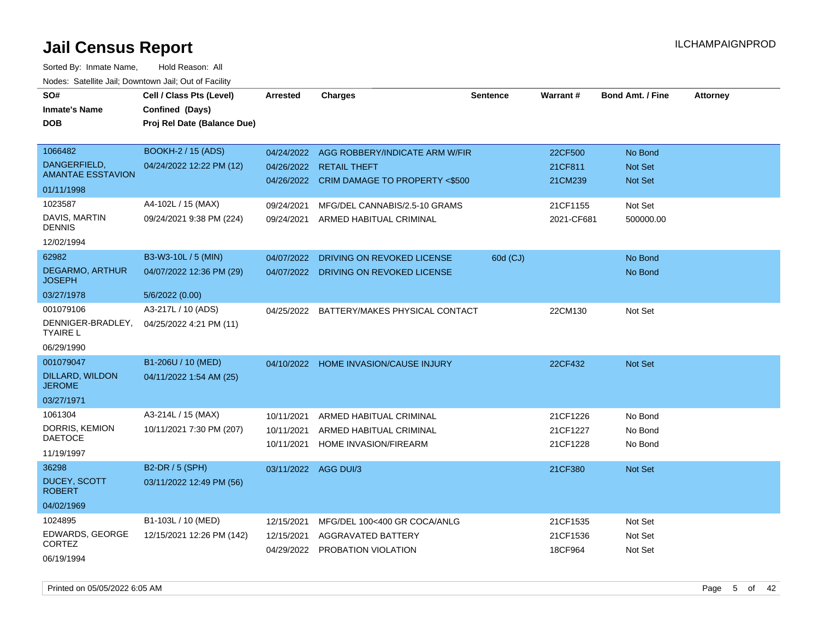| SO#<br><b>Inmate's Name</b><br><b>DOB</b> | Cell / Class Pts (Level)<br>Confined (Days)<br>Proj Rel Date (Balance Due) | <b>Arrested</b>      | <b>Charges</b>                                                   | <b>Sentence</b> | <b>Warrant#</b>     | <b>Bond Amt. / Fine</b>          | <b>Attorney</b> |
|-------------------------------------------|----------------------------------------------------------------------------|----------------------|------------------------------------------------------------------|-----------------|---------------------|----------------------------------|-----------------|
| 1066482                                   | BOOKH-2 / 15 (ADS)                                                         | 04/24/2022           | AGG ROBBERY/INDICATE ARM W/FIR                                   |                 | 22CF500             | No Bond                          |                 |
| DANGERFIELD,<br><b>AMANTAE ESSTAVION</b>  | 04/24/2022 12:22 PM (12)                                                   | 04/26/2022           | <b>RETAIL THEFT</b><br>04/26/2022 CRIM DAMAGE TO PROPERTY <\$500 |                 | 21CF811<br>21CM239  | <b>Not Set</b><br><b>Not Set</b> |                 |
| 01/11/1998                                |                                                                            |                      |                                                                  |                 |                     |                                  |                 |
| 1023587                                   | A4-102L / 15 (MAX)                                                         | 09/24/2021           | MFG/DEL CANNABIS/2.5-10 GRAMS                                    |                 | 21CF1155            | Not Set                          |                 |
| DAVIS, MARTIN<br><b>DENNIS</b>            | 09/24/2021 9:38 PM (224)                                                   | 09/24/2021           | ARMED HABITUAL CRIMINAL                                          |                 | 2021-CF681          | 500000.00                        |                 |
| 12/02/1994                                |                                                                            |                      |                                                                  |                 |                     |                                  |                 |
| 62982                                     | B3-W3-10L / 5 (MIN)                                                        | 04/07/2022           | DRIVING ON REVOKED LICENSE                                       | 60d (CJ)        |                     | No Bond                          |                 |
| <b>DEGARMO, ARTHUR</b><br><b>JOSEPH</b>   | 04/07/2022 12:36 PM (29)                                                   | 04/07/2022           | DRIVING ON REVOKED LICENSE                                       |                 |                     | No Bond                          |                 |
| 03/27/1978                                | 5/6/2022 (0.00)                                                            |                      |                                                                  |                 |                     |                                  |                 |
| 001079106                                 | A3-217L / 10 (ADS)                                                         | 04/25/2022           | BATTERY/MAKES PHYSICAL CONTACT                                   |                 | 22CM130             | Not Set                          |                 |
| DENNIGER-BRADLEY,<br><b>TYAIRE L</b>      | 04/25/2022 4:21 PM (11)                                                    |                      |                                                                  |                 |                     |                                  |                 |
| 06/29/1990                                |                                                                            |                      |                                                                  |                 |                     |                                  |                 |
| 001079047                                 | B1-206U / 10 (MED)                                                         | 04/10/2022           | <b>HOME INVASION/CAUSE INJURY</b>                                |                 | 22CF432             | Not Set                          |                 |
| DILLARD, WILDON<br><b>JEROME</b>          | 04/11/2022 1:54 AM (25)                                                    |                      |                                                                  |                 |                     |                                  |                 |
| 03/27/1971                                |                                                                            |                      |                                                                  |                 |                     |                                  |                 |
| 1061304                                   | A3-214L / 15 (MAX)                                                         | 10/11/2021           | ARMED HABITUAL CRIMINAL                                          |                 | 21CF1226            | No Bond                          |                 |
| DORRIS, KEMION                            | 10/11/2021 7:30 PM (207)                                                   | 10/11/2021           | ARMED HABITUAL CRIMINAL                                          |                 | 21CF1227            | No Bond                          |                 |
| <b>DAETOCE</b>                            |                                                                            | 10/11/2021           | HOME INVASION/FIREARM                                            |                 | 21CF1228            | No Bond                          |                 |
| 11/19/1997                                |                                                                            |                      |                                                                  |                 |                     |                                  |                 |
| 36298                                     | B2-DR / 5 (SPH)                                                            | 03/11/2022 AGG DUI/3 |                                                                  |                 | 21CF380             | Not Set                          |                 |
| <b>DUCEY, SCOTT</b><br><b>ROBERT</b>      | 03/11/2022 12:49 PM (56)                                                   |                      |                                                                  |                 |                     |                                  |                 |
| 04/02/1969                                |                                                                            |                      |                                                                  |                 |                     |                                  |                 |
| 1024895                                   | B1-103L / 10 (MED)                                                         | 12/15/2021           | MFG/DEL 100<400 GR COCA/ANLG                                     |                 | 21CF1535            | Not Set                          |                 |
| EDWARDS, GEORGE<br><b>CORTEZ</b>          | 12/15/2021 12:26 PM (142)                                                  | 12/15/2021           | <b>AGGRAVATED BATTERY</b><br>04/29/2022 PROBATION VIOLATION      |                 | 21CF1536<br>18CF964 | Not Set<br>Not Set               |                 |
| 06/19/1994                                |                                                                            |                      |                                                                  |                 |                     |                                  |                 |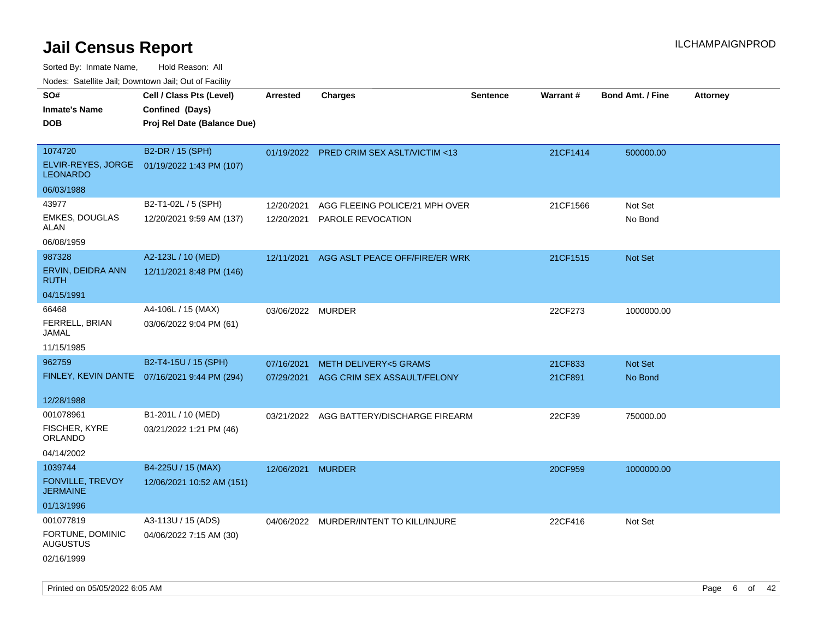| roaco. Calcinio dan, Downtown dan, Oal or Fability                 |                                                                                            |                          |                                                                                                            |                 |                              |                                        |                 |
|--------------------------------------------------------------------|--------------------------------------------------------------------------------------------|--------------------------|------------------------------------------------------------------------------------------------------------|-----------------|------------------------------|----------------------------------------|-----------------|
| SO#<br>Inmate's Name<br>DOB                                        | Cell / Class Pts (Level)<br>Confined (Days)<br>Proj Rel Date (Balance Due)                 | <b>Arrested</b>          | Charges                                                                                                    | <b>Sentence</b> | Warrant#                     | <b>Bond Amt. / Fine</b>                | <b>Attorney</b> |
| 1074720<br>LEONARDO                                                | B2-DR / 15 (SPH)<br>ELVIR-REYES, JORGE 01/19/2022 1:43 PM (107)                            |                          | 01/19/2022 PRED CRIM SEX ASLT/VICTIM <13                                                                   |                 | 21CF1414                     | 500000.00                              |                 |
| 06/03/1988<br>43977<br><b>EMKES, DOUGLAS</b><br>ALAN<br>06/08/1959 | B2-T1-02L / 5 (SPH)<br>12/20/2021 9:59 AM (137)                                            | 12/20/2021<br>12/20/2021 | AGG FLEEING POLICE/21 MPH OVER<br>PAROLE REVOCATION                                                        |                 | 21CF1566                     | Not Set<br>No Bond                     |                 |
| 987328<br>ERVIN, DEIDRA ANN<br>RUTH<br>04/15/1991                  | A2-123L / 10 (MED)<br>12/11/2021 8:48 PM (146)                                             | 12/11/2021               | AGG ASLT PEACE OFF/FIRE/ER WRK                                                                             |                 | 21CF1515                     | <b>Not Set</b>                         |                 |
| 66468<br>FERRELL, BRIAN<br>JAMAL<br>11/15/1985                     | A4-106L / 15 (MAX)<br>03/06/2022 9:04 PM (61)                                              | 03/06/2022 MURDER        |                                                                                                            |                 | 22CF273                      | 1000000.00                             |                 |
| 962759<br>12/28/1988<br>001078961                                  | B2-T4-15U / 15 (SPH)<br>FINLEY, KEVIN DANTE 07/16/2021 9:44 PM (294)<br>B1-201L / 10 (MED) | 07/16/2021<br>07/29/2021 | <b>METH DELIVERY&lt;5 GRAMS</b><br>AGG CRIM SEX ASSAULT/FELONY<br>03/21/2022 AGG BATTERY/DISCHARGE FIREARM |                 | 21CF833<br>21CF891<br>22CF39 | <b>Not Set</b><br>No Bond<br>750000.00 |                 |
| FISCHER, KYRE<br>ORLANDO<br>04/14/2002                             | 03/21/2022 1:21 PM (46)                                                                    |                          |                                                                                                            |                 |                              |                                        |                 |
| 1039744<br>FONVILLE, TREVOY<br>JERMAINE<br>01/13/1996              | B4-225U / 15 (MAX)<br>12/06/2021 10:52 AM (151)                                            | 12/06/2021               | MURDER                                                                                                     |                 | 20CF959                      | 1000000.00                             |                 |
| 001077819<br>FORTUNE, DOMINIC<br>AUGUSTUS<br>02/16/1999            | A3-113U / 15 (ADS)<br>04/06/2022 7:15 AM (30)                                              |                          | 04/06/2022 MURDER/INTENT TO KILL/INJURE                                                                    |                 | 22CF416                      | Not Set                                |                 |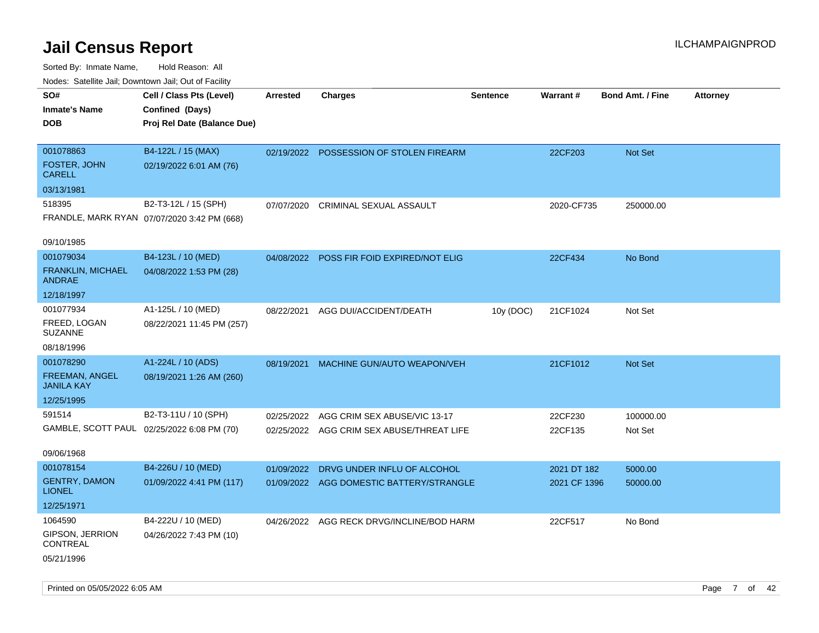| ivuutos. Saltiilit Jall, Duwilluwii Jall, Oul of Facility |                                             |            |                                          |                 |                 |                         |                 |
|-----------------------------------------------------------|---------------------------------------------|------------|------------------------------------------|-----------------|-----------------|-------------------------|-----------------|
| SO#                                                       | Cell / Class Pts (Level)                    | Arrested   | <b>Charges</b>                           | <b>Sentence</b> | <b>Warrant#</b> | <b>Bond Amt. / Fine</b> | <b>Attorney</b> |
| <b>Inmate's Name</b>                                      | Confined (Days)                             |            |                                          |                 |                 |                         |                 |
| <b>DOB</b>                                                | Proj Rel Date (Balance Due)                 |            |                                          |                 |                 |                         |                 |
|                                                           |                                             |            |                                          |                 |                 |                         |                 |
| 001078863                                                 | B4-122L / 15 (MAX)                          | 02/19/2022 | POSSESSION OF STOLEN FIREARM             |                 | 22CF203         | <b>Not Set</b>          |                 |
| FOSTER, JOHN<br><b>CARELL</b>                             | 02/19/2022 6:01 AM (76)                     |            |                                          |                 |                 |                         |                 |
| 03/13/1981                                                |                                             |            |                                          |                 |                 |                         |                 |
| 518395                                                    | B2-T3-12L / 15 (SPH)                        | 07/07/2020 | CRIMINAL SEXUAL ASSAULT                  |                 | 2020-CF735      | 250000.00               |                 |
|                                                           | FRANDLE, MARK RYAN 07/07/2020 3:42 PM (668) |            |                                          |                 |                 |                         |                 |
|                                                           |                                             |            |                                          |                 |                 |                         |                 |
| 09/10/1985                                                |                                             |            |                                          |                 |                 |                         |                 |
| 001079034                                                 | B4-123L / 10 (MED)                          | 04/08/2022 | POSS FIR FOID EXPIRED/NOT ELIG           |                 | 22CF434         | No Bond                 |                 |
| <b>FRANKLIN, MICHAEL</b><br><b>ANDRAE</b>                 | 04/08/2022 1:53 PM (28)                     |            |                                          |                 |                 |                         |                 |
| 12/18/1997                                                |                                             |            |                                          |                 |                 |                         |                 |
| 001077934                                                 | A1-125L / 10 (MED)                          | 08/22/2021 | AGG DUI/ACCIDENT/DEATH                   | 10y (DOC)       | 21CF1024        | Not Set                 |                 |
| FREED, LOGAN<br><b>SUZANNE</b>                            | 08/22/2021 11:45 PM (257)                   |            |                                          |                 |                 |                         |                 |
| 08/18/1996                                                |                                             |            |                                          |                 |                 |                         |                 |
| 001078290                                                 | A1-224L / 10 (ADS)                          | 08/19/2021 | MACHINE GUN/AUTO WEAPON/VEH              |                 | 21CF1012        | Not Set                 |                 |
| <b>FREEMAN, ANGEL</b><br><b>JANILA KAY</b>                | 08/19/2021 1:26 AM (260)                    |            |                                          |                 |                 |                         |                 |
| 12/25/1995                                                |                                             |            |                                          |                 |                 |                         |                 |
| 591514                                                    | B2-T3-11U / 10 (SPH)                        | 02/25/2022 | AGG CRIM SEX ABUSE/VIC 13-17             |                 | 22CF230         | 100000.00               |                 |
|                                                           | GAMBLE, SCOTT PAUL 02/25/2022 6:08 PM (70)  | 02/25/2022 | AGG CRIM SEX ABUSE/THREAT LIFE           |                 | 22CF135         | Not Set                 |                 |
|                                                           |                                             |            |                                          |                 |                 |                         |                 |
| 09/06/1968                                                |                                             |            |                                          |                 |                 |                         |                 |
| 001078154                                                 | B4-226U / 10 (MED)                          | 01/09/2022 | DRVG UNDER INFLU OF ALCOHOL              |                 | 2021 DT 182     | 5000.00                 |                 |
| <b>GENTRY, DAMON</b><br><b>LIONEL</b>                     | 01/09/2022 4:41 PM (117)                    |            | 01/09/2022 AGG DOMESTIC BATTERY/STRANGLE |                 | 2021 CF 1396    | 50000.00                |                 |
| 12/25/1971                                                |                                             |            |                                          |                 |                 |                         |                 |
| 1064590                                                   | B4-222U / 10 (MED)                          | 04/26/2022 | AGG RECK DRVG/INCLINE/BOD HARM           |                 | 22CF517         | No Bond                 |                 |
| <b>GIPSON, JERRION</b><br>CONTREAL                        | 04/26/2022 7:43 PM (10)                     |            |                                          |                 |                 |                         |                 |
| 05/21/1996                                                |                                             |            |                                          |                 |                 |                         |                 |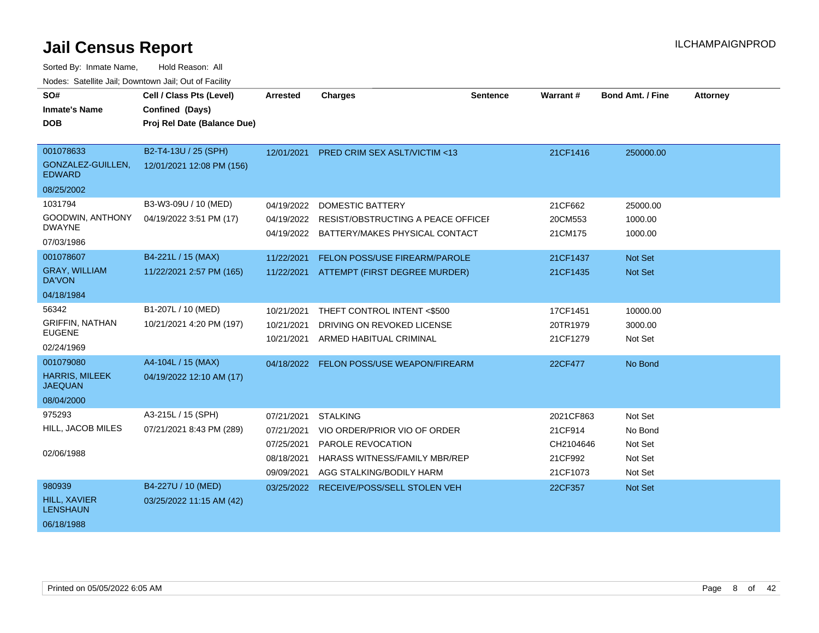| SO#<br><b>Inmate's Name</b><br><b>DOB</b>                          | Cell / Class Pts (Level)<br>Confined (Days)<br>Proj Rel Date (Balance Due) | Arrested                                                           | <b>Charges</b>                                                                                                                           | <b>Sentence</b> | Warrant#                                                 | <b>Bond Amt. / Fine</b>                             | <b>Attorney</b> |
|--------------------------------------------------------------------|----------------------------------------------------------------------------|--------------------------------------------------------------------|------------------------------------------------------------------------------------------------------------------------------------------|-----------------|----------------------------------------------------------|-----------------------------------------------------|-----------------|
| 001078633<br>GONZALEZ-GUILLEN,<br><b>EDWARD</b><br>08/25/2002      | B2-T4-13U / 25 (SPH)<br>12/01/2021 12:08 PM (156)                          | 12/01/2021                                                         | PRED CRIM SEX ASLT/VICTIM <13                                                                                                            |                 | 21CF1416                                                 | 250000.00                                           |                 |
| 1031794<br>GOODWIN, ANTHONY<br><b>DWAYNE</b><br>07/03/1986         | B3-W3-09U / 10 (MED)<br>04/19/2022 3:51 PM (17)                            | 04/19/2022<br>04/19/2022                                           | <b>DOMESTIC BATTERY</b><br><b>RESIST/OBSTRUCTING A PEACE OFFICEF</b><br>04/19/2022 BATTERY/MAKES PHYSICAL CONTACT                        |                 | 21CF662<br>20CM553<br>21CM175                            | 25000.00<br>1000.00<br>1000.00                      |                 |
| 001078607<br><b>GRAY, WILLIAM</b><br><b>DA'VON</b><br>04/18/1984   | B4-221L / 15 (MAX)<br>11/22/2021 2:57 PM (165)                             | 11/22/2021                                                         | <b>FELON POSS/USE FIREARM/PAROLE</b><br>11/22/2021 ATTEMPT (FIRST DEGREE MURDER)                                                         |                 | 21CF1437<br>21CF1435                                     | <b>Not Set</b><br><b>Not Set</b>                    |                 |
| 56342<br><b>GRIFFIN, NATHAN</b><br><b>EUGENE</b><br>02/24/1969     | B1-207L / 10 (MED)<br>10/21/2021 4:20 PM (197)                             | 10/21/2021<br>10/21/2021<br>10/21/2021                             | THEFT CONTROL INTENT <\$500<br>DRIVING ON REVOKED LICENSE<br>ARMED HABITUAL CRIMINAL                                                     |                 | 17CF1451<br>20TR1979<br>21CF1279                         | 10000.00<br>3000.00<br>Not Set                      |                 |
| 001079080<br><b>HARRIS, MILEEK</b><br><b>JAEQUAN</b><br>08/04/2000 | A4-104L / 15 (MAX)<br>04/19/2022 12:10 AM (17)                             | 04/18/2022                                                         | FELON POSS/USE WEAPON/FIREARM                                                                                                            |                 | 22CF477                                                  | No Bond                                             |                 |
| 975293<br>HILL, JACOB MILES<br>02/06/1988                          | A3-215L / 15 (SPH)<br>07/21/2021 8:43 PM (289)                             | 07/21/2021<br>07/21/2021<br>07/25/2021<br>08/18/2021<br>09/09/2021 | <b>STALKING</b><br>VIO ORDER/PRIOR VIO OF ORDER<br>PAROLE REVOCATION<br><b>HARASS WITNESS/FAMILY MBR/REP</b><br>AGG STALKING/BODILY HARM |                 | 2021CF863<br>21CF914<br>CH2104646<br>21CF992<br>21CF1073 | Not Set<br>No Bond<br>Not Set<br>Not Set<br>Not Set |                 |
| 980939<br>HILL, XAVIER<br><b>LENSHAUN</b><br>06/18/1988            | B4-227U / 10 (MED)<br>03/25/2022 11:15 AM (42)                             | 03/25/2022                                                         | RECEIVE/POSS/SELL STOLEN VEH                                                                                                             |                 | 22CF357                                                  | <b>Not Set</b>                                      |                 |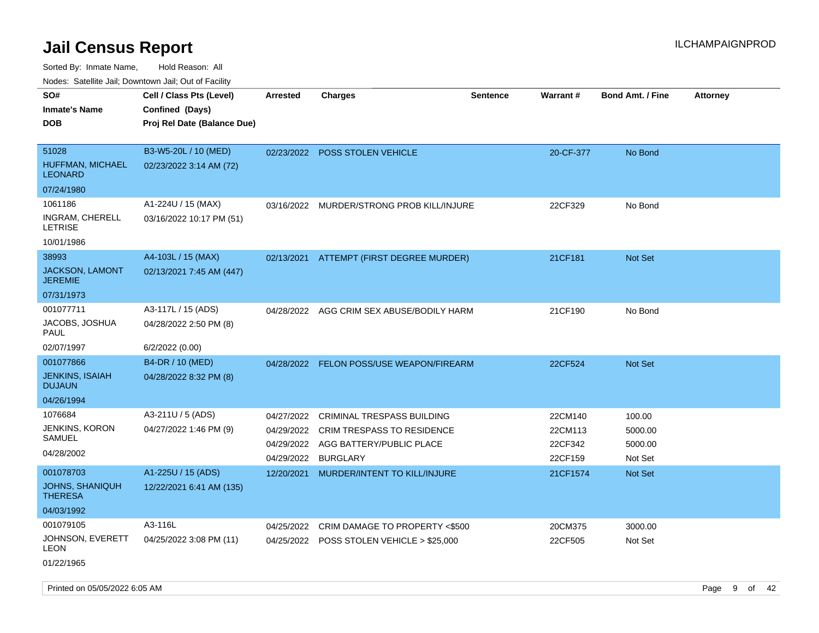| Todoo. Catolino can, Bomnomi can, Cat of Faoint<br>SO# | Cell / Class Pts (Level)    | Arrested   | <b>Charges</b>                            | <b>Sentence</b> | Warrant#  | <b>Bond Amt. / Fine</b> | <b>Attorney</b> |
|--------------------------------------------------------|-----------------------------|------------|-------------------------------------------|-----------------|-----------|-------------------------|-----------------|
| <b>Inmate's Name</b>                                   | Confined (Days)             |            |                                           |                 |           |                         |                 |
| <b>DOB</b>                                             | Proj Rel Date (Balance Due) |            |                                           |                 |           |                         |                 |
|                                                        |                             |            |                                           |                 |           |                         |                 |
| 51028                                                  | B3-W5-20L / 10 (MED)        |            | 02/23/2022 POSS STOLEN VEHICLE            |                 | 20-CF-377 | No Bond                 |                 |
| HUFFMAN, MICHAEL<br><b>LEONARD</b>                     | 02/23/2022 3:14 AM (72)     |            |                                           |                 |           |                         |                 |
| 07/24/1980                                             |                             |            |                                           |                 |           |                         |                 |
| 1061186                                                | A1-224U / 15 (MAX)          |            | 03/16/2022 MURDER/STRONG PROB KILL/INJURE |                 | 22CF329   | No Bond                 |                 |
| INGRAM, CHERELL<br>LETRISE                             | 03/16/2022 10:17 PM (51)    |            |                                           |                 |           |                         |                 |
| 10/01/1986                                             |                             |            |                                           |                 |           |                         |                 |
| 38993                                                  | A4-103L / 15 (MAX)          | 02/13/2021 | ATTEMPT (FIRST DEGREE MURDER)             |                 | 21CF181   | Not Set                 |                 |
| JACKSON, LAMONT<br><b>JEREMIE</b>                      | 02/13/2021 7:45 AM (447)    |            |                                           |                 |           |                         |                 |
| 07/31/1973                                             |                             |            |                                           |                 |           |                         |                 |
| 001077711                                              | A3-117L / 15 (ADS)          | 04/28/2022 | AGG CRIM SEX ABUSE/BODILY HARM            |                 | 21CF190   | No Bond                 |                 |
| JACOBS, JOSHUA<br><b>PAUL</b>                          | 04/28/2022 2:50 PM (8)      |            |                                           |                 |           |                         |                 |
| 02/07/1997                                             | 6/2/2022 (0.00)             |            |                                           |                 |           |                         |                 |
| 001077866                                              | B4-DR / 10 (MED)            |            | 04/28/2022 FELON POSS/USE WEAPON/FIREARM  |                 | 22CF524   | Not Set                 |                 |
| <b>JENKINS, ISAIAH</b><br><b>DUJAUN</b>                | 04/28/2022 8:32 PM (8)      |            |                                           |                 |           |                         |                 |
| 04/26/1994                                             |                             |            |                                           |                 |           |                         |                 |
| 1076684                                                | A3-211U / 5 (ADS)           | 04/27/2022 | CRIMINAL TRESPASS BUILDING                |                 | 22CM140   | 100.00                  |                 |
| JENKINS, KORON                                         | 04/27/2022 1:46 PM (9)      | 04/29/2022 | CRIM TRESPASS TO RESIDENCE                |                 | 22CM113   | 5000.00                 |                 |
| <b>SAMUEL</b>                                          |                             | 04/29/2022 | AGG BATTERY/PUBLIC PLACE                  |                 | 22CF342   | 5000.00                 |                 |
| 04/28/2002                                             |                             | 04/29/2022 | <b>BURGLARY</b>                           |                 | 22CF159   | Not Set                 |                 |
| 001078703                                              | A1-225U / 15 (ADS)          |            | 12/20/2021 MURDER/INTENT TO KILL/INJURE   |                 | 21CF1574  | <b>Not Set</b>          |                 |
| JOHNS, SHANIQUH<br><b>THERESA</b>                      | 12/22/2021 6:41 AM (135)    |            |                                           |                 |           |                         |                 |
| 04/03/1992                                             |                             |            |                                           |                 |           |                         |                 |
| 001079105                                              | A3-116L                     | 04/25/2022 | CRIM DAMAGE TO PROPERTY <\$500            |                 | 20CM375   | 3000.00                 |                 |
| JOHNSON, EVERETT<br><b>LEON</b>                        | 04/25/2022 3:08 PM (11)     |            | 04/25/2022 POSS STOLEN VEHICLE > \$25,000 |                 | 22CF505   | Not Set                 |                 |
| 01/22/1965                                             |                             |            |                                           |                 |           |                         |                 |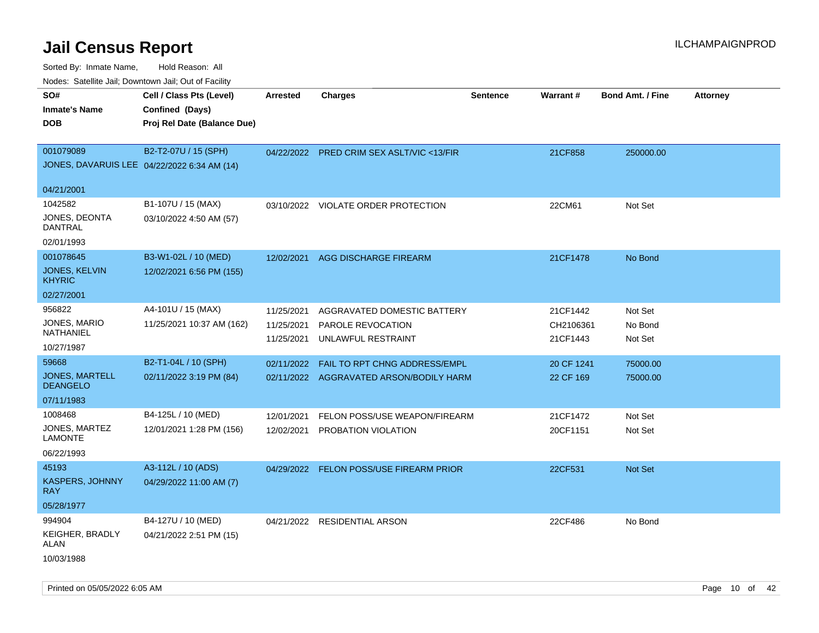| Nodes. Satellite Jali, Downtown Jali, Out of Facility |                             |                 |                                           |                 |                 |                         |                 |
|-------------------------------------------------------|-----------------------------|-----------------|-------------------------------------------|-----------------|-----------------|-------------------------|-----------------|
| SO#                                                   | Cell / Class Pts (Level)    | <b>Arrested</b> | <b>Charges</b>                            | <b>Sentence</b> | <b>Warrant#</b> | <b>Bond Amt. / Fine</b> | <b>Attorney</b> |
| <b>Inmate's Name</b>                                  | Confined (Days)             |                 |                                           |                 |                 |                         |                 |
| <b>DOB</b>                                            | Proj Rel Date (Balance Due) |                 |                                           |                 |                 |                         |                 |
|                                                       |                             |                 |                                           |                 |                 |                         |                 |
| 001079089                                             | B2-T2-07U / 15 (SPH)        |                 | 04/22/2022 PRED CRIM SEX ASLT/VIC <13/FIR |                 | 21CF858         | 250000.00               |                 |
| JONES, DAVARUIS LEE 04/22/2022 6:34 AM (14)           |                             |                 |                                           |                 |                 |                         |                 |
| 04/21/2001                                            |                             |                 |                                           |                 |                 |                         |                 |
| 1042582                                               | B1-107U / 15 (MAX)          | 03/10/2022      | VIOLATE ORDER PROTECTION                  |                 | 22CM61          | Not Set                 |                 |
| JONES, DEONTA<br><b>DANTRAL</b>                       | 03/10/2022 4:50 AM (57)     |                 |                                           |                 |                 |                         |                 |
| 02/01/1993                                            |                             |                 |                                           |                 |                 |                         |                 |
| 001078645                                             | B3-W1-02L / 10 (MED)        | 12/02/2021      | <b>AGG DISCHARGE FIREARM</b>              |                 | 21CF1478        | No Bond                 |                 |
| JONES, KELVIN<br><b>KHYRIC</b>                        | 12/02/2021 6:56 PM (155)    |                 |                                           |                 |                 |                         |                 |
| 02/27/2001                                            |                             |                 |                                           |                 |                 |                         |                 |
| 956822                                                | A4-101U / 15 (MAX)          | 11/25/2021      | AGGRAVATED DOMESTIC BATTERY               |                 | 21CF1442        | Not Set                 |                 |
| JONES, MARIO                                          | 11/25/2021 10:37 AM (162)   | 11/25/2021      | PAROLE REVOCATION                         |                 | CH2106361       | No Bond                 |                 |
| NATHANIEL                                             |                             | 11/25/2021      | UNLAWFUL RESTRAINT                        |                 | 21CF1443        | Not Set                 |                 |
| 10/27/1987                                            |                             |                 |                                           |                 |                 |                         |                 |
| 59668                                                 | B2-T1-04L / 10 (SPH)        | 02/11/2022      | FAIL TO RPT CHNG ADDRESS/EMPL             |                 | 20 CF 1241      | 75000.00                |                 |
| <b>JONES, MARTELL</b><br><b>DEANGELO</b>              | 02/11/2022 3:19 PM (84)     |                 | 02/11/2022 AGGRAVATED ARSON/BODILY HARM   |                 | 22 CF 169       | 75000.00                |                 |
| 07/11/1983                                            |                             |                 |                                           |                 |                 |                         |                 |
| 1008468                                               | B4-125L / 10 (MED)          | 12/01/2021      | FELON POSS/USE WEAPON/FIREARM             |                 | 21CF1472        | Not Set                 |                 |
| JONES, MARTEZ<br><b>LAMONTE</b>                       | 12/01/2021 1:28 PM (156)    | 12/02/2021      | PROBATION VIOLATION                       |                 | 20CF1151        | Not Set                 |                 |
| 06/22/1993                                            |                             |                 |                                           |                 |                 |                         |                 |
| 45193                                                 | A3-112L / 10 (ADS)          |                 | 04/29/2022 FELON POSS/USE FIREARM PRIOR   |                 | 22CF531         | <b>Not Set</b>          |                 |
| <b>KASPERS, JOHNNY</b><br><b>RAY</b>                  | 04/29/2022 11:00 AM (7)     |                 |                                           |                 |                 |                         |                 |
| 05/28/1977                                            |                             |                 |                                           |                 |                 |                         |                 |
| 994904                                                | B4-127U / 10 (MED)          |                 | 04/21/2022 RESIDENTIAL ARSON              |                 | 22CF486         | No Bond                 |                 |
| KEIGHER, BRADLY<br>ALAN                               | 04/21/2022 2:51 PM (15)     |                 |                                           |                 |                 |                         |                 |
| 10/03/1988                                            |                             |                 |                                           |                 |                 |                         |                 |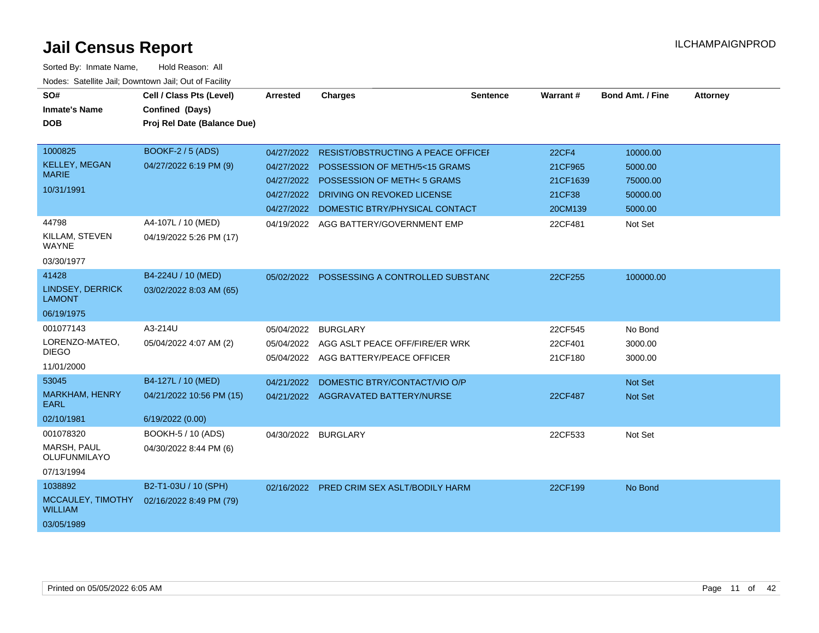| SO#<br><b>Inmate's Name</b><br><b>DOB</b>                       | Cell / Class Pts (Level)<br>Confined (Days)<br>Proj Rel Date (Balance Due) | <b>Arrested</b>                                      | <b>Charges</b>                                                                                                                                                                      | <b>Sentence</b> | Warrant#                                                 | <b>Bond Amt. / Fine</b>                                | <b>Attorney</b> |
|-----------------------------------------------------------------|----------------------------------------------------------------------------|------------------------------------------------------|-------------------------------------------------------------------------------------------------------------------------------------------------------------------------------------|-----------------|----------------------------------------------------------|--------------------------------------------------------|-----------------|
| 1000825<br><b>KELLEY, MEGAN</b><br><b>MARIE</b><br>10/31/1991   | <b>BOOKF-2 / 5 (ADS)</b><br>04/27/2022 6:19 PM (9)                         | 04/27/2022<br>04/27/2022<br>04/27/2022<br>04/27/2022 | <b>RESIST/OBSTRUCTING A PEACE OFFICEF</b><br>POSSESSION OF METH/5<15 GRAMS<br>POSSESSION OF METH<5 GRAMS<br>DRIVING ON REVOKED LICENSE<br>04/27/2022 DOMESTIC BTRY/PHYSICAL CONTACT |                 | <b>22CF4</b><br>21CF965<br>21CF1639<br>21CF38<br>20CM139 | 10000.00<br>5000.00<br>75000.00<br>50000.00<br>5000.00 |                 |
| 44798<br>KILLAM, STEVEN<br><b>WAYNE</b><br>03/30/1977           | A4-107L / 10 (MED)<br>04/19/2022 5:26 PM (17)                              |                                                      | 04/19/2022 AGG BATTERY/GOVERNMENT EMP                                                                                                                                               |                 | 22CF481                                                  | Not Set                                                |                 |
| 41428<br><b>LINDSEY, DERRICK</b><br><b>LAMONT</b><br>06/19/1975 | B4-224U / 10 (MED)<br>03/02/2022 8:03 AM (65)                              |                                                      | 05/02/2022 POSSESSING A CONTROLLED SUBSTANC                                                                                                                                         |                 | 22CF255                                                  | 100000.00                                              |                 |
| 001077143<br>LORENZO-MATEO,<br><b>DIEGO</b><br>11/01/2000       | A3-214U<br>05/04/2022 4:07 AM (2)                                          | 05/04/2022<br>05/04/2022                             | <b>BURGLARY</b><br>AGG ASLT PEACE OFF/FIRE/ER WRK<br>05/04/2022 AGG BATTERY/PEACE OFFICER                                                                                           |                 | 22CF545<br>22CF401<br>21CF180                            | No Bond<br>3000.00<br>3000.00                          |                 |
| 53045<br><b>MARKHAM, HENRY</b><br><b>EARL</b><br>02/10/1981     | B4-127L / 10 (MED)<br>04/21/2022 10:56 PM (15)<br>6/19/2022 (0.00)         | 04/21/2022                                           | DOMESTIC BTRY/CONTACT/VIO O/P<br>04/21/2022 AGGRAVATED BATTERY/NURSE                                                                                                                |                 | 22CF487                                                  | Not Set<br>Not Set                                     |                 |
| 001078320<br>MARSH, PAUL<br>OLUFUNMILAYO<br>07/13/1994          | BOOKH-5 / 10 (ADS)<br>04/30/2022 8:44 PM (6)                               | 04/30/2022                                           | <b>BURGLARY</b>                                                                                                                                                                     |                 | 22CF533                                                  | Not Set                                                |                 |
| 1038892<br>MCCAULEY, TIMOTHY<br><b>WILLIAM</b><br>03/05/1989    | B2-T1-03U / 10 (SPH)<br>02/16/2022 8:49 PM (79)                            |                                                      | 02/16/2022 PRED CRIM SEX ASLT/BODILY HARM                                                                                                                                           |                 | 22CF199                                                  | No Bond                                                |                 |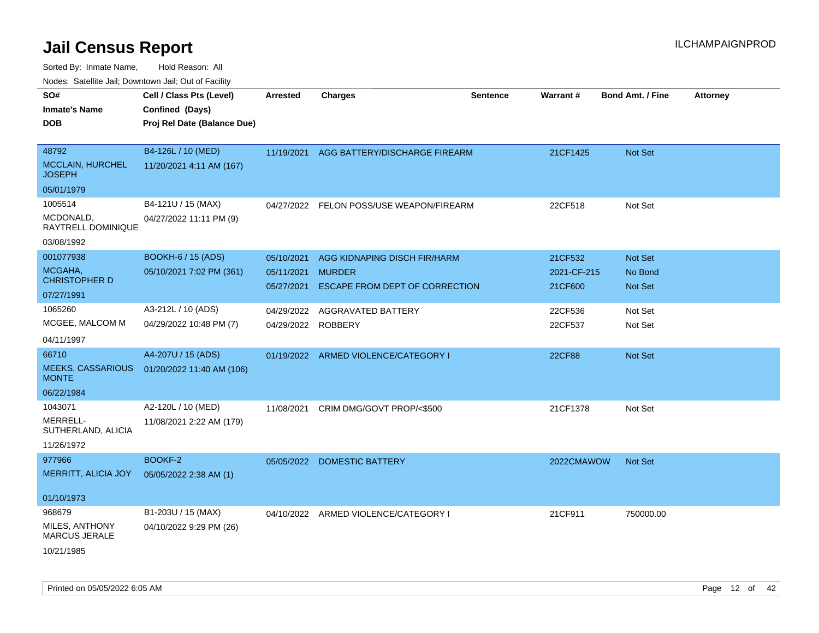Sorted By: Inmate Name, Hold Reason: All

| Nodes: Satellite Jail; Downtown Jail; Out of Facility |  |
|-------------------------------------------------------|--|
|                                                       |  |

| SO#<br><b>Inmate's Name</b><br><b>DOB</b>                  | Cell / Class Pts (Level)<br>Confined (Days)<br>Proj Rel Date (Balance Due) | <b>Arrested</b>                        | <b>Charges</b>                                                                  | <b>Sentence</b> | Warrant#                          | Bond Amt. / Fine              | <b>Attorney</b> |
|------------------------------------------------------------|----------------------------------------------------------------------------|----------------------------------------|---------------------------------------------------------------------------------|-----------------|-----------------------------------|-------------------------------|-----------------|
| 48792<br><b>MCCLAIN, HURCHEL</b><br><b>JOSEPH</b>          | B4-126L / 10 (MED)<br>11/20/2021 4:11 AM (167)                             | 11/19/2021                             | AGG BATTERY/DISCHARGE FIREARM                                                   |                 | 21CF1425                          | Not Set                       |                 |
| 05/01/1979                                                 |                                                                            |                                        |                                                                                 |                 |                                   |                               |                 |
| 1005514<br>MCDONALD,<br>RAYTRELL DOMINIQUE                 | B4-121U / 15 (MAX)<br>04/27/2022 11:11 PM (9)                              |                                        | 04/27/2022 FELON POSS/USE WEAPON/FIREARM                                        |                 | 22CF518                           | Not Set                       |                 |
| 03/08/1992                                                 |                                                                            |                                        |                                                                                 |                 |                                   |                               |                 |
| 001077938<br>MCGAHA,<br><b>CHRISTOPHER D</b><br>07/27/1991 | <b>BOOKH-6 / 15 (ADS)</b><br>05/10/2021 7:02 PM (361)                      | 05/10/2021<br>05/11/2021<br>05/27/2021 | AGG KIDNAPING DISCH FIR/HARM<br><b>MURDER</b><br>ESCAPE FROM DEPT OF CORRECTION |                 | 21CF532<br>2021-CF-215<br>21CF600 | Not Set<br>No Bond<br>Not Set |                 |
| 1065260                                                    | A3-212L / 10 (ADS)                                                         | 04/29/2022                             | AGGRAVATED BATTERY                                                              |                 | 22CF536                           | Not Set                       |                 |
| MCGEE, MALCOM M                                            | 04/29/2022 10:48 PM (7)                                                    | 04/29/2022 ROBBERY                     |                                                                                 |                 | 22CF537                           | Not Set                       |                 |
| 04/11/1997                                                 |                                                                            |                                        |                                                                                 |                 |                                   |                               |                 |
| 66710<br><b>MEEKS, CASSARIOUS</b><br><b>MONTE</b>          | A4-207U / 15 (ADS)<br>01/20/2022 11:40 AM (106)                            |                                        | 01/19/2022 ARMED VIOLENCE/CATEGORY I                                            |                 | <b>22CF88</b>                     | Not Set                       |                 |
| 06/22/1984                                                 |                                                                            |                                        |                                                                                 |                 |                                   |                               |                 |
| 1043071<br>MERRELL-<br>SUTHERLAND, ALICIA<br>11/26/1972    | A2-120L / 10 (MED)<br>11/08/2021 2:22 AM (179)                             | 11/08/2021                             | CRIM DMG/GOVT PROP/<\$500                                                       |                 | 21CF1378                          | Not Set                       |                 |
| 977966                                                     | BOOKF-2                                                                    |                                        | 05/05/2022 DOMESTIC BATTERY                                                     |                 | 2022CMAWOW                        | Not Set                       |                 |
| MERRITT, ALICIA JOY                                        | 05/05/2022 2:38 AM (1)                                                     |                                        |                                                                                 |                 |                                   |                               |                 |
| 01/10/1973                                                 |                                                                            |                                        |                                                                                 |                 |                                   |                               |                 |
| 968679<br>MILES, ANTHONY<br><b>MARCUS JERALE</b>           | B1-203U / 15 (MAX)<br>04/10/2022 9:29 PM (26)                              |                                        | 04/10/2022 ARMED VIOLENCE/CATEGORY I                                            |                 | 21CF911                           | 750000.00                     |                 |
| 10/21/1985                                                 |                                                                            |                                        |                                                                                 |                 |                                   |                               |                 |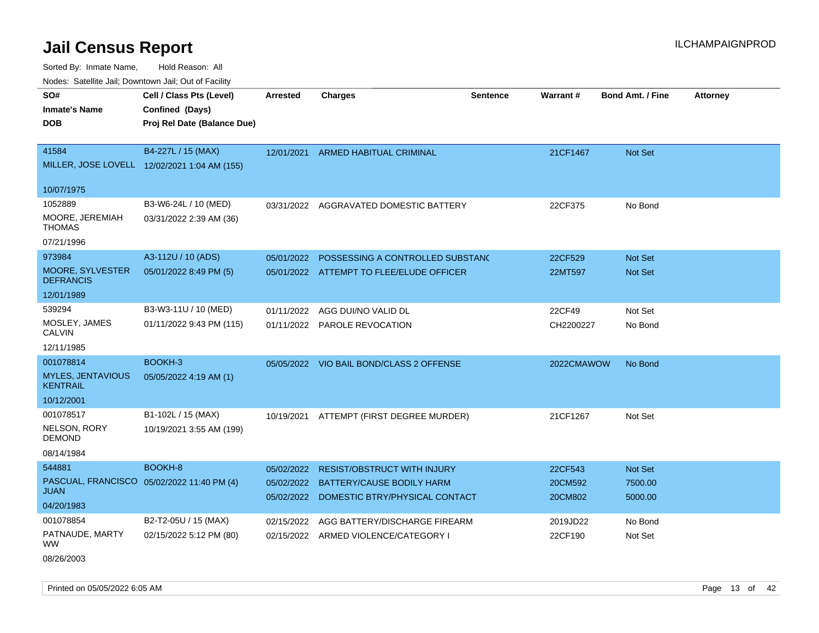Sorted By: Inmate Name, Hold Reason: All

|  |  |  | Nodes: Satellite Jail; Downtown Jail; Out of Facility |
|--|--|--|-------------------------------------------------------|
|--|--|--|-------------------------------------------------------|

| SO#<br><b>Inmate's Name</b>                 | Cell / Class Pts (Level)<br>Confined (Days)  | Arrested   | <b>Charges</b>                                                        | <b>Sentence</b> | <b>Warrant#</b>     | <b>Bond Amt. / Fine</b> | <b>Attorney</b> |
|---------------------------------------------|----------------------------------------------|------------|-----------------------------------------------------------------------|-----------------|---------------------|-------------------------|-----------------|
| <b>DOB</b>                                  | Proj Rel Date (Balance Due)                  |            |                                                                       |                 |                     |                         |                 |
| 41584                                       | B4-227L / 15 (MAX)                           | 12/01/2021 | <b>ARMED HABITUAL CRIMINAL</b>                                        |                 | 21CF1467            | Not Set                 |                 |
|                                             | MILLER, JOSE LOVELL 12/02/2021 1:04 AM (155) |            |                                                                       |                 |                     |                         |                 |
| 10/07/1975                                  |                                              |            |                                                                       |                 |                     |                         |                 |
| 1052889                                     | B3-W6-24L / 10 (MED)                         |            | 03/31/2022 AGGRAVATED DOMESTIC BATTERY                                |                 | 22CF375             | No Bond                 |                 |
| MOORE, JEREMIAH<br><b>THOMAS</b>            | 03/31/2022 2:39 AM (36)                      |            |                                                                       |                 |                     |                         |                 |
| 07/21/1996                                  |                                              |            |                                                                       |                 |                     |                         |                 |
| 973984                                      | A3-112U / 10 (ADS)                           | 05/01/2022 | POSSESSING A CONTROLLED SUBSTANC                                      |                 | 22CF529             | <b>Not Set</b>          |                 |
| MOORE, SYLVESTER<br><b>DEFRANCIS</b>        | 05/01/2022 8:49 PM (5)                       |            | 05/01/2022 ATTEMPT TO FLEE/ELUDE OFFICER                              |                 | 22MT597             | <b>Not Set</b>          |                 |
| 12/01/1989                                  |                                              |            |                                                                       |                 |                     |                         |                 |
| 539294                                      | B3-W3-11U / 10 (MED)                         | 01/11/2022 | AGG DUI/NO VALID DL                                                   |                 | 22CF49              | Not Set                 |                 |
| MOSLEY, JAMES<br><b>CALVIN</b>              | 01/11/2022 9:43 PM (115)                     |            | 01/11/2022 PAROLE REVOCATION                                          |                 | CH2200227           | No Bond                 |                 |
| 12/11/1985                                  |                                              |            |                                                                       |                 |                     |                         |                 |
| 001078814                                   | BOOKH-3                                      | 05/05/2022 | VIO BAIL BOND/CLASS 2 OFFENSE                                         |                 | 2022CMAWOW          | No Bond                 |                 |
| <b>MYLES, JENTAVIOUS</b><br><b>KENTRAIL</b> | 05/05/2022 4:19 AM (1)                       |            |                                                                       |                 |                     |                         |                 |
| 10/12/2001                                  |                                              |            |                                                                       |                 |                     |                         |                 |
| 001078517                                   | B1-102L / 15 (MAX)                           | 10/19/2021 | ATTEMPT (FIRST DEGREE MURDER)                                         |                 | 21CF1267            | Not Set                 |                 |
| NELSON, RORY<br><b>DEMOND</b>               | 10/19/2021 3:55 AM (199)                     |            |                                                                       |                 |                     |                         |                 |
| 08/14/1984                                  |                                              |            |                                                                       |                 |                     |                         |                 |
| 544881                                      | BOOKH-8                                      | 05/02/2022 | <b>RESIST/OBSTRUCT WITH INJURY</b>                                    |                 | 22CF543             | Not Set                 |                 |
| PASCUAL, FRANCISCO<br><b>JUAN</b>           | 05/02/2022 11:40 PM (4)                      |            | 05/02/2022 BATTERY/CAUSE BODILY HARM                                  |                 | 20CM592             | 7500.00                 |                 |
| 04/20/1983                                  |                                              | 05/02/2022 | DOMESTIC BTRY/PHYSICAL CONTACT                                        |                 | 20CM802             | 5000.00                 |                 |
| 001078854                                   | B2-T2-05U / 15 (MAX)                         |            |                                                                       |                 |                     |                         |                 |
| PATNAUDE, MARTY                             | 02/15/2022 5:12 PM (80)                      | 02/15/2022 | AGG BATTERY/DISCHARGE FIREARM<br>02/15/2022 ARMED VIOLENCE/CATEGORY I |                 | 2019JD22<br>22CF190 | No Bond<br>Not Set      |                 |
| <b>WW</b>                                   |                                              |            |                                                                       |                 |                     |                         |                 |

08/26/2003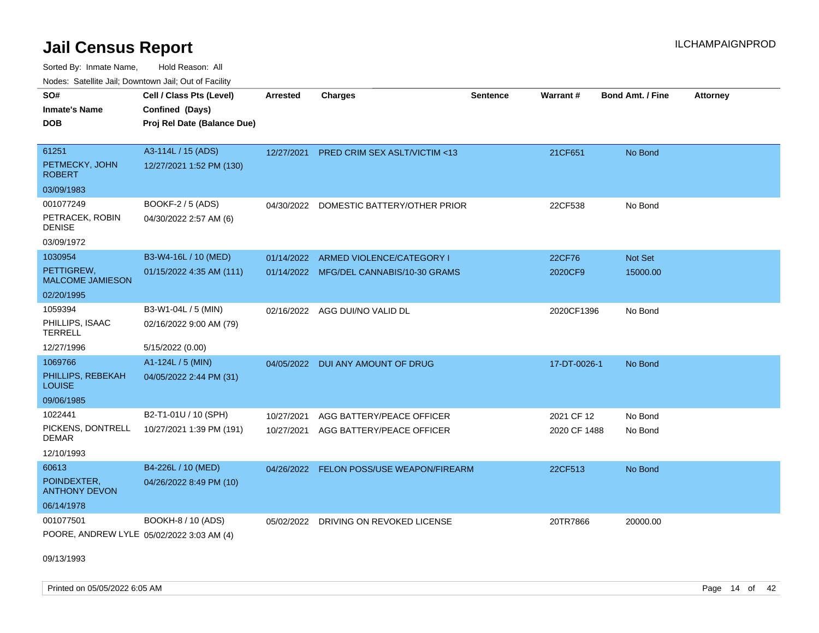Sorted By: Inmate Name, Hold Reason: All Nodes: Satellite Jail; Downtown Jail; Out of Facility

| SO#<br><b>Inmate's Name</b><br><b>DOB</b>                   | Cell / Class Pts (Level)<br>Confined (Days)<br>Proj Rel Date (Balance Due) | <b>Arrested</b>          | <b>Charges</b>                                                       | <b>Sentence</b> | <b>Warrant#</b>            | <b>Bond Amt. / Fine</b> | <b>Attorney</b> |
|-------------------------------------------------------------|----------------------------------------------------------------------------|--------------------------|----------------------------------------------------------------------|-----------------|----------------------------|-------------------------|-----------------|
| 61251<br>PETMECKY, JOHN<br><b>ROBERT</b>                    | A3-114L / 15 (ADS)<br>12/27/2021 1:52 PM (130)                             | 12/27/2021               | <b>PRED CRIM SEX ASLT/VICTIM &lt;13</b>                              |                 | 21CF651                    | No Bond                 |                 |
| 03/09/1983                                                  |                                                                            |                          |                                                                      |                 |                            |                         |                 |
| 001077249<br>PETRACEK, ROBIN<br><b>DENISE</b><br>03/09/1972 | BOOKF-2 / 5 (ADS)<br>04/30/2022 2:57 AM (6)                                |                          | 04/30/2022 DOMESTIC BATTERY/OTHER PRIOR                              |                 | 22CF538                    | No Bond                 |                 |
| 1030954<br>PETTIGREW,<br><b>MALCOME JAMIESON</b>            | B3-W4-16L / 10 (MED)<br>01/15/2022 4:35 AM (111)                           | 01/14/2022               | ARMED VIOLENCE/CATEGORY I<br>01/14/2022 MFG/DEL CANNABIS/10-30 GRAMS |                 | 22CF76<br>2020CF9          | Not Set<br>15000.00     |                 |
| 02/20/1995                                                  |                                                                            |                          |                                                                      |                 |                            |                         |                 |
| 1059394<br>PHILLIPS, ISAAC<br><b>TERRELL</b>                | B3-W1-04L / 5 (MIN)<br>02/16/2022 9:00 AM (79)                             |                          | 02/16/2022 AGG DUI/NO VALID DL                                       |                 | 2020CF1396                 | No Bond                 |                 |
| 12/27/1996                                                  | 5/15/2022 (0.00)                                                           |                          |                                                                      |                 |                            |                         |                 |
| 1069766<br>PHILLIPS, REBEKAH<br><b>LOUISE</b>               | A1-124L / 5 (MIN)<br>04/05/2022 2:44 PM (31)                               | 04/05/2022               | DUI ANY AMOUNT OF DRUG                                               |                 | 17-DT-0026-1               | No Bond                 |                 |
| 09/06/1985                                                  |                                                                            |                          |                                                                      |                 |                            |                         |                 |
| 1022441<br>PICKENS, DONTRELL<br><b>DEMAR</b><br>12/10/1993  | B2-T1-01U / 10 (SPH)<br>10/27/2021 1:39 PM (191)                           | 10/27/2021<br>10/27/2021 | AGG BATTERY/PEACE OFFICER<br>AGG BATTERY/PEACE OFFICER               |                 | 2021 CF 12<br>2020 CF 1488 | No Bond<br>No Bond      |                 |
| 60613<br>POINDEXTER.                                        | B4-226L / 10 (MED)                                                         | 04/26/2022               | <b>FELON POSS/USE WEAPON/FIREARM</b>                                 |                 | 22CF513                    | No Bond                 |                 |
| <b>ANTHONY DEVON</b><br>06/14/1978                          | 04/26/2022 8:49 PM (10)                                                    |                          |                                                                      |                 |                            |                         |                 |
| 001077501<br>POORE, ANDREW LYLE 05/02/2022 3:03 AM (4)      | BOOKH-8 / 10 (ADS)                                                         | 05/02/2022               | DRIVING ON REVOKED LICENSE                                           |                 | 20TR7866                   | 20000.00                |                 |

09/13/1993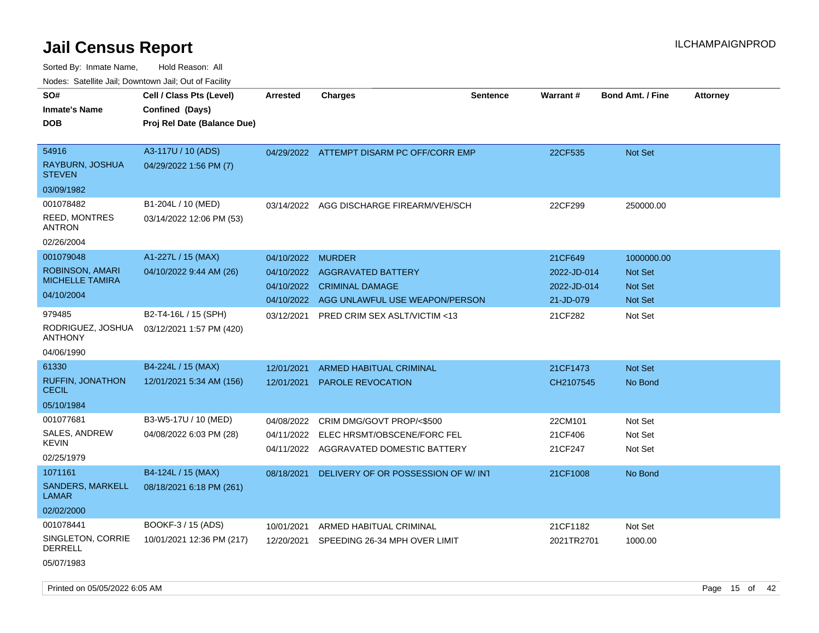| rouco. Calcinic Jan, Downtown Jan, Out of Facility |                             |                 |                                           |                 |             |                         |                 |
|----------------------------------------------------|-----------------------------|-----------------|-------------------------------------------|-----------------|-------------|-------------------------|-----------------|
| SO#                                                | Cell / Class Pts (Level)    | <b>Arrested</b> | <b>Charges</b>                            | <b>Sentence</b> | Warrant#    | <b>Bond Amt. / Fine</b> | <b>Attorney</b> |
| Inmate's Name                                      | Confined (Days)             |                 |                                           |                 |             |                         |                 |
| DOB                                                | Proj Rel Date (Balance Due) |                 |                                           |                 |             |                         |                 |
|                                                    |                             |                 |                                           |                 |             |                         |                 |
| 54916                                              | A3-117U / 10 (ADS)          |                 | 04/29/2022 ATTEMPT DISARM PC OFF/CORR EMP |                 | 22CF535     | Not Set                 |                 |
| RAYBURN, JOSHUA<br><b>STEVEN</b>                   | 04/29/2022 1:56 PM (7)      |                 |                                           |                 |             |                         |                 |
| 03/09/1982                                         |                             |                 |                                           |                 |             |                         |                 |
| 001078482                                          | B1-204L / 10 (MED)          | 03/14/2022      | AGG DISCHARGE FIREARM/VEH/SCH             |                 | 22CF299     | 250000.00               |                 |
| <b>REED, MONTRES</b><br>ANTRON                     | 03/14/2022 12:06 PM (53)    |                 |                                           |                 |             |                         |                 |
| 02/26/2004                                         |                             |                 |                                           |                 |             |                         |                 |
| 001079048                                          | A1-227L / 15 (MAX)          | 04/10/2022      | <b>MURDER</b>                             |                 | 21CF649     | 1000000.00              |                 |
| <b>ROBINSON, AMARI</b>                             | 04/10/2022 9:44 AM (26)     | 04/10/2022      | <b>AGGRAVATED BATTERY</b>                 |                 | 2022-JD-014 | <b>Not Set</b>          |                 |
| <b>MICHELLE TAMIRA</b>                             |                             | 04/10/2022      | <b>CRIMINAL DAMAGE</b>                    |                 | 2022-JD-014 | <b>Not Set</b>          |                 |
| 04/10/2004                                         |                             | 04/10/2022      | AGG UNLAWFUL USE WEAPON/PERSON            |                 | 21-JD-079   | <b>Not Set</b>          |                 |
| 979485                                             | B2-T4-16L / 15 (SPH)        | 03/12/2021      | <b>PRED CRIM SEX ASLT/VICTIM &lt;13</b>   |                 | 21CF282     | Not Set                 |                 |
| RODRIGUEZ, JOSHUA<br>ANTHONY                       | 03/12/2021 1:57 PM (420)    |                 |                                           |                 |             |                         |                 |
| 04/06/1990                                         |                             |                 |                                           |                 |             |                         |                 |
| 61330                                              | B4-224L / 15 (MAX)          | 12/01/2021      | <b>ARMED HABITUAL CRIMINAL</b>            |                 | 21CF1473    | <b>Not Set</b>          |                 |
| <b>RUFFIN, JONATHON</b><br>CECIL                   | 12/01/2021 5:34 AM (156)    | 12/01/2021      | <b>PAROLE REVOCATION</b>                  |                 | CH2107545   | No Bond                 |                 |
| 05/10/1984                                         |                             |                 |                                           |                 |             |                         |                 |
| 001077681                                          | B3-W5-17U / 10 (MED)        | 04/08/2022      | CRIM DMG/GOVT PROP/<\$500                 |                 | 22CM101     | Not Set                 |                 |
| <b>SALES, ANDREW</b>                               | 04/08/2022 6:03 PM (28)     | 04/11/2022      | ELEC HRSMT/OBSCENE/FORC FEL               |                 | 21CF406     | Not Set                 |                 |
| KEVIN                                              |                             | 04/11/2022      | AGGRAVATED DOMESTIC BATTERY               |                 | 21CF247     | Not Set                 |                 |
| 02/25/1979                                         |                             |                 |                                           |                 |             |                         |                 |
| 1071161                                            | B4-124L / 15 (MAX)          | 08/18/2021      | DELIVERY OF OR POSSESSION OF W/INT        |                 | 21CF1008    | No Bond                 |                 |
| <b>SANDERS, MARKELL</b><br>LAMAR                   | 08/18/2021 6:18 PM (261)    |                 |                                           |                 |             |                         |                 |
| 02/02/2000                                         |                             |                 |                                           |                 |             |                         |                 |
| 001078441                                          | BOOKF-3 / 15 (ADS)          | 10/01/2021      | ARMED HABITUAL CRIMINAL                   |                 | 21CF1182    | Not Set                 |                 |
| SINGLETON, CORRIE<br>DERRELL                       | 10/01/2021 12:36 PM (217)   | 12/20/2021      | SPEEDING 26-34 MPH OVER LIMIT             |                 | 2021TR2701  | 1000.00                 |                 |
| 05/07/1983                                         |                             |                 |                                           |                 |             |                         |                 |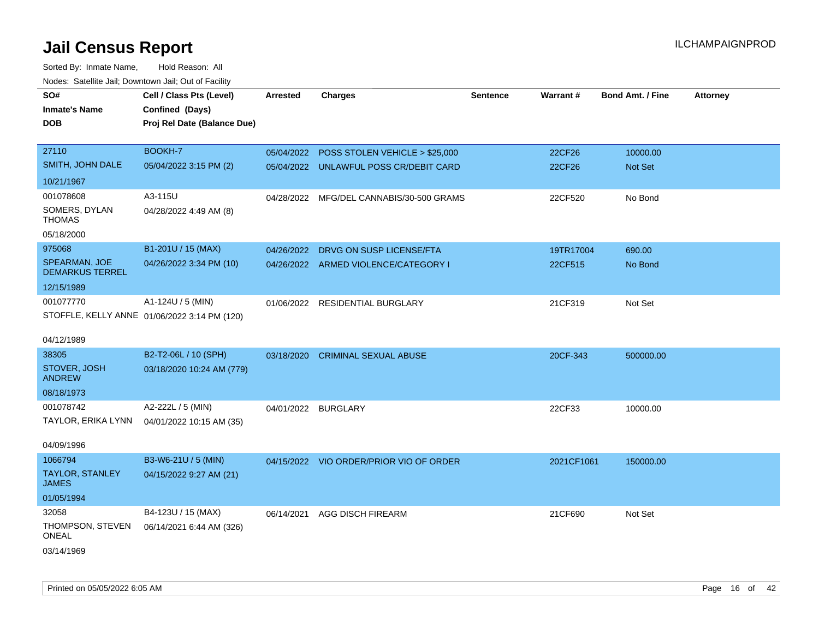| Nudes. Satellite Jali, Downtown Jali, Out of Facility |                                              |                     |                                           |                 |            |                         |                 |
|-------------------------------------------------------|----------------------------------------------|---------------------|-------------------------------------------|-----------------|------------|-------------------------|-----------------|
| SO#                                                   | Cell / Class Pts (Level)                     | <b>Arrested</b>     | <b>Charges</b>                            | <b>Sentence</b> | Warrant#   | <b>Bond Amt. / Fine</b> | <b>Attorney</b> |
| Inmate's Name                                         | Confined (Days)                              |                     |                                           |                 |            |                         |                 |
| <b>DOB</b>                                            | Proj Rel Date (Balance Due)                  |                     |                                           |                 |            |                         |                 |
|                                                       |                                              |                     |                                           |                 |            |                         |                 |
| 27110                                                 | BOOKH-7                                      |                     | 05/04/2022 POSS STOLEN VEHICLE > \$25,000 |                 | 22CF26     | 10000.00                |                 |
| SMITH, JOHN DALE                                      | 05/04/2022 3:15 PM (2)                       |                     | 05/04/2022 UNLAWFUL POSS CR/DEBIT CARD    |                 | 22CF26     | <b>Not Set</b>          |                 |
| 10/21/1967                                            |                                              |                     |                                           |                 |            |                         |                 |
| 001078608                                             | A3-115U                                      |                     | 04/28/2022 MFG/DEL CANNABIS/30-500 GRAMS  |                 | 22CF520    | No Bond                 |                 |
| SOMERS, DYLAN<br>THOMAS                               | 04/28/2022 4:49 AM (8)                       |                     |                                           |                 |            |                         |                 |
| 05/18/2000                                            |                                              |                     |                                           |                 |            |                         |                 |
| 975068                                                | B1-201U / 15 (MAX)                           | 04/26/2022          | DRVG ON SUSP LICENSE/FTA                  |                 | 19TR17004  | 690.00                  |                 |
| SPEARMAN, JOE<br><b>DEMARKUS TERREL</b>               | 04/26/2022 3:34 PM (10)                      |                     | 04/26/2022 ARMED VIOLENCE/CATEGORY I      |                 | 22CF515    | No Bond                 |                 |
| 12/15/1989                                            |                                              |                     |                                           |                 |            |                         |                 |
| 001077770                                             | A1-124U / 5 (MIN)                            |                     | 01/06/2022 RESIDENTIAL BURGLARY           |                 | 21CF319    | Not Set                 |                 |
|                                                       | STOFFLE, KELLY ANNE 01/06/2022 3:14 PM (120) |                     |                                           |                 |            |                         |                 |
|                                                       |                                              |                     |                                           |                 |            |                         |                 |
| 04/12/1989                                            |                                              |                     |                                           |                 |            |                         |                 |
| 38305                                                 | B2-T2-06L / 10 (SPH)                         |                     | 03/18/2020 CRIMINAL SEXUAL ABUSE          |                 | 20CF-343   | 500000.00               |                 |
| STOVER, JOSH<br>ANDREW                                | 03/18/2020 10:24 AM (779)                    |                     |                                           |                 |            |                         |                 |
| 08/18/1973                                            |                                              |                     |                                           |                 |            |                         |                 |
| 001078742                                             | A2-222L / 5 (MIN)                            | 04/01/2022 BURGLARY |                                           |                 | 22CF33     | 10000.00                |                 |
| TAYLOR, ERIKA LYNN                                    | 04/01/2022 10:15 AM (35)                     |                     |                                           |                 |            |                         |                 |
|                                                       |                                              |                     |                                           |                 |            |                         |                 |
| 04/09/1996                                            |                                              |                     |                                           |                 |            |                         |                 |
| 1066794                                               | B3-W6-21U / 5 (MIN)                          |                     | 04/15/2022 VIO ORDER/PRIOR VIO OF ORDER   |                 | 2021CF1061 | 150000.00               |                 |
| TAYLOR, STANLEY<br>JAMES                              | 04/15/2022 9:27 AM (21)                      |                     |                                           |                 |            |                         |                 |
| 01/05/1994                                            |                                              |                     |                                           |                 |            |                         |                 |
| 32058                                                 | B4-123U / 15 (MAX)                           | 06/14/2021          | <b>AGG DISCH FIREARM</b>                  |                 | 21CF690    | Not Set                 |                 |
| THOMPSON, STEVEN<br>ONEAL                             | 06/14/2021 6:44 AM (326)                     |                     |                                           |                 |            |                         |                 |
| 03/14/1969                                            |                                              |                     |                                           |                 |            |                         |                 |
|                                                       |                                              |                     |                                           |                 |            |                         |                 |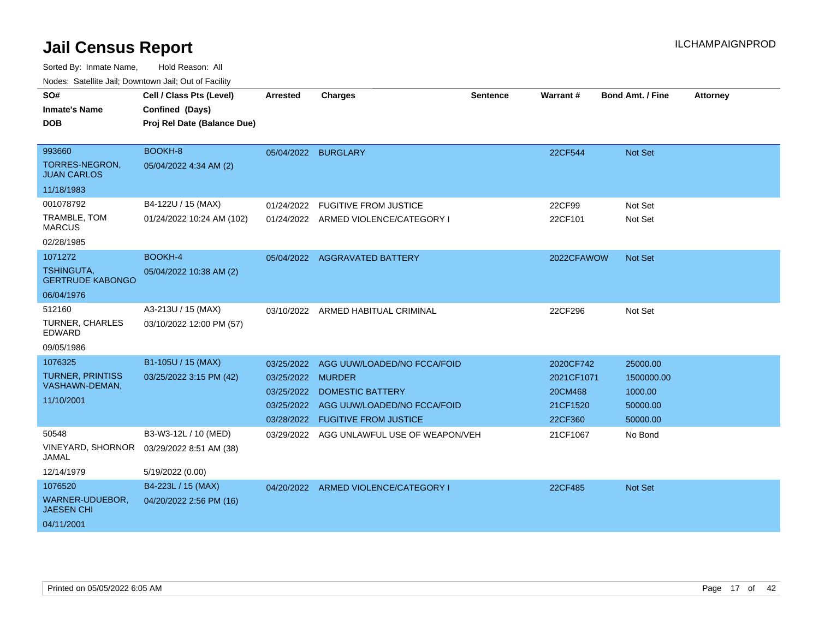| routes. Salemite Jan, Downlown Jan, Out of Facility |                             |                   |                                           |                 |            |                         |                 |
|-----------------------------------------------------|-----------------------------|-------------------|-------------------------------------------|-----------------|------------|-------------------------|-----------------|
| SO#                                                 | Cell / Class Pts (Level)    | <b>Arrested</b>   | <b>Charges</b>                            | <b>Sentence</b> | Warrant#   | <b>Bond Amt. / Fine</b> | <b>Attorney</b> |
| <b>Inmate's Name</b>                                | Confined (Days)             |                   |                                           |                 |            |                         |                 |
| <b>DOB</b>                                          | Proj Rel Date (Balance Due) |                   |                                           |                 |            |                         |                 |
|                                                     |                             |                   |                                           |                 |            |                         |                 |
| 993660                                              | BOOKH-8                     |                   | 05/04/2022 BURGLARY                       |                 | 22CF544    | Not Set                 |                 |
| TORRES-NEGRON.<br><b>JUAN CARLOS</b>                | 05/04/2022 4:34 AM (2)      |                   |                                           |                 |            |                         |                 |
| 11/18/1983                                          |                             |                   |                                           |                 |            |                         |                 |
| 001078792                                           | B4-122U / 15 (MAX)          | 01/24/2022        | <b>FUGITIVE FROM JUSTICE</b>              |                 | 22CF99     | Not Set                 |                 |
| TRAMBLE, TOM<br><b>MARCUS</b>                       | 01/24/2022 10:24 AM (102)   |                   | 01/24/2022 ARMED VIOLENCE/CATEGORY I      |                 | 22CF101    | Not Set                 |                 |
| 02/28/1985                                          |                             |                   |                                           |                 |            |                         |                 |
| 1071272                                             | <b>BOOKH-4</b>              |                   | 05/04/2022 AGGRAVATED BATTERY             |                 | 2022CFAWOW | <b>Not Set</b>          |                 |
| TSHINGUTA,<br><b>GERTRUDE KABONGO</b>               | 05/04/2022 10:38 AM (2)     |                   |                                           |                 |            |                         |                 |
| 06/04/1976                                          |                             |                   |                                           |                 |            |                         |                 |
| 512160                                              | A3-213U / 15 (MAX)          |                   | 03/10/2022 ARMED HABITUAL CRIMINAL        |                 | 22CF296    | Not Set                 |                 |
| <b>TURNER, CHARLES</b><br>EDWARD                    | 03/10/2022 12:00 PM (57)    |                   |                                           |                 |            |                         |                 |
| 09/05/1986                                          |                             |                   |                                           |                 |            |                         |                 |
| 1076325                                             | B1-105U / 15 (MAX)          | 03/25/2022        | AGG UUW/LOADED/NO FCCA/FOID               |                 | 2020CF742  | 25000.00                |                 |
| <b>TURNER, PRINTISS</b>                             | 03/25/2022 3:15 PM (42)     | 03/25/2022 MURDER |                                           |                 | 2021CF1071 | 1500000.00              |                 |
| VASHAWN-DEMAN,                                      |                             | 03/25/2022        | <b>DOMESTIC BATTERY</b>                   |                 | 20CM468    | 1000.00                 |                 |
| 11/10/2001                                          |                             |                   | 03/25/2022 AGG UUW/LOADED/NO FCCA/FOID    |                 | 21CF1520   | 50000.00                |                 |
|                                                     |                             |                   | 03/28/2022 FUGITIVE FROM JUSTICE          |                 | 22CF360    | 50000.00                |                 |
| 50548                                               | B3-W3-12L / 10 (MED)        |                   | 03/29/2022 AGG UNLAWFUL USE OF WEAPON/VEH |                 | 21CF1067   | No Bond                 |                 |
| VINEYARD, SHORNOR<br>JAMAL                          | 03/29/2022 8:51 AM (38)     |                   |                                           |                 |            |                         |                 |
| 12/14/1979                                          | 5/19/2022 (0.00)            |                   |                                           |                 |            |                         |                 |
| 1076520                                             | B4-223L / 15 (MAX)          |                   | 04/20/2022 ARMED VIOLENCE/CATEGORY I      |                 | 22CF485    | <b>Not Set</b>          |                 |
| WARNER-UDUEBOR,<br><b>JAESEN CHI</b>                | 04/20/2022 2:56 PM (16)     |                   |                                           |                 |            |                         |                 |
| 04/11/2001                                          |                             |                   |                                           |                 |            |                         |                 |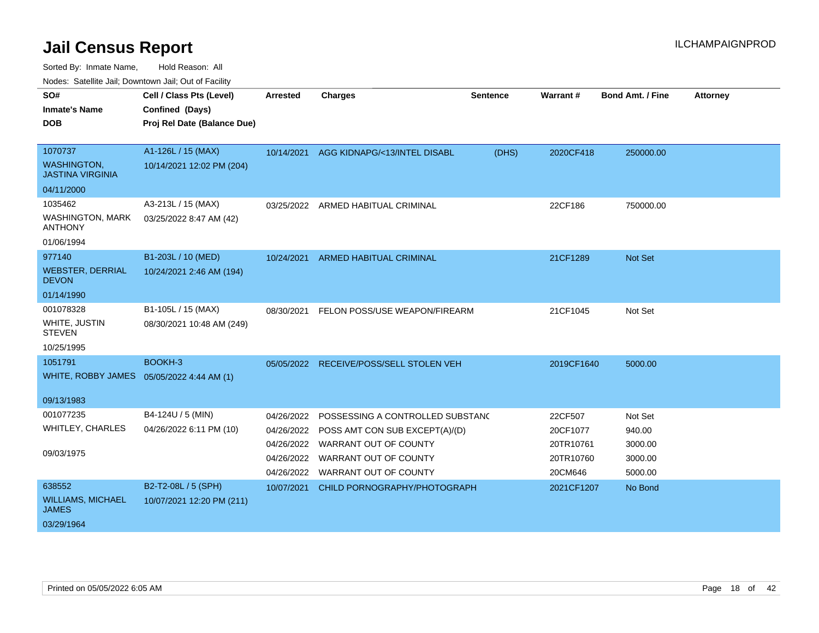Sorted By: Inmate Name, Hold Reason: All

Nodes: Satellite Jail; Downtown Jail; Out of Facility

| SO#<br><b>Inmate's Name</b><br><b>DOB</b>                        | Cell / Class Pts (Level)<br>Confined (Days)<br>Proj Rel Date (Balance Due) | <b>Arrested</b> | <b>Charges</b>                                                                                                    | Sentence | Warrant#                         | <b>Bond Amt. / Fine</b>      | <b>Attorney</b> |
|------------------------------------------------------------------|----------------------------------------------------------------------------|-----------------|-------------------------------------------------------------------------------------------------------------------|----------|----------------------------------|------------------------------|-----------------|
| 1070737<br><b>WASHINGTON,</b><br><b>JASTINA VIRGINIA</b>         | A1-126L / 15 (MAX)<br>10/14/2021 12:02 PM (204)                            |                 | 10/14/2021 AGG KIDNAPG/<13/INTEL DISABL                                                                           | (DHS)    | 2020CF418                        | 250000.00                    |                 |
| 04/11/2000                                                       |                                                                            |                 |                                                                                                                   |          |                                  |                              |                 |
| 1035462<br><b>WASHINGTON, MARK</b><br><b>ANTHONY</b>             | A3-213L / 15 (MAX)<br>03/25/2022 8:47 AM (42)                              |                 | 03/25/2022 ARMED HABITUAL CRIMINAL                                                                                |          | 22CF186                          | 750000.00                    |                 |
| 01/06/1994<br>977140                                             | B1-203L / 10 (MED)                                                         |                 |                                                                                                                   |          |                                  |                              |                 |
| <b>WEBSTER, DERRIAL</b><br><b>DEVON</b>                          | 10/24/2021 2:46 AM (194)                                                   | 10/24/2021      | ARMED HABITUAL CRIMINAL                                                                                           |          | 21CF1289                         | <b>Not Set</b>               |                 |
| 01/14/1990                                                       |                                                                            |                 |                                                                                                                   |          |                                  |                              |                 |
| 001078328<br>WHITE, JUSTIN<br><b>STEVEN</b><br>10/25/1995        | B1-105L / 15 (MAX)<br>08/30/2021 10:48 AM (249)                            | 08/30/2021      | FELON POSS/USE WEAPON/FIREARM                                                                                     |          | 21CF1045                         | Not Set                      |                 |
| 1051791                                                          | BOOKH-3                                                                    |                 | 05/05/2022 RECEIVE/POSS/SELL STOLEN VEH                                                                           |          | 2019CF1640                       | 5000.00                      |                 |
| WHITE, ROBBY JAMES 05/05/2022 4:44 AM (1)<br>09/13/1983          |                                                                            |                 |                                                                                                                   |          |                                  |                              |                 |
| 001077235<br><b>WHITLEY, CHARLES</b><br>09/03/1975               | B4-124U / 5 (MIN)<br>04/26/2022 6:11 PM (10)                               | 04/26/2022      | POSSESSING A CONTROLLED SUBSTANC<br>04/26/2022 POSS AMT CON SUB EXCEPT(A)/(D)<br>04/26/2022 WARRANT OUT OF COUNTY |          | 22CF507<br>20CF1077<br>20TR10761 | Not Set<br>940.00<br>3000.00 |                 |
|                                                                  |                                                                            | 04/26/2022      | WARRANT OUT OF COUNTY<br>04/26/2022 WARRANT OUT OF COUNTY                                                         |          | 20TR10760<br>20CM646             | 3000.00<br>5000.00           |                 |
| 638552<br><b>WILLIAMS, MICHAEL</b><br><b>JAMES</b><br>03/29/1964 | B2-T2-08L / 5 (SPH)<br>10/07/2021 12:20 PM (211)                           | 10/07/2021      | CHILD PORNOGRAPHY/PHOTOGRAPH                                                                                      |          | 2021CF1207                       | No Bond                      |                 |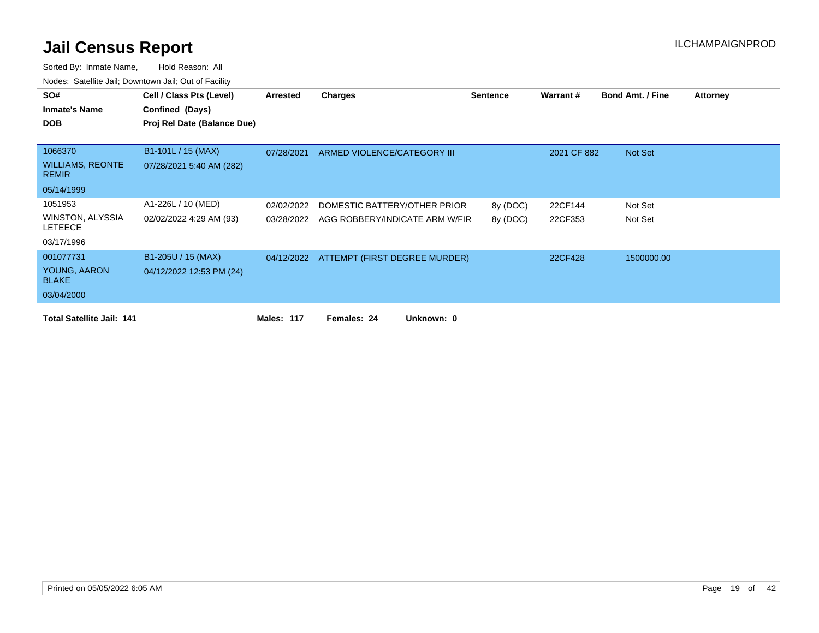| SO#                                       | Cell / Class Pts (Level)    | Arrested   | <b>Charges</b>                           | <b>Sentence</b> | <b>Warrant#</b> | <b>Bond Amt. / Fine</b> | <b>Attorney</b> |
|-------------------------------------------|-----------------------------|------------|------------------------------------------|-----------------|-----------------|-------------------------|-----------------|
|                                           |                             |            |                                          |                 |                 |                         |                 |
| <b>Inmate's Name</b>                      | Confined (Days)             |            |                                          |                 |                 |                         |                 |
| <b>DOB</b>                                | Proj Rel Date (Balance Due) |            |                                          |                 |                 |                         |                 |
|                                           |                             |            |                                          |                 |                 |                         |                 |
| 1066370                                   | B1-101L / 15 (MAX)          | 07/28/2021 | ARMED VIOLENCE/CATEGORY III              |                 | 2021 CF 882     | Not Set                 |                 |
| <b>WILLIAMS, REONTE</b><br><b>REMIR</b>   | 07/28/2021 5:40 AM (282)    |            |                                          |                 |                 |                         |                 |
| 05/14/1999                                |                             |            |                                          |                 |                 |                         |                 |
| 1051953                                   | A1-226L / 10 (MED)          | 02/02/2022 | DOMESTIC BATTERY/OTHER PRIOR             | 8y (DOC)        | 22CF144         | Not Set                 |                 |
| <b>WINSTON, ALYSSIA</b><br><b>LETEECE</b> | 02/02/2022 4:29 AM (93)     | 03/28/2022 | AGG ROBBERY/INDICATE ARM W/FIR           | 8y (DOC)        | 22CF353         | Not Set                 |                 |
| 03/17/1996                                |                             |            |                                          |                 |                 |                         |                 |
| 001077731                                 | B1-205U / 15 (MAX)          |            | 04/12/2022 ATTEMPT (FIRST DEGREE MURDER) |                 | 22CF428         | 1500000.00              |                 |
| YOUNG, AARON<br><b>BLAKE</b>              | 04/12/2022 12:53 PM (24)    |            |                                          |                 |                 |                         |                 |
| 03/04/2000                                |                             |            |                                          |                 |                 |                         |                 |
| <b>Total Satellite Jail: 141</b>          |                             | Males: 117 | Unknown: 0<br>Females: 24                |                 |                 |                         |                 |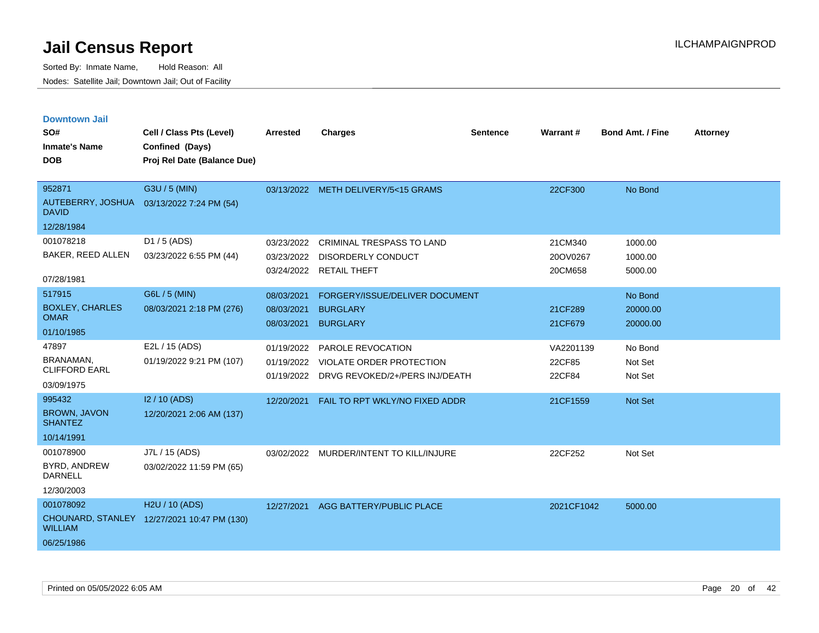| <b>Downtown Jail</b>                  |                                             |                 |                                         |                 |                 |                         |                 |
|---------------------------------------|---------------------------------------------|-----------------|-----------------------------------------|-----------------|-----------------|-------------------------|-----------------|
| SO#                                   | Cell / Class Pts (Level)                    | <b>Arrested</b> | <b>Charges</b>                          | <b>Sentence</b> | <b>Warrant#</b> | <b>Bond Amt. / Fine</b> | <b>Attorney</b> |
| <b>Inmate's Name</b>                  | Confined (Days)                             |                 |                                         |                 |                 |                         |                 |
| <b>DOB</b>                            | Proj Rel Date (Balance Due)                 |                 |                                         |                 |                 |                         |                 |
|                                       |                                             |                 |                                         |                 |                 |                         |                 |
| 952871                                | G3U / 5 (MIN)                               |                 | 03/13/2022 METH DELIVERY/5<15 GRAMS     |                 | 22CF300         | No Bond                 |                 |
| AUTEBERRY, JOSHUA<br><b>DAVID</b>     | 03/13/2022 7:24 PM (54)                     |                 |                                         |                 |                 |                         |                 |
| 12/28/1984                            |                                             |                 |                                         |                 |                 |                         |                 |
| 001078218                             | $D1 / 5$ (ADS)                              | 03/23/2022      | <b>CRIMINAL TRESPASS TO LAND</b>        |                 | 21CM340         | 1000.00                 |                 |
| BAKER, REED ALLEN                     | 03/23/2022 6:55 PM (44)                     | 03/23/2022      | <b>DISORDERLY CONDUCT</b>               |                 | 20OV0267        | 1000.00                 |                 |
| 07/28/1981                            |                                             | 03/24/2022      | <b>RETAIL THEFT</b>                     |                 | 20CM658         | 5000.00                 |                 |
| 517915                                | G6L / 5 (MIN)                               | 08/03/2021      | FORGERY/ISSUE/DELIVER DOCUMENT          |                 |                 | No Bond                 |                 |
| <b>BOXLEY, CHARLES</b><br><b>OMAR</b> | 08/03/2021 2:18 PM (276)                    | 08/03/2021      | <b>BURGLARY</b>                         |                 | 21CF289         | 20000.00                |                 |
| 01/10/1985                            |                                             | 08/03/2021      | <b>BURGLARY</b>                         |                 | 21CF679         | 20000.00                |                 |
| 47897                                 | E2L / 15 (ADS)                              | 01/19/2022      | PAROLE REVOCATION                       |                 | VA2201139       | No Bond                 |                 |
| <b>BRANAMAN</b>                       | 01/19/2022 9:21 PM (107)                    | 01/19/2022      | VIOLATE ORDER PROTECTION                |                 | 22CF85          | Not Set                 |                 |
| <b>CLIFFORD EARL</b>                  |                                             | 01/19/2022      | DRVG REVOKED/2+/PERS INJ/DEATH          |                 | 22CF84          | Not Set                 |                 |
| 03/09/1975                            |                                             |                 |                                         |                 |                 |                         |                 |
| 995432                                | I2 / 10 (ADS)                               | 12/20/2021      | FAIL TO RPT WKLY/NO FIXED ADDR          |                 | 21CF1559        | <b>Not Set</b>          |                 |
| <b>BROWN, JAVON</b><br><b>SHANTEZ</b> | 12/20/2021 2:06 AM (137)                    |                 |                                         |                 |                 |                         |                 |
| 10/14/1991                            |                                             |                 |                                         |                 |                 |                         |                 |
| 001078900                             | J7L / 15 (ADS)                              |                 | 03/02/2022 MURDER/INTENT TO KILL/INJURE |                 | 22CF252         | Not Set                 |                 |
| BYRD, ANDREW<br><b>DARNELL</b>        | 03/02/2022 11:59 PM (65)                    |                 |                                         |                 |                 |                         |                 |
| 12/30/2003                            |                                             |                 |                                         |                 |                 |                         |                 |
| 001078092                             | H <sub>2</sub> U / 10 (ADS)                 | 12/27/2021      | AGG BATTERY/PUBLIC PLACE                |                 | 2021CF1042      | 5000.00                 |                 |
| <b>WILLIAM</b>                        | CHOUNARD, STANLEY 12/27/2021 10:47 PM (130) |                 |                                         |                 |                 |                         |                 |
| 06/25/1986                            |                                             |                 |                                         |                 |                 |                         |                 |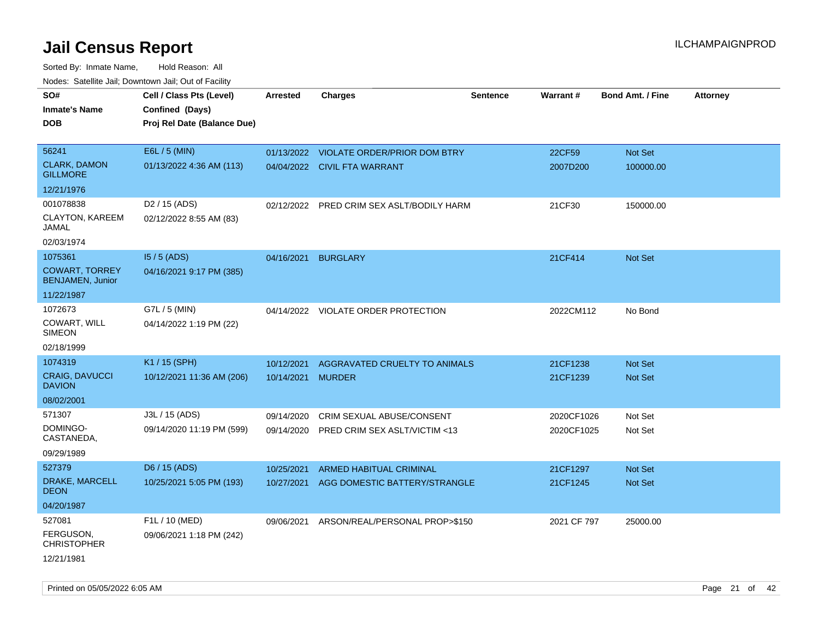Sorted By: Inmate Name, Hold Reason: All Nodes: Satellite Jail; Downtown Jail; Out of Facility

| SO#                                              | Cell / Class Pts (Level)    | <b>Arrested</b> | <b>Charges</b>                            | Sentence | Warrant#    | <b>Bond Amt. / Fine</b> | <b>Attorney</b> |
|--------------------------------------------------|-----------------------------|-----------------|-------------------------------------------|----------|-------------|-------------------------|-----------------|
| <b>Inmate's Name</b>                             | Confined (Days)             |                 |                                           |          |             |                         |                 |
| <b>DOB</b>                                       | Proj Rel Date (Balance Due) |                 |                                           |          |             |                         |                 |
|                                                  |                             |                 |                                           |          |             |                         |                 |
| 56241                                            | E6L / 5 (MIN)               |                 | 01/13/2022 VIOLATE ORDER/PRIOR DOM BTRY   |          | 22CF59      | Not Set                 |                 |
| <b>CLARK, DAMON</b><br><b>GILLMORE</b>           | 01/13/2022 4:36 AM (113)    |                 | 04/04/2022 CIVIL FTA WARRANT              |          | 2007D200    | 100000.00               |                 |
| 12/21/1976                                       |                             |                 |                                           |          |             |                         |                 |
| 001078838                                        | D <sub>2</sub> / 15 (ADS)   |                 | 02/12/2022 PRED CRIM SEX ASLT/BODILY HARM |          | 21CF30      | 150000.00               |                 |
| CLAYTON, KAREEM<br>JAMAL                         | 02/12/2022 8:55 AM (83)     |                 |                                           |          |             |                         |                 |
| 02/03/1974                                       |                             |                 |                                           |          |             |                         |                 |
| 1075361                                          | $15/5$ (ADS)                | 04/16/2021      | <b>BURGLARY</b>                           |          | 21CF414     | <b>Not Set</b>          |                 |
| <b>COWART, TORREY</b><br><b>BENJAMEN, Junior</b> | 04/16/2021 9:17 PM (385)    |                 |                                           |          |             |                         |                 |
| 11/22/1987                                       |                             |                 |                                           |          |             |                         |                 |
| 1072673                                          | G7L / 5 (MIN)               |                 | 04/14/2022 VIOLATE ORDER PROTECTION       |          | 2022CM112   | No Bond                 |                 |
| COWART, WILL<br><b>SIMEON</b>                    | 04/14/2022 1:19 PM (22)     |                 |                                           |          |             |                         |                 |
| 02/18/1999                                       |                             |                 |                                           |          |             |                         |                 |
| 1074319                                          | K1 / 15 (SPH)               | 10/12/2021      | AGGRAVATED CRUELTY TO ANIMALS             |          | 21CF1238    | <b>Not Set</b>          |                 |
| CRAIG, DAVUCCI<br><b>DAVION</b>                  | 10/12/2021 11:36 AM (206)   | 10/14/2021      | <b>MURDER</b>                             |          | 21CF1239    | Not Set                 |                 |
| 08/02/2001                                       |                             |                 |                                           |          |             |                         |                 |
| 571307                                           | J3L / 15 (ADS)              | 09/14/2020      | CRIM SEXUAL ABUSE/CONSENT                 |          | 2020CF1026  | Not Set                 |                 |
| DOMINGO-<br>CASTANEDA,                           | 09/14/2020 11:19 PM (599)   | 09/14/2020      | PRED CRIM SEX ASLT/VICTIM <13             |          | 2020CF1025  | Not Set                 |                 |
| 09/29/1989                                       |                             |                 |                                           |          |             |                         |                 |
| 527379                                           | D6 / 15 (ADS)               | 10/25/2021      | <b>ARMED HABITUAL CRIMINAL</b>            |          | 21CF1297    | <b>Not Set</b>          |                 |
| DRAKE, MARCELL<br><b>DEON</b>                    | 10/25/2021 5:05 PM (193)    | 10/27/2021      | AGG DOMESTIC BATTERY/STRANGLE             |          | 21CF1245    | <b>Not Set</b>          |                 |
| 04/20/1987                                       |                             |                 |                                           |          |             |                         |                 |
| 527081                                           | F1L / 10 (MED)              | 09/06/2021      | ARSON/REAL/PERSONAL PROP>\$150            |          | 2021 CF 797 | 25000.00                |                 |
| FERGUSON,<br><b>CHRISTOPHER</b>                  | 09/06/2021 1:18 PM (242)    |                 |                                           |          |             |                         |                 |
| 12/21/1981                                       |                             |                 |                                           |          |             |                         |                 |

Printed on 05/05/2022 6:05 AM Page 21 of 42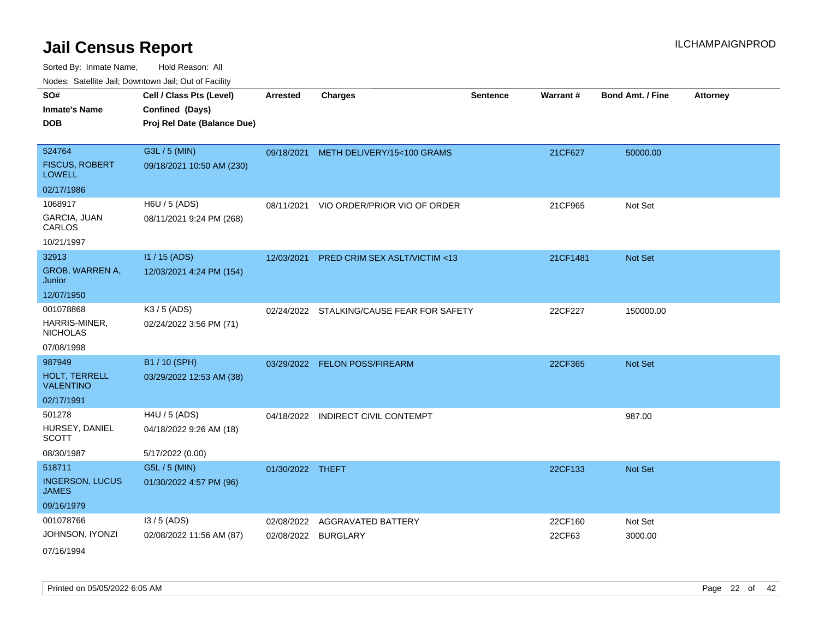Sorted By: Inmate Name, Hold Reason: All Nodes: Satellite Jail; Downtown Jail; Out of Facility

|                                   | ivodes. Satellite Jali, Downtown Jali, Out of Facility |                  |                                           |                 |          |                         |                 |
|-----------------------------------|--------------------------------------------------------|------------------|-------------------------------------------|-----------------|----------|-------------------------|-----------------|
| SO#                               | Cell / Class Pts (Level)                               | <b>Arrested</b>  | <b>Charges</b>                            | <b>Sentence</b> | Warrant# | <b>Bond Amt. / Fine</b> | <b>Attorney</b> |
| Inmate's Name                     | Confined (Days)                                        |                  |                                           |                 |          |                         |                 |
| <b>DOB</b>                        | Proj Rel Date (Balance Due)                            |                  |                                           |                 |          |                         |                 |
|                                   |                                                        |                  |                                           |                 |          |                         |                 |
| 524764                            | G3L / 5 (MIN)                                          |                  | 09/18/2021 METH DELIVERY/15<100 GRAMS     |                 | 21CF627  | 50000.00                |                 |
| <b>FISCUS, ROBERT</b><br>LOWELL   | 09/18/2021 10:50 AM (230)                              |                  |                                           |                 |          |                         |                 |
| 02/17/1986                        |                                                        |                  |                                           |                 |          |                         |                 |
| 1068917                           | H6U / 5 (ADS)                                          |                  | 08/11/2021 VIO ORDER/PRIOR VIO OF ORDER   |                 | 21CF965  | Not Set                 |                 |
| GARCIA, JUAN<br>CARLOS            | 08/11/2021 9:24 PM (268)                               |                  |                                           |                 |          |                         |                 |
| 10/21/1997                        |                                                        |                  |                                           |                 |          |                         |                 |
| 32913                             | $11/15$ (ADS)                                          |                  | 12/03/2021 PRED CRIM SEX ASLT/VICTIM <13  |                 | 21CF1481 | <b>Not Set</b>          |                 |
| GROB, WARREN A,<br>Junior         | 12/03/2021 4:24 PM (154)                               |                  |                                           |                 |          |                         |                 |
| 12/07/1950                        |                                                        |                  |                                           |                 |          |                         |                 |
| 001078868                         | K3 / 5 (ADS)                                           |                  | 02/24/2022 STALKING/CAUSE FEAR FOR SAFETY |                 | 22CF227  | 150000.00               |                 |
| HARRIS-MINER,<br><b>NICHOLAS</b>  | 02/24/2022 3:56 PM (71)                                |                  |                                           |                 |          |                         |                 |
| 07/08/1998                        |                                                        |                  |                                           |                 |          |                         |                 |
| 987949                            | B1 / 10 (SPH)                                          |                  | 03/29/2022 FELON POSS/FIREARM             |                 | 22CF365  | <b>Not Set</b>          |                 |
| HOLT, TERRELL<br><b>VALENTINO</b> | 03/29/2022 12:53 AM (38)                               |                  |                                           |                 |          |                         |                 |
| 02/17/1991                        |                                                        |                  |                                           |                 |          |                         |                 |
| 501278                            | H4U / 5 (ADS)                                          |                  | 04/18/2022 INDIRECT CIVIL CONTEMPT        |                 |          | 987.00                  |                 |
| HURSEY, DANIEL<br>SCOTT           | 04/18/2022 9:26 AM (18)                                |                  |                                           |                 |          |                         |                 |
| 08/30/1987                        | 5/17/2022 (0.00)                                       |                  |                                           |                 |          |                         |                 |
| 518711                            | G5L / 5 (MIN)                                          | 01/30/2022 THEFT |                                           |                 | 22CF133  | <b>Not Set</b>          |                 |
| <b>INGERSON, LUCUS</b><br>JAMES   | 01/30/2022 4:57 PM (96)                                |                  |                                           |                 |          |                         |                 |
| 09/16/1979                        |                                                        |                  |                                           |                 |          |                         |                 |
| 001078766                         | $13/5$ (ADS)                                           | 02/08/2022       | AGGRAVATED BATTERY                        |                 | 22CF160  | Not Set                 |                 |
| JOHNSON, IYONZI                   | 02/08/2022 11:56 AM (87)                               |                  | 02/08/2022 BURGLARY                       |                 | 22CF63   | 3000.00                 |                 |
| 271221222                         |                                                        |                  |                                           |                 |          |                         |                 |

07/16/1994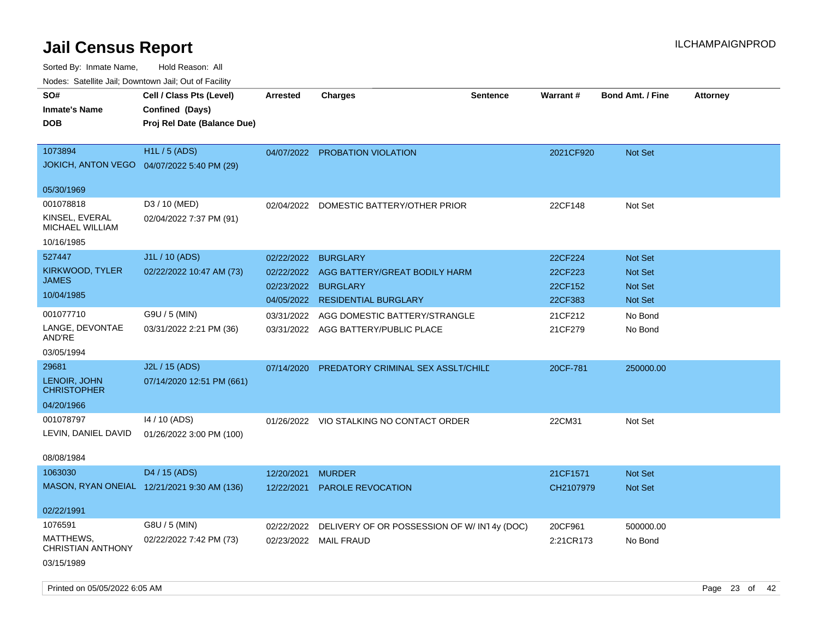| Noues. Salenne Jan, Downlown Jan, Out of Facility |                                             |                 |                                            |                 |                 |                         |                 |
|---------------------------------------------------|---------------------------------------------|-----------------|--------------------------------------------|-----------------|-----------------|-------------------------|-----------------|
| SO#                                               | Cell / Class Pts (Level)                    | <b>Arrested</b> | <b>Charges</b>                             | <b>Sentence</b> | <b>Warrant#</b> | <b>Bond Amt. / Fine</b> | <b>Attorney</b> |
| <b>Inmate's Name</b>                              | Confined (Days)                             |                 |                                            |                 |                 |                         |                 |
| <b>DOB</b>                                        | Proj Rel Date (Balance Due)                 |                 |                                            |                 |                 |                         |                 |
|                                                   |                                             |                 |                                            |                 |                 |                         |                 |
| 1073894                                           | H1L / 5 (ADS)                               |                 | 04/07/2022 PROBATION VIOLATION             |                 | 2021CF920       | Not Set                 |                 |
| <b>JOKICH, ANTON VEGO</b>                         | 04/07/2022 5:40 PM (29)                     |                 |                                            |                 |                 |                         |                 |
|                                                   |                                             |                 |                                            |                 |                 |                         |                 |
| 05/30/1969                                        |                                             |                 |                                            |                 |                 |                         |                 |
| 001078818                                         | D3 / 10 (MED)                               | 02/04/2022      | DOMESTIC BATTERY/OTHER PRIOR               |                 | 22CF148         | Not Set                 |                 |
| KINSEL, EVERAL<br><b>MICHAEL WILLIAM</b>          | 02/04/2022 7:37 PM (91)                     |                 |                                            |                 |                 |                         |                 |
| 10/16/1985                                        |                                             |                 |                                            |                 |                 |                         |                 |
| 527447                                            | J1L / 10 (ADS)                              | 02/22/2022      | <b>BURGLARY</b>                            |                 | 22CF224         | Not Set                 |                 |
| <b>KIRKWOOD, TYLER</b>                            | 02/22/2022 10:47 AM (73)                    | 02/22/2022      | AGG BATTERY/GREAT BODILY HARM              |                 | 22CF223         | <b>Not Set</b>          |                 |
| <b>JAMES</b>                                      |                                             | 02/23/2022      | <b>BURGLARY</b>                            |                 | 22CF152         | <b>Not Set</b>          |                 |
| 10/04/1985                                        |                                             |                 | 04/05/2022 RESIDENTIAL BURGLARY            |                 | 22CF383         | Not Set                 |                 |
| 001077710                                         | G9U / 5 (MIN)                               | 03/31/2022      | AGG DOMESTIC BATTERY/STRANGLE              |                 | 21CF212         | No Bond                 |                 |
| LANGE, DEVONTAE                                   | 03/31/2022 2:21 PM (36)                     |                 | 03/31/2022 AGG BATTERY/PUBLIC PLACE        |                 | 21CF279         | No Bond                 |                 |
| AND'RE                                            |                                             |                 |                                            |                 |                 |                         |                 |
| 03/05/1994                                        |                                             |                 |                                            |                 |                 |                         |                 |
| 29681                                             | J2L / 15 (ADS)                              | 07/14/2020      | PREDATORY CRIMINAL SEX ASSLT/CHILD         |                 | 20CF-781        | 250000.00               |                 |
| LENOIR, JOHN<br><b>CHRISTOPHER</b>                | 07/14/2020 12:51 PM (661)                   |                 |                                            |                 |                 |                         |                 |
| 04/20/1966                                        |                                             |                 |                                            |                 |                 |                         |                 |
| 001078797                                         | $14/10$ (ADS)                               |                 | 01/26/2022 VIO STALKING NO CONTACT ORDER   |                 | 22CM31          | Not Set                 |                 |
| LEVIN, DANIEL DAVID                               | 01/26/2022 3:00 PM (100)                    |                 |                                            |                 |                 |                         |                 |
|                                                   |                                             |                 |                                            |                 |                 |                         |                 |
| 08/08/1984                                        |                                             |                 |                                            |                 |                 |                         |                 |
| 1063030                                           | D4 / 15 (ADS)                               | 12/20/2021      | <b>MURDER</b>                              |                 | 21CF1571        | Not Set                 |                 |
|                                                   | MASON, RYAN ONEIAL 12/21/2021 9:30 AM (136) | 12/22/2021      | <b>PAROLE REVOCATION</b>                   |                 | CH2107979       | <b>Not Set</b>          |                 |
|                                                   |                                             |                 |                                            |                 |                 |                         |                 |
| 02/22/1991                                        |                                             |                 |                                            |                 |                 |                         |                 |
| 1076591                                           | G8U / 5 (MIN)                               | 02/22/2022      | DELIVERY OF OR POSSESSION OF W/IN14y (DOC) |                 | 20CF961         | 500000.00               |                 |
| MATTHEWS,<br><b>CHRISTIAN ANTHONY</b>             | 02/22/2022 7:42 PM (73)                     |                 | 02/23/2022 MAIL FRAUD                      |                 | 2:21CR173       | No Bond                 |                 |
| 03/15/1989                                        |                                             |                 |                                            |                 |                 |                         |                 |
|                                                   |                                             |                 |                                            |                 |                 |                         |                 |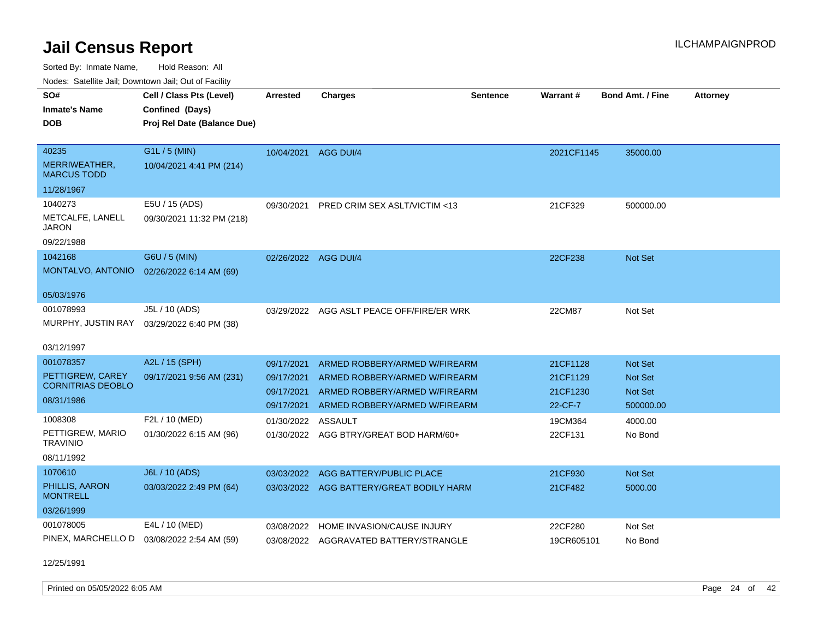Sorted By: Inmate Name, Hold Reason: All

|                                     | Nodes: Satellite Jail; Downtown Jail; Out of Facility |                 |                                |                 |            |                         |          |  |  |  |  |  |
|-------------------------------------|-------------------------------------------------------|-----------------|--------------------------------|-----------------|------------|-------------------------|----------|--|--|--|--|--|
| SO#                                 | Cell / Class Pts (Level)                              | <b>Arrested</b> | Charges                        | <b>Sentence</b> | Warrant#   | <b>Bond Amt. / Fine</b> | Attorney |  |  |  |  |  |
| <b>Inmate's Name</b>                | Confined (Days)                                       |                 |                                |                 |            |                         |          |  |  |  |  |  |
| <b>DOB</b>                          | Proj Rel Date (Balance Due)                           |                 |                                |                 |            |                         |          |  |  |  |  |  |
|                                     |                                                       |                 |                                |                 |            |                         |          |  |  |  |  |  |
| 40235                               | $G1L / 5$ (MIN)                                       | 10/04/2021      | AGG DUI/4                      |                 | 2021CF1145 | 35000.00                |          |  |  |  |  |  |
| MERRIWEATHER,<br><b>MARCUS TODD</b> | 10/04/2021 4:41 PM (214)                              |                 |                                |                 |            |                         |          |  |  |  |  |  |
| 11/28/1967                          |                                                       |                 |                                |                 |            |                         |          |  |  |  |  |  |
| 1040273                             | E5U / 15 (ADS)                                        | 09/30/2021      | PRED CRIM SEX ASLT/VICTIM <13  |                 | 21CF329    | 500000.00               |          |  |  |  |  |  |
| METCALFE, LANELL<br><b>JARON</b>    | 09/30/2021 11:32 PM (218)                             |                 |                                |                 |            |                         |          |  |  |  |  |  |
| 09/22/1988                          |                                                       |                 |                                |                 |            |                         |          |  |  |  |  |  |
| 1042168                             | G6U / 5 (MIN)                                         | 02/26/2022      | AGG DUI/4                      |                 | 22CF238    | Not Set                 |          |  |  |  |  |  |
| MONTALVO, ANTONIO                   | 02/26/2022 6:14 AM (69)                               |                 |                                |                 |            |                         |          |  |  |  |  |  |
|                                     |                                                       |                 |                                |                 |            |                         |          |  |  |  |  |  |
| 05/03/1976                          |                                                       |                 |                                |                 |            |                         |          |  |  |  |  |  |
| 001078993                           | J5L / 10 (ADS)                                        | 03/29/2022      | AGG ASLT PEACE OFF/FIRE/ER WRK |                 | 22CM87     | Not Set                 |          |  |  |  |  |  |
| MURPHY, JUSTIN RAY                  | 03/29/2022 6:40 PM (38)                               |                 |                                |                 |            |                         |          |  |  |  |  |  |
| 03/12/1997                          |                                                       |                 |                                |                 |            |                         |          |  |  |  |  |  |
| 001078357                           | A2L / 15 (SPH)                                        | 09/17/2021      | ARMED ROBBERY/ARMED W/FIREARM  |                 | 21CF1128   | Not Set                 |          |  |  |  |  |  |

| PETTIGREW, CAREY                               | 09/17/2021 9:56 AM (231)                  | 09/17/2021         | ARMED ROBBERY/ARMED W/FIREARM          | 21CF1129           | Not Set            |
|------------------------------------------------|-------------------------------------------|--------------------|----------------------------------------|--------------------|--------------------|
| <b>CORNITRIAS DEOBLO</b>                       |                                           | 09/17/2021         | ARMED ROBBERY/ARMED W/FIREARM          | 21CF1230           | Not Set            |
| 08/31/1986                                     |                                           | 09/17/2021         | ARMED ROBBERY/ARMED W/FIREARM          | 22-CF-7            | 500000.00          |
| 1008308<br>PETTIGREW, MARIO<br><b>TRAVINIO</b> | F2L / 10 (MED)<br>01/30/2022 6:15 AM (96) | 01/30/2022 ASSAULT | 01/30/2022 AGG BTRY/GREAT BOD HARM/60+ | 19CM364<br>22CF131 | 4000.00<br>No Bond |

08/11/1992

| 1070610                           | <b>J6L / 10 (ADS)</b>   |            | 03/03/2022 AGG BATTERY/PUBLIC PLACE      | 21CF930    | <b>Not Set</b> |
|-----------------------------------|-------------------------|------------|------------------------------------------|------------|----------------|
| PHILLIS, AARON<br><b>MONTRELL</b> | 03/03/2022 2:49 PM (64) |            | 03/03/2022 AGG BATTERY/GREAT BODILY HARM | 21CF482    | 5000.00        |
| 03/26/1999                        |                         |            |                                          |            |                |
| 001078005                         | E4L / 10 (MED)          |            | 03/08/2022 HOME INVASION/CAUSE INJURY    | 22CF280    | Not Set        |
| PINEX, MARCHELLO D                | 03/08/2022 2:54 AM (59) | 03/08/2022 | AGGRAVATED BATTERY/STRANGLE              | 19CR605101 | No Bond        |

12/25/1991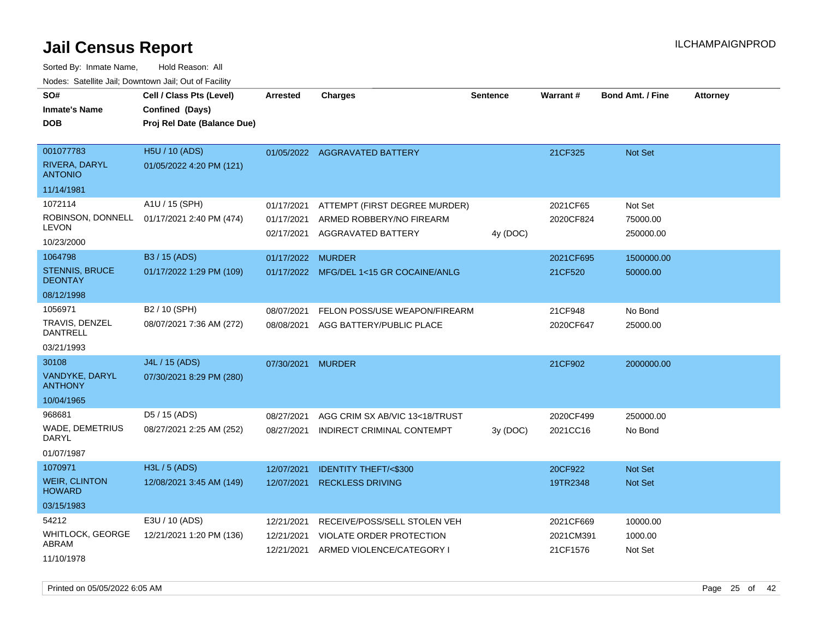| voues. Salemie Jan, Downtown Jan, Out of Facility |                             |                          |                                                |                 |           |                         |                 |
|---------------------------------------------------|-----------------------------|--------------------------|------------------------------------------------|-----------------|-----------|-------------------------|-----------------|
| SO#                                               | Cell / Class Pts (Level)    | Arrested                 | <b>Charges</b>                                 | <b>Sentence</b> | Warrant#  | <b>Bond Amt. / Fine</b> | <b>Attorney</b> |
| <b>Inmate's Name</b>                              | Confined (Days)             |                          |                                                |                 |           |                         |                 |
| <b>DOB</b>                                        | Proj Rel Date (Balance Due) |                          |                                                |                 |           |                         |                 |
|                                                   |                             |                          |                                                |                 |           |                         |                 |
| 001077783                                         | H5U / 10 (ADS)              |                          | 01/05/2022 AGGRAVATED BATTERY                  |                 | 21CF325   | <b>Not Set</b>          |                 |
| RIVERA, DARYL<br><b>ANTONIO</b>                   | 01/05/2022 4:20 PM (121)    |                          |                                                |                 |           |                         |                 |
| 11/14/1981                                        |                             |                          |                                                |                 |           |                         |                 |
| 1072114                                           | A1U / 15 (SPH)              | 01/17/2021               | ATTEMPT (FIRST DEGREE MURDER)                  |                 | 2021CF65  | Not Set                 |                 |
| ROBINSON, DONNELL<br><b>LEVON</b>                 | 01/17/2021 2:40 PM (474)    | 01/17/2021<br>02/17/2021 | ARMED ROBBERY/NO FIREARM<br>AGGRAVATED BATTERY | 4y (DOC)        | 2020CF824 | 75000.00<br>250000.00   |                 |
| 10/23/2000                                        |                             |                          |                                                |                 |           |                         |                 |
| 1064798                                           | B3 / 15 (ADS)               | 01/17/2022               | <b>MURDER</b>                                  |                 | 2021CF695 | 1500000.00              |                 |
| <b>STENNIS, BRUCE</b><br><b>DEONTAY</b>           | 01/17/2022 1:29 PM (109)    |                          | 01/17/2022 MFG/DEL 1<15 GR COCAINE/ANLG        |                 | 21CF520   | 50000.00                |                 |
| 08/12/1998                                        |                             |                          |                                                |                 |           |                         |                 |
| 1056971                                           | B2 / 10 (SPH)               | 08/07/2021               | FELON POSS/USE WEAPON/FIREARM                  |                 | 21CF948   | No Bond                 |                 |
| TRAVIS, DENZEL<br><b>DANTRELL</b>                 | 08/07/2021 7:36 AM (272)    | 08/08/2021               | AGG BATTERY/PUBLIC PLACE                       |                 | 2020CF647 | 25000.00                |                 |
| 03/21/1993                                        |                             |                          |                                                |                 |           |                         |                 |
| 30108                                             | J4L / 15 (ADS)              | 07/30/2021               | <b>MURDER</b>                                  |                 | 21CF902   | 2000000.00              |                 |
| VANDYKE, DARYL<br><b>ANTHONY</b>                  | 07/30/2021 8:29 PM (280)    |                          |                                                |                 |           |                         |                 |
| 10/04/1965                                        |                             |                          |                                                |                 |           |                         |                 |
| 968681                                            | D5 / 15 (ADS)               | 08/27/2021               | AGG CRIM SX AB/VIC 13<18/TRUST                 |                 | 2020CF499 | 250000.00               |                 |
| <b>WADE, DEMETRIUS</b><br><b>DARYL</b>            | 08/27/2021 2:25 AM (252)    | 08/27/2021               | INDIRECT CRIMINAL CONTEMPT                     | 3y(DOC)         | 2021CC16  | No Bond                 |                 |
| 01/07/1987                                        |                             |                          |                                                |                 |           |                         |                 |
| 1070971                                           | H3L / 5 (ADS)               | 12/07/2021               | <b>IDENTITY THEFT/&lt;\$300</b>                |                 | 20CF922   | Not Set                 |                 |
| <b>WEIR, CLINTON</b><br><b>HOWARD</b>             | 12/08/2021 3:45 AM (149)    | 12/07/2021               | <b>RECKLESS DRIVING</b>                        |                 | 19TR2348  | Not Set                 |                 |
| 03/15/1983                                        |                             |                          |                                                |                 |           |                         |                 |
| 54212                                             | E3U / 10 (ADS)              | 12/21/2021               | RECEIVE/POSS/SELL STOLEN VEH                   |                 | 2021CF669 | 10000.00                |                 |
| WHITLOCK, GEORGE                                  | 12/21/2021 1:20 PM (136)    | 12/21/2021               | VIOLATE ORDER PROTECTION                       |                 | 2021CM391 | 1000.00                 |                 |
| ABRAM                                             |                             | 12/21/2021               | ARMED VIOLENCE/CATEGORY I                      |                 | 21CF1576  | Not Set                 |                 |
| 11/10/1978                                        |                             |                          |                                                |                 |           |                         |                 |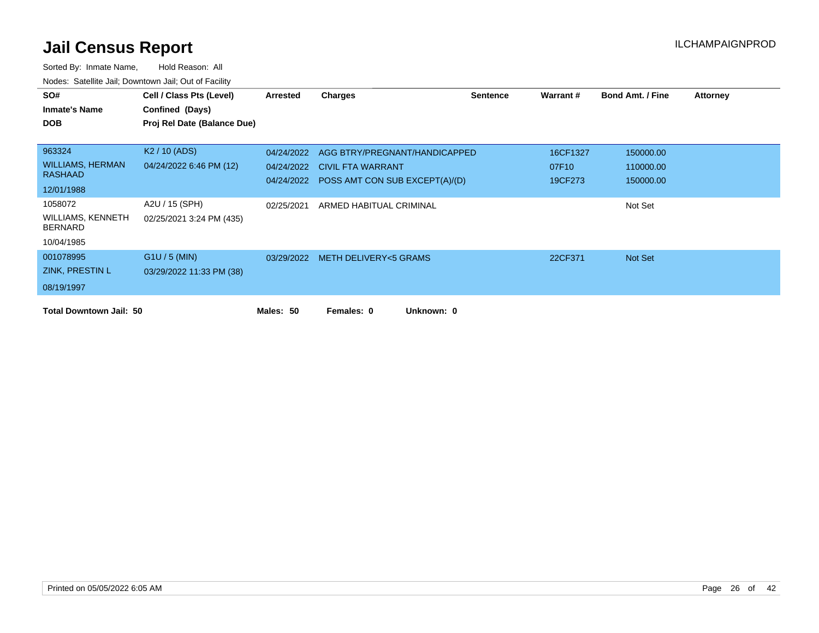| SO#                                        | Cell / Class Pts (Level)    | Arrested   | <b>Charges</b>                            | <b>Sentence</b> | <b>Warrant#</b> | <b>Bond Amt. / Fine</b> | <b>Attorney</b> |
|--------------------------------------------|-----------------------------|------------|-------------------------------------------|-----------------|-----------------|-------------------------|-----------------|
| <b>Inmate's Name</b>                       | Confined (Days)             |            |                                           |                 |                 |                         |                 |
| <b>DOB</b>                                 | Proj Rel Date (Balance Due) |            |                                           |                 |                 |                         |                 |
|                                            |                             |            |                                           |                 |                 |                         |                 |
| 963324                                     | K <sub>2</sub> / 10 (ADS)   | 04/24/2022 | AGG BTRY/PREGNANT/HANDICAPPED             |                 | 16CF1327        | 150000.00               |                 |
| <b>WILLIAMS, HERMAN</b>                    | 04/24/2022 6:46 PM (12)     |            | 04/24/2022 CIVIL FTA WARRANT              |                 | 07F10           | 110000.00               |                 |
| <b>RASHAAD</b>                             |                             |            | 04/24/2022 POSS AMT CON SUB EXCEPT(A)/(D) |                 | 19CF273         | 150000.00               |                 |
| 12/01/1988                                 |                             |            |                                           |                 |                 |                         |                 |
| 1058072                                    | A2U / 15 (SPH)              | 02/25/2021 | ARMED HABITUAL CRIMINAL                   |                 |                 | Not Set                 |                 |
| <b>WILLIAMS, KENNETH</b><br><b>BERNARD</b> | 02/25/2021 3:24 PM (435)    |            |                                           |                 |                 |                         |                 |
| 10/04/1985                                 |                             |            |                                           |                 |                 |                         |                 |
| 001078995                                  | $G1U / 5$ (MIN)             |            | 03/29/2022 METH DELIVERY<5 GRAMS          |                 | 22CF371         | Not Set                 |                 |
| ZINK, PRESTIN L                            | 03/29/2022 11:33 PM (38)    |            |                                           |                 |                 |                         |                 |
| 08/19/1997                                 |                             |            |                                           |                 |                 |                         |                 |
| <b>Total Downtown Jail: 50</b>             |                             | Males: 50  | Unknown: 0<br>Females: 0                  |                 |                 |                         |                 |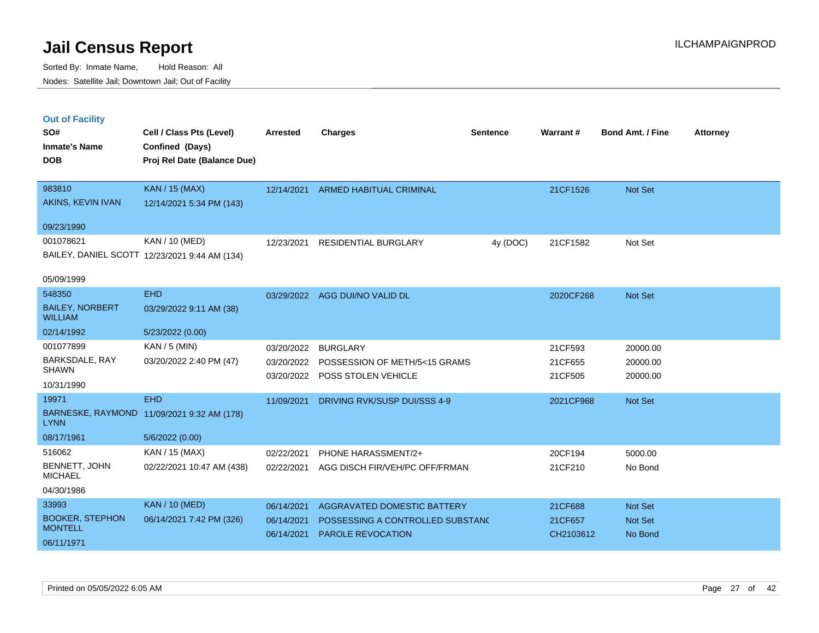|  | <b>Out of Facility</b> |  |
|--|------------------------|--|
|  |                        |  |
|  |                        |  |

| SO#<br><b>Inmate's Name</b><br><b>DOB</b> | Cell / Class Pts (Level)<br>Confined (Days)<br>Proj Rel Date (Balance Due) | <b>Arrested</b> | <b>Charges</b>                   | <b>Sentence</b> | Warrant#  | <b>Bond Amt. / Fine</b> | <b>Attorney</b> |
|-------------------------------------------|----------------------------------------------------------------------------|-----------------|----------------------------------|-----------------|-----------|-------------------------|-----------------|
| 983810                                    | KAN / 15 (MAX)                                                             | 12/14/2021      | ARMED HABITUAL CRIMINAL          |                 | 21CF1526  | Not Set                 |                 |
| AKINS, KEVIN IVAN                         | 12/14/2021 5:34 PM (143)                                                   |                 |                                  |                 |           |                         |                 |
| 09/23/1990                                |                                                                            |                 |                                  |                 |           |                         |                 |
| 001078621                                 | KAN / 10 (MED)                                                             | 12/23/2021      | RESIDENTIAL BURGLARY             | 4y (DOC)        | 21CF1582  | Not Set                 |                 |
|                                           | BAILEY, DANIEL SCOTT 12/23/2021 9:44 AM (134)                              |                 |                                  |                 |           |                         |                 |
| 05/09/1999                                |                                                                            |                 |                                  |                 |           |                         |                 |
| 548350                                    | <b>EHD</b>                                                                 |                 | 03/29/2022 AGG DUI/NO VALID DL   |                 | 2020CF268 | Not Set                 |                 |
| <b>BAILEY, NORBERT</b><br><b>WILLIAM</b>  | 03/29/2022 9:11 AM (38)                                                    |                 |                                  |                 |           |                         |                 |
| 02/14/1992                                | 5/23/2022 (0.00)                                                           |                 |                                  |                 |           |                         |                 |
| 001077899                                 | KAN / 5 (MIN)                                                              | 03/20/2022      | <b>BURGLARY</b>                  |                 | 21CF593   | 20000.00                |                 |
| BARKSDALE, RAY<br><b>SHAWN</b>            | 03/20/2022 2:40 PM (47)                                                    | 03/20/2022      | POSSESSION OF METH/5<15 GRAMS    |                 | 21CF655   | 20000.00                |                 |
| 10/31/1990                                |                                                                            | 03/20/2022      | POSS STOLEN VEHICLE              |                 | 21CF505   | 20000.00                |                 |
| 19971                                     | <b>EHD</b>                                                                 | 11/09/2021      | DRIVING RVK/SUSP DUI/SSS 4-9     |                 | 2021CF968 | Not Set                 |                 |
| <b>LYNN</b>                               | BARNESKE, RAYMOND 11/09/2021 9:32 AM (178)                                 |                 |                                  |                 |           |                         |                 |
| 08/17/1961                                | 5/6/2022 (0.00)                                                            |                 |                                  |                 |           |                         |                 |
| 516062                                    | KAN / 15 (MAX)                                                             | 02/22/2021      | PHONE HARASSMENT/2+              |                 | 20CF194   | 5000.00                 |                 |
| BENNETT, JOHN<br><b>MICHAEL</b>           | 02/22/2021 10:47 AM (438)                                                  | 02/22/2021      | AGG DISCH FIR/VEH/PC OFF/FRMAN   |                 | 21CF210   | No Bond                 |                 |
| 04/30/1986                                |                                                                            |                 |                                  |                 |           |                         |                 |
| 33993                                     | KAN / 10 (MED)                                                             | 06/14/2021      | AGGRAVATED DOMESTIC BATTERY      |                 | 21CF688   | Not Set                 |                 |
| <b>BOOKER, STEPHON</b><br><b>MONTELL</b>  | 06/14/2021 7:42 PM (326)                                                   | 06/14/2021      | POSSESSING A CONTROLLED SUBSTAND |                 | 21CF657   | Not Set                 |                 |
| 06/11/1971                                |                                                                            | 06/14/2021      | <b>PAROLE REVOCATION</b>         |                 | CH2103612 | No Bond                 |                 |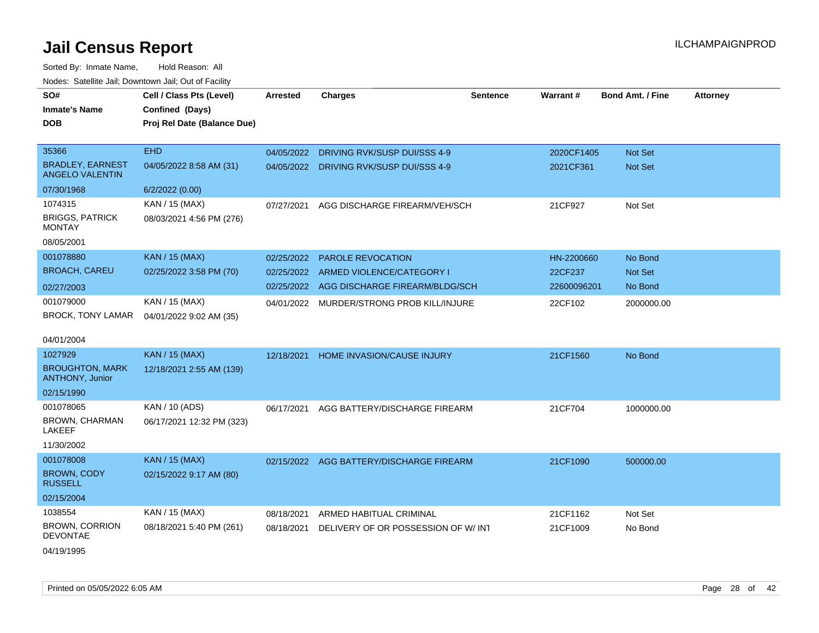| Noues. Sateme Jan, Downtown Jan, Out or Facility  |                             |                 |                                          |                 |                 |                         |                 |
|---------------------------------------------------|-----------------------------|-----------------|------------------------------------------|-----------------|-----------------|-------------------------|-----------------|
| SO#                                               | Cell / Class Pts (Level)    | <b>Arrested</b> | <b>Charges</b>                           | <b>Sentence</b> | <b>Warrant#</b> | <b>Bond Amt. / Fine</b> | <b>Attorney</b> |
| <b>Inmate's Name</b>                              | Confined (Days)             |                 |                                          |                 |                 |                         |                 |
| DOB                                               | Proj Rel Date (Balance Due) |                 |                                          |                 |                 |                         |                 |
|                                                   |                             |                 |                                          |                 |                 |                         |                 |
| 35366                                             | <b>EHD</b>                  | 04/05/2022      | DRIVING RVK/SUSP DUI/SSS 4-9             |                 | 2020CF1405      | Not Set                 |                 |
| <b>BRADLEY, EARNEST</b><br><b>ANGELO VALENTIN</b> | 04/05/2022 8:58 AM (31)     | 04/05/2022      | DRIVING RVK/SUSP DUI/SSS 4-9             |                 | 2021CF361       | Not Set                 |                 |
| 07/30/1968                                        | 6/2/2022 (0.00)             |                 |                                          |                 |                 |                         |                 |
| 1074315                                           | KAN / 15 (MAX)              | 07/27/2021      | AGG DISCHARGE FIREARM/VEH/SCH            |                 | 21CF927         | Not Set                 |                 |
| <b>BRIGGS, PATRICK</b><br>MONTAY                  | 08/03/2021 4:56 PM (276)    |                 |                                          |                 |                 |                         |                 |
| 08/05/2001                                        |                             |                 |                                          |                 |                 |                         |                 |
| 001078880                                         | <b>KAN / 15 (MAX)</b>       | 02/25/2022      | <b>PAROLE REVOCATION</b>                 |                 | HN-2200660      | No Bond                 |                 |
| <b>BROACH, CAREU</b>                              | 02/25/2022 3:58 PM (70)     | 02/25/2022      | ARMED VIOLENCE/CATEGORY I                |                 | 22CF237         | <b>Not Set</b>          |                 |
| 02/27/2003                                        |                             | 02/25/2022      | AGG DISCHARGE FIREARM/BLDG/SCH           |                 | 22600096201     | No Bond                 |                 |
| 001079000                                         | KAN / 15 (MAX)              | 04/01/2022      | MURDER/STRONG PROB KILL/INJURE           |                 | 22CF102         | 2000000.00              |                 |
| BROCK, TONY LAMAR                                 | 04/01/2022 9:02 AM (35)     |                 |                                          |                 |                 |                         |                 |
| 04/01/2004                                        |                             |                 |                                          |                 |                 |                         |                 |
| 1027929                                           | <b>KAN / 15 (MAX)</b>       | 12/18/2021      | HOME INVASION/CAUSE INJURY               |                 | 21CF1560        | No Bond                 |                 |
| <b>BROUGHTON, MARK</b><br><b>ANTHONY, Junior</b>  | 12/18/2021 2:55 AM (139)    |                 |                                          |                 |                 |                         |                 |
| 02/15/1990                                        |                             |                 |                                          |                 |                 |                         |                 |
| 001078065                                         | KAN / 10 (ADS)              | 06/17/2021      | AGG BATTERY/DISCHARGE FIREARM            |                 | 21CF704         | 1000000.00              |                 |
| BROWN, CHARMAN<br>LAKEEF                          | 06/17/2021 12:32 PM (323)   |                 |                                          |                 |                 |                         |                 |
| 11/30/2002                                        |                             |                 |                                          |                 |                 |                         |                 |
| 001078008                                         | <b>KAN / 15 (MAX)</b>       |                 | 02/15/2022 AGG BATTERY/DISCHARGE FIREARM |                 | 21CF1090        | 500000.00               |                 |
| BROWN, CODY<br><b>RUSSELL</b>                     | 02/15/2022 9:17 AM (80)     |                 |                                          |                 |                 |                         |                 |
| 02/15/2004                                        |                             |                 |                                          |                 |                 |                         |                 |
| 1038554                                           | KAN / 15 (MAX)              | 08/18/2021      | ARMED HABITUAL CRIMINAL                  |                 | 21CF1162        | Not Set                 |                 |
| BROWN, CORRION<br>DEVONTAE                        | 08/18/2021 5:40 PM (261)    | 08/18/2021      | DELIVERY OF OR POSSESSION OF W/INT       |                 | 21CF1009        | No Bond                 |                 |
| 04/19/1995                                        |                             |                 |                                          |                 |                 |                         |                 |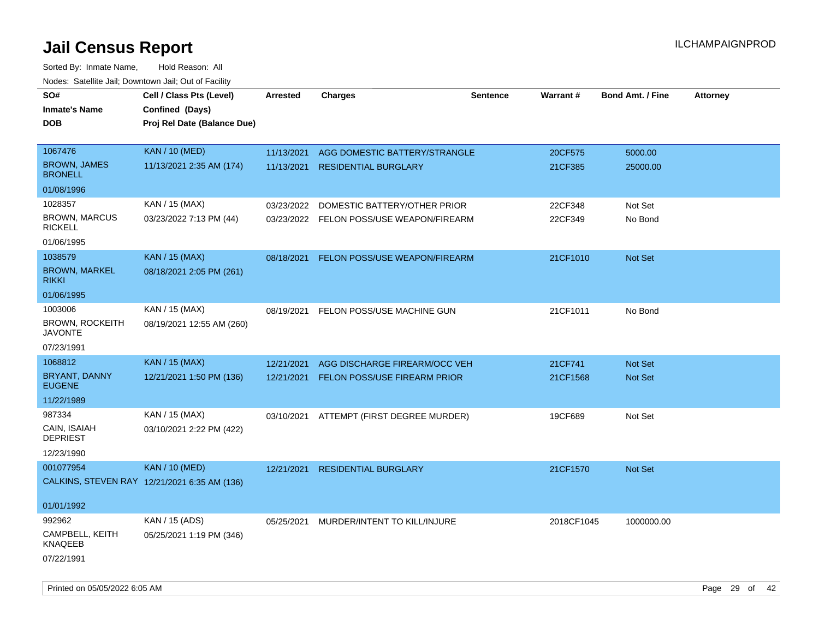| SO#                                      | Cell / Class Pts (Level)                     | Arrested   | <b>Charges</b>                           | <b>Sentence</b> | <b>Warrant#</b> | <b>Bond Amt. / Fine</b> | <b>Attorney</b> |
|------------------------------------------|----------------------------------------------|------------|------------------------------------------|-----------------|-----------------|-------------------------|-----------------|
| <b>Inmate's Name</b>                     | Confined (Days)                              |            |                                          |                 |                 |                         |                 |
| <b>DOB</b>                               | Proj Rel Date (Balance Due)                  |            |                                          |                 |                 |                         |                 |
|                                          |                                              |            |                                          |                 |                 |                         |                 |
| 1067476                                  | <b>KAN / 10 (MED)</b>                        | 11/13/2021 | AGG DOMESTIC BATTERY/STRANGLE            |                 | 20CF575         | 5000.00                 |                 |
| <b>BROWN, JAMES</b><br><b>BRONELL</b>    | 11/13/2021 2:35 AM (174)                     | 11/13/2021 | <b>RESIDENTIAL BURGLARY</b>              |                 | 21CF385         | 25000.00                |                 |
| 01/08/1996                               |                                              |            |                                          |                 |                 |                         |                 |
| 1028357                                  | KAN / 15 (MAX)                               | 03/23/2022 | DOMESTIC BATTERY/OTHER PRIOR             |                 | 22CF348         | Not Set                 |                 |
| <b>BROWN, MARCUS</b><br><b>RICKELL</b>   | 03/23/2022 7:13 PM (44)                      |            | 03/23/2022 FELON POSS/USE WEAPON/FIREARM |                 | 22CF349         | No Bond                 |                 |
| 01/06/1995                               |                                              |            |                                          |                 |                 |                         |                 |
| 1038579                                  | <b>KAN / 15 (MAX)</b>                        | 08/18/2021 | FELON POSS/USE WEAPON/FIREARM            |                 | 21CF1010        | Not Set                 |                 |
| <b>BROWN, MARKEL</b><br><b>RIKKI</b>     | 08/18/2021 2:05 PM (261)                     |            |                                          |                 |                 |                         |                 |
| 01/06/1995                               |                                              |            |                                          |                 |                 |                         |                 |
| 1003006                                  | KAN / 15 (MAX)                               | 08/19/2021 | FELON POSS/USE MACHINE GUN               |                 | 21CF1011        | No Bond                 |                 |
| <b>BROWN, ROCKEITH</b><br><b>JAVONTE</b> | 08/19/2021 12:55 AM (260)                    |            |                                          |                 |                 |                         |                 |
| 07/23/1991                               |                                              |            |                                          |                 |                 |                         |                 |
| 1068812                                  | <b>KAN / 15 (MAX)</b>                        | 12/21/2021 | AGG DISCHARGE FIREARM/OCC VEH            |                 | 21CF741         | <b>Not Set</b>          |                 |
| BRYANT, DANNY<br><b>EUGENE</b>           | 12/21/2021 1:50 PM (136)                     | 12/21/2021 | FELON POSS/USE FIREARM PRIOR             |                 | 21CF1568        | Not Set                 |                 |
| 11/22/1989                               |                                              |            |                                          |                 |                 |                         |                 |
| 987334                                   | KAN / 15 (MAX)                               | 03/10/2021 | ATTEMPT (FIRST DEGREE MURDER)            |                 | 19CF689         | Not Set                 |                 |
| CAIN, ISAIAH<br><b>DEPRIEST</b>          | 03/10/2021 2:22 PM (422)                     |            |                                          |                 |                 |                         |                 |
| 12/23/1990                               |                                              |            |                                          |                 |                 |                         |                 |
| 001077954                                | <b>KAN / 10 (MED)</b>                        | 12/21/2021 | <b>RESIDENTIAL BURGLARY</b>              |                 | 21CF1570        | Not Set                 |                 |
|                                          | CALKINS, STEVEN RAY 12/21/2021 6:35 AM (136) |            |                                          |                 |                 |                         |                 |
| 01/01/1992                               |                                              |            |                                          |                 |                 |                         |                 |
| 992962                                   | KAN / 15 (ADS)                               | 05/25/2021 | MURDER/INTENT TO KILL/INJURE             |                 | 2018CF1045      | 1000000.00              |                 |
| CAMPBELL, KEITH<br>KNAQEEB               | 05/25/2021 1:19 PM (346)                     |            |                                          |                 |                 |                         |                 |
| 07/22/1991                               |                                              |            |                                          |                 |                 |                         |                 |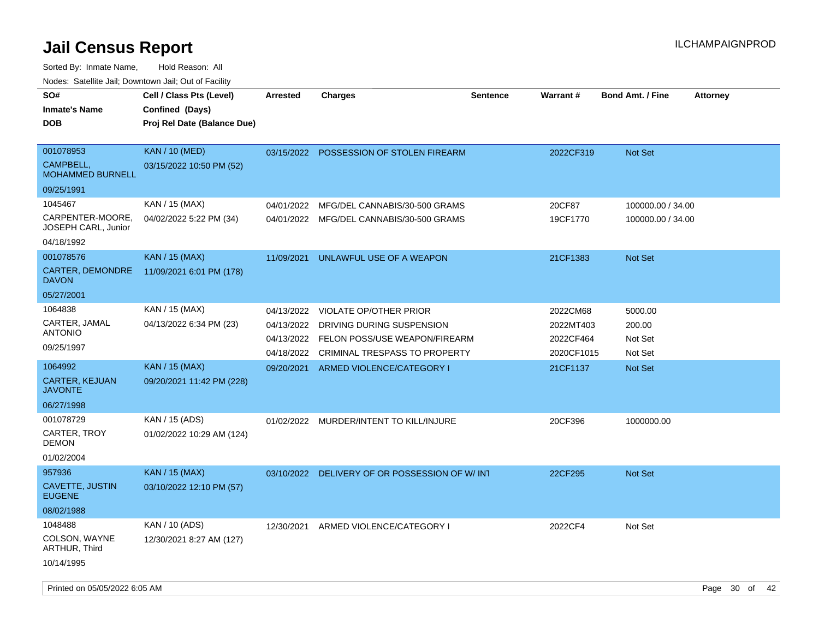Sorted By: Inmate Name, Hold Reason: All

Nodes: Satellite Jail; Downtown Jail; Out of Facility

| SO#<br><b>Inmate's Name</b><br><b>DOB</b>                | Cell / Class Pts (Level)<br>Confined (Days)<br>Proj Rel Date (Balance Due) | <b>Arrested</b>          | <b>Charges</b>                                             | <b>Sentence</b> | Warrant#               | <b>Bond Amt. / Fine</b> | <b>Attorney</b> |
|----------------------------------------------------------|----------------------------------------------------------------------------|--------------------------|------------------------------------------------------------|-----------------|------------------------|-------------------------|-----------------|
| 001078953<br><b>CAMPBELL.</b><br><b>MOHAMMED BURNELL</b> | <b>KAN</b> / 10 (MED)<br>03/15/2022 10:50 PM (52)                          |                          | 03/15/2022 POSSESSION OF STOLEN FIREARM                    |                 | 2022CF319              | Not Set                 |                 |
| 09/25/1991                                               |                                                                            |                          |                                                            |                 |                        |                         |                 |
| 1045467                                                  | KAN / 15 (MAX)                                                             | 04/01/2022               | MFG/DEL CANNABIS/30-500 GRAMS                              |                 | 20CF87                 | 100000.00 / 34.00       |                 |
| CARPENTER-MOORE.<br>JOSEPH CARL, Junior                  | 04/02/2022 5:22 PM (34)                                                    |                          | 04/01/2022 MFG/DEL CANNABIS/30-500 GRAMS                   |                 | 19CF1770               | 100000.00 / 34.00       |                 |
| 04/18/1992                                               |                                                                            |                          |                                                            |                 |                        |                         |                 |
| 001078576                                                | <b>KAN / 15 (MAX)</b>                                                      | 11/09/2021               | UNLAWFUL USE OF A WEAPON                                   |                 | 21CF1383               | <b>Not Set</b>          |                 |
| CARTER, DEMONDRE<br><b>DAVON</b>                         | 11/09/2021 6:01 PM (178)                                                   |                          |                                                            |                 |                        |                         |                 |
| 05/27/2001                                               |                                                                            |                          |                                                            |                 |                        |                         |                 |
| 1064838                                                  | KAN / 15 (MAX)                                                             | 04/13/2022               | <b>VIOLATE OP/OTHER PRIOR</b>                              |                 | 2022CM68               | 5000.00                 |                 |
| CARTER, JAMAL<br><b>ANTONIO</b>                          | 04/13/2022 6:34 PM (23)                                                    | 04/13/2022<br>04/13/2022 | DRIVING DURING SUSPENSION<br>FELON POSS/USE WEAPON/FIREARM |                 | 2022MT403<br>2022CF464 | 200.00<br>Not Set       |                 |
| 09/25/1997                                               |                                                                            | 04/18/2022               | CRIMINAL TRESPASS TO PROPERTY                              |                 | 2020CF1015             | Not Set                 |                 |
| 1064992                                                  | <b>KAN / 15 (MAX)</b>                                                      | 09/20/2021               | ARMED VIOLENCE/CATEGORY I                                  |                 | 21CF1137               | <b>Not Set</b>          |                 |
| <b>CARTER, KEJUAN</b><br><b>JAVONTE</b>                  | 09/20/2021 11:42 PM (228)                                                  |                          |                                                            |                 |                        |                         |                 |
| 06/27/1998                                               |                                                                            |                          |                                                            |                 |                        |                         |                 |
| 001078729                                                | KAN / 15 (ADS)                                                             | 01/02/2022               | MURDER/INTENT TO KILL/INJURE                               |                 | 20CF396                | 1000000.00              |                 |
| CARTER, TROY<br><b>DEMON</b>                             | 01/02/2022 10:29 AM (124)                                                  |                          |                                                            |                 |                        |                         |                 |
| 01/02/2004                                               |                                                                            |                          |                                                            |                 |                        |                         |                 |
| 957936                                                   | <b>KAN</b> / 15 (MAX)                                                      |                          | 03/10/2022 DELIVERY OF OR POSSESSION OF W/INT              |                 | 22CF295                | <b>Not Set</b>          |                 |
| <b>CAVETTE, JUSTIN</b><br><b>EUGENE</b>                  | 03/10/2022 12:10 PM (57)                                                   |                          |                                                            |                 |                        |                         |                 |
| 08/02/1988                                               |                                                                            |                          |                                                            |                 |                        |                         |                 |
| 1048488<br>COLSON, WAYNE<br>ARTHUR, Third                | KAN / 10 (ADS)<br>12/30/2021 8:27 AM (127)                                 | 12/30/2021               | ARMED VIOLENCE/CATEGORY I                                  |                 | 2022CF4                | Not Set                 |                 |
| 10/14/1995                                               |                                                                            |                          |                                                            |                 |                        |                         |                 |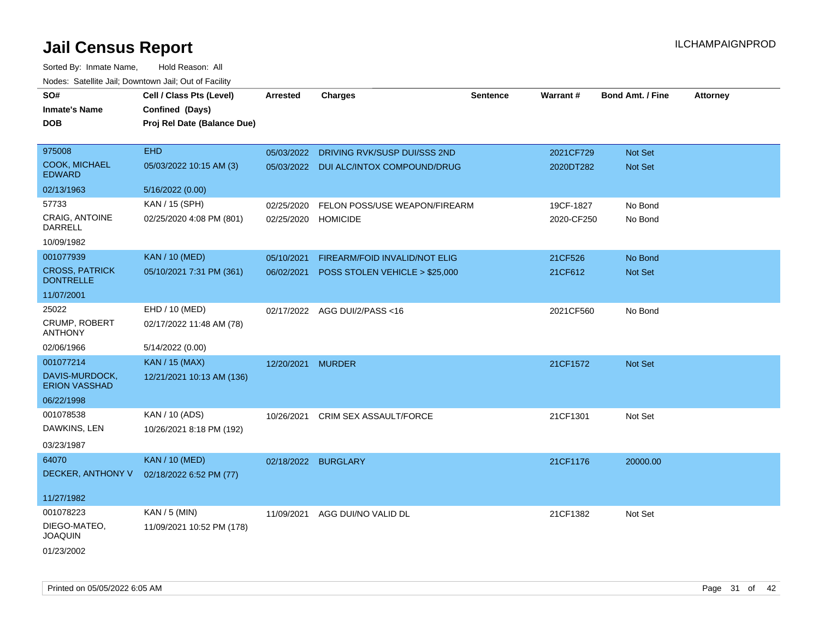| SO#                                       | Cell / Class Pts (Level)    | <b>Arrested</b>     | <b>Charges</b>                         | <b>Sentence</b> | Warrant#   | <b>Bond Amt. / Fine</b> | <b>Attorney</b> |
|-------------------------------------------|-----------------------------|---------------------|----------------------------------------|-----------------|------------|-------------------------|-----------------|
| <b>Inmate's Name</b>                      | Confined (Days)             |                     |                                        |                 |            |                         |                 |
| <b>DOB</b>                                | Proj Rel Date (Balance Due) |                     |                                        |                 |            |                         |                 |
| 975008                                    | <b>EHD</b>                  | 05/03/2022          | DRIVING RVK/SUSP DUI/SSS 2ND           |                 | 2021CF729  | Not Set                 |                 |
| <b>COOK, MICHAEL</b><br><b>EDWARD</b>     | 05/03/2022 10:15 AM (3)     |                     | 05/03/2022 DUI ALC/INTOX COMPOUND/DRUG |                 | 2020DT282  | <b>Not Set</b>          |                 |
| 02/13/1963                                | 5/16/2022 (0.00)            |                     |                                        |                 |            |                         |                 |
| 57733                                     | KAN / 15 (SPH)              | 02/25/2020          | FELON POSS/USE WEAPON/FIREARM          |                 | 19CF-1827  | No Bond                 |                 |
| CRAIG, ANTOINE<br><b>DARRELL</b>          | 02/25/2020 4:08 PM (801)    | 02/25/2020 HOMICIDE |                                        |                 | 2020-CF250 | No Bond                 |                 |
| 10/09/1982                                |                             |                     |                                        |                 |            |                         |                 |
| 001077939                                 | KAN / 10 (MED)              | 05/10/2021          | <b>FIREARM/FOID INVALID/NOT ELIG</b>   |                 | 21CF526    | No Bond                 |                 |
| <b>CROSS, PATRICK</b><br><b>DONTRELLE</b> | 05/10/2021 7:31 PM (361)    | 06/02/2021          | POSS STOLEN VEHICLE > \$25,000         |                 | 21CF612    | <b>Not Set</b>          |                 |
| 11/07/2001                                |                             |                     |                                        |                 |            |                         |                 |
| 25022                                     | EHD / 10 (MED)              |                     | 02/17/2022 AGG DUI/2/PASS<16           |                 | 2021CF560  | No Bond                 |                 |
| CRUMP, ROBERT<br><b>ANTHONY</b>           | 02/17/2022 11:48 AM (78)    |                     |                                        |                 |            |                         |                 |
| 02/06/1966                                | 5/14/2022 (0.00)            |                     |                                        |                 |            |                         |                 |
| 001077214                                 | KAN / 15 (MAX)              | 12/20/2021          | <b>MURDER</b>                          |                 | 21CF1572   | Not Set                 |                 |
| DAVIS-MURDOCK,<br><b>ERION VASSHAD</b>    | 12/21/2021 10:13 AM (136)   |                     |                                        |                 |            |                         |                 |
| 06/22/1998                                |                             |                     |                                        |                 |            |                         |                 |
| 001078538                                 | KAN / 10 (ADS)              | 10/26/2021          | CRIM SEX ASSAULT/FORCE                 |                 | 21CF1301   | Not Set                 |                 |
| DAWKINS, LEN                              | 10/26/2021 8:18 PM (192)    |                     |                                        |                 |            |                         |                 |
| 03/23/1987                                |                             |                     |                                        |                 |            |                         |                 |
| 64070                                     | <b>KAN / 10 (MED)</b>       | 02/18/2022 BURGLARY |                                        |                 | 21CF1176   | 20000.00                |                 |
| DECKER, ANTHONY V                         | 02/18/2022 6:52 PM (77)     |                     |                                        |                 |            |                         |                 |
| 11/27/1982                                |                             |                     |                                        |                 |            |                         |                 |
| 001078223                                 | KAN / 5 (MIN)               | 11/09/2021          | AGG DUI/NO VALID DL                    |                 | 21CF1382   | Not Set                 |                 |
| DIEGO-MATEO,<br><b>JOAQUIN</b>            | 11/09/2021 10:52 PM (178)   |                     |                                        |                 |            |                         |                 |
| 01/23/2002                                |                             |                     |                                        |                 |            |                         |                 |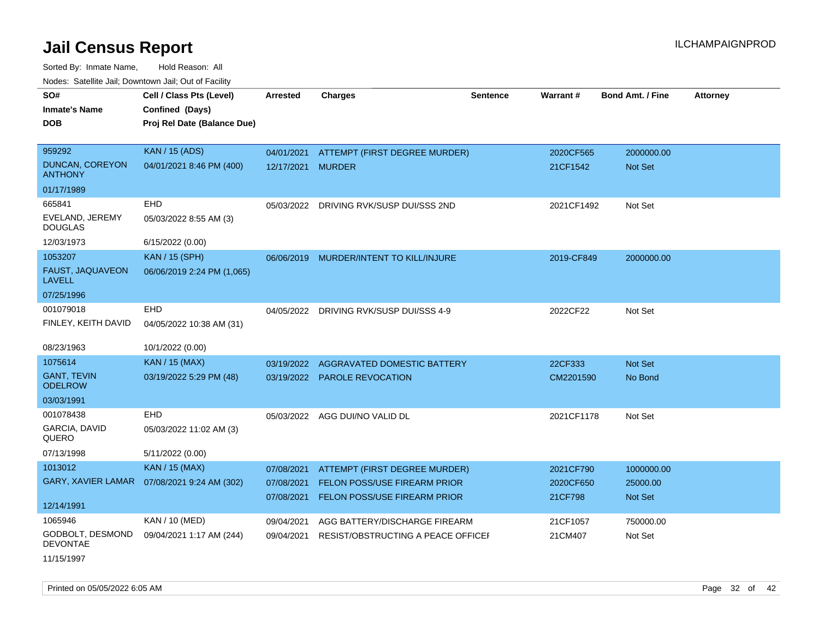Sorted By: Inmate Name, Hold Reason: All Nodes: Satellite Jail; Downtown Jail; Out of Facility

| SO#                                      | Cell / Class Pts (Level)    | <b>Arrested</b>   | <b>Charges</b>                          | <b>Sentence</b> | Warrant#   | <b>Bond Amt. / Fine</b> | <b>Attorney</b> |
|------------------------------------------|-----------------------------|-------------------|-----------------------------------------|-----------------|------------|-------------------------|-----------------|
| <b>Inmate's Name</b>                     | Confined (Days)             |                   |                                         |                 |            |                         |                 |
| <b>DOB</b>                               | Proj Rel Date (Balance Due) |                   |                                         |                 |            |                         |                 |
|                                          |                             |                   |                                         |                 |            |                         |                 |
| 959292                                   | <b>KAN / 15 (ADS)</b>       | 04/01/2021        | ATTEMPT (FIRST DEGREE MURDER)           |                 | 2020CF565  | 2000000.00              |                 |
| <b>DUNCAN, COREYON</b><br><b>ANTHONY</b> | 04/01/2021 8:46 PM (400)    | 12/17/2021 MURDER |                                         |                 | 21CF1542   | <b>Not Set</b>          |                 |
| 01/17/1989                               |                             |                   |                                         |                 |            |                         |                 |
| 665841                                   | EHD                         |                   | 05/03/2022 DRIVING RVK/SUSP DUI/SSS 2ND |                 | 2021CF1492 | Not Set                 |                 |
| EVELAND, JEREMY<br><b>DOUGLAS</b>        | 05/03/2022 8:55 AM (3)      |                   |                                         |                 |            |                         |                 |
| 12/03/1973                               | 6/15/2022 (0.00)            |                   |                                         |                 |            |                         |                 |
| 1053207                                  | <b>KAN / 15 (SPH)</b>       |                   | 06/06/2019 MURDER/INTENT TO KILL/INJURE |                 | 2019-CF849 | 2000000.00              |                 |
| FAUST, JAQUAVEON<br><b>LAVELL</b>        | 06/06/2019 2:24 PM (1,065)  |                   |                                         |                 |            |                         |                 |
| 07/25/1996                               |                             |                   |                                         |                 |            |                         |                 |
| 001079018                                | <b>EHD</b>                  |                   | 04/05/2022 DRIVING RVK/SUSP DUI/SSS 4-9 |                 | 2022CF22   | Not Set                 |                 |
| FINLEY, KEITH DAVID                      | 04/05/2022 10:38 AM (31)    |                   |                                         |                 |            |                         |                 |
|                                          |                             |                   |                                         |                 |            |                         |                 |
| 08/23/1963                               | 10/1/2022 (0.00)            |                   |                                         |                 |            |                         |                 |
| 1075614                                  | KAN / 15 (MAX)              | 03/19/2022        | <b>AGGRAVATED DOMESTIC BATTERY</b>      |                 | 22CF333    | Not Set                 |                 |
| <b>GANT, TEVIN</b><br><b>ODELROW</b>     | 03/19/2022 5:29 PM (48)     |                   | 03/19/2022 PAROLE REVOCATION            |                 | CM2201590  | No Bond                 |                 |
| 03/03/1991                               |                             |                   |                                         |                 |            |                         |                 |
| 001078438                                | EHD                         |                   | 05/03/2022 AGG DUI/NO VALID DL          |                 | 2021CF1178 | Not Set                 |                 |
| GARCIA, DAVID<br>QUERO                   | 05/03/2022 11:02 AM (3)     |                   |                                         |                 |            |                         |                 |
| 07/13/1998                               | 5/11/2022 (0.00)            |                   |                                         |                 |            |                         |                 |
| 1013012                                  | KAN / 15 (MAX)              | 07/08/2021        | ATTEMPT (FIRST DEGREE MURDER)           |                 | 2021CF790  | 1000000.00              |                 |
| GARY, XAVIER LAMAR                       | 07/08/2021 9:24 AM (302)    | 07/08/2021        | FELON POSS/USE FIREARM PRIOR            |                 | 2020CF650  | 25000.00                |                 |
|                                          |                             | 07/08/2021        | FELON POSS/USE FIREARM PRIOR            |                 | 21CF798    | <b>Not Set</b>          |                 |
| 12/14/1991                               |                             |                   |                                         |                 |            |                         |                 |
| 1065946                                  | <b>KAN / 10 (MED)</b>       | 09/04/2021        | AGG BATTERY/DISCHARGE FIREARM           |                 | 21CF1057   | 750000.00               |                 |
| GODBOLT, DESMOND<br><b>DEVONTAE</b>      | 09/04/2021 1:17 AM (244)    | 09/04/2021        | RESIST/OBSTRUCTING A PEACE OFFICE       |                 | 21CM407    | Not Set                 |                 |
| 11/15/1997                               |                             |                   |                                         |                 |            |                         |                 |

Printed on 05/05/2022 6:05 AM Page 32 of 42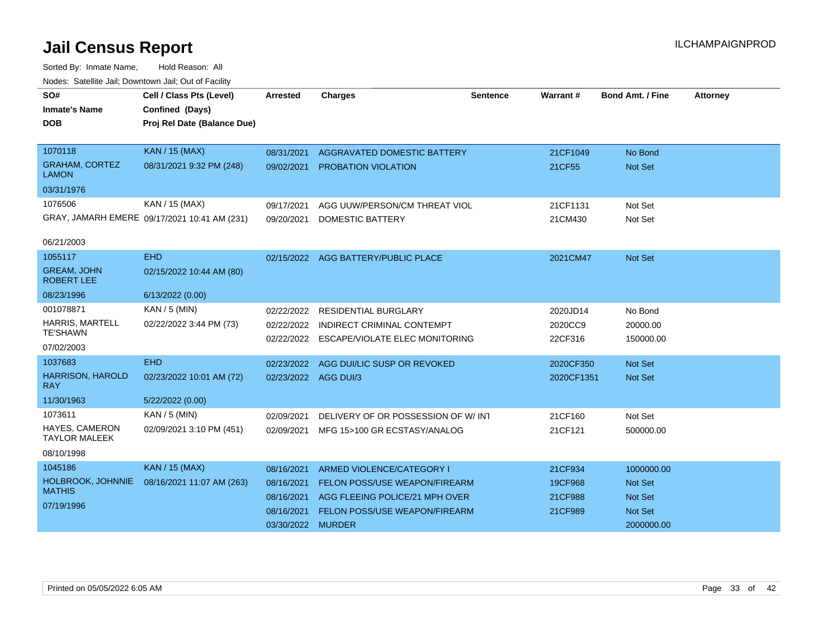| SO#                                     | Cell / Class Pts (Level)                     | <b>Arrested</b>      | <b>Charges</b>                            | <b>Sentence</b> | Warrant#   | <b>Bond Amt. / Fine</b> | <b>Attorney</b> |
|-----------------------------------------|----------------------------------------------|----------------------|-------------------------------------------|-----------------|------------|-------------------------|-----------------|
| <b>Inmate's Name</b>                    | Confined (Days)                              |                      |                                           |                 |            |                         |                 |
| <b>DOB</b>                              | Proj Rel Date (Balance Due)                  |                      |                                           |                 |            |                         |                 |
|                                         |                                              |                      |                                           |                 |            |                         |                 |
| 1070118                                 | <b>KAN / 15 (MAX)</b>                        | 08/31/2021           | AGGRAVATED DOMESTIC BATTERY               |                 | 21CF1049   | No Bond                 |                 |
| <b>GRAHAM, CORTEZ</b><br><b>LAMON</b>   | 08/31/2021 9:32 PM (248)                     | 09/02/2021           | <b>PROBATION VIOLATION</b>                |                 | 21CF55     | <b>Not Set</b>          |                 |
| 03/31/1976                              |                                              |                      |                                           |                 |            |                         |                 |
| 1076506                                 | KAN / 15 (MAX)                               | 09/17/2021           | AGG UUW/PERSON/CM THREAT VIOL             |                 | 21CF1131   | Not Set                 |                 |
|                                         | GRAY, JAMARH EMERE 09/17/2021 10:41 AM (231) | 09/20/2021           | DOMESTIC BATTERY                          |                 | 21CM430    | Not Set                 |                 |
| 06/21/2003                              |                                              |                      |                                           |                 |            |                         |                 |
| 1055117                                 | <b>EHD</b>                                   |                      | 02/15/2022 AGG BATTERY/PUBLIC PLACE       |                 | 2021CM47   | Not Set                 |                 |
| <b>GREAM, JOHN</b><br><b>ROBERT LEE</b> | 02/15/2022 10:44 AM (80)                     |                      |                                           |                 |            |                         |                 |
| 08/23/1996                              | 6/13/2022 (0.00)                             |                      |                                           |                 |            |                         |                 |
| 001078871                               | KAN / 5 (MIN)                                | 02/22/2022           | <b>RESIDENTIAL BURGLARY</b>               |                 | 2020JD14   | No Bond                 |                 |
| <b>HARRIS, MARTELL</b>                  | 02/22/2022 3:44 PM (73)                      | 02/22/2022           | INDIRECT CRIMINAL CONTEMPT                |                 | 2020CC9    | 20000.00                |                 |
| <b>TE'SHAWN</b>                         |                                              |                      | 02/22/2022 ESCAPE/VIOLATE ELEC MONITORING |                 | 22CF316    | 150000.00               |                 |
| 07/02/2003                              |                                              |                      |                                           |                 |            |                         |                 |
| 1037683                                 | <b>EHD</b>                                   | 02/23/2022           | AGG DUI/LIC SUSP OR REVOKED               |                 | 2020CF350  | Not Set                 |                 |
| <b>HARRISON, HAROLD</b><br><b>RAY</b>   | 02/23/2022 10:01 AM (72)                     | 02/23/2022 AGG DUI/3 |                                           |                 | 2020CF1351 | Not Set                 |                 |
| 11/30/1963                              | 5/22/2022 (0.00)                             |                      |                                           |                 |            |                         |                 |
| 1073611                                 | KAN / 5 (MIN)                                | 02/09/2021           | DELIVERY OF OR POSSESSION OF W/INT        |                 | 21CF160    | Not Set                 |                 |
| HAYES, CAMERON<br><b>TAYLOR MALEEK</b>  | 02/09/2021 3:10 PM (451)                     | 02/09/2021           | MFG 15>100 GR ECSTASY/ANALOG              |                 | 21CF121    | 500000.00               |                 |
| 08/10/1998                              |                                              |                      |                                           |                 |            |                         |                 |
| 1045186                                 | <b>KAN / 15 (MAX)</b>                        | 08/16/2021           | ARMED VIOLENCE/CATEGORY I                 |                 | 21CF934    | 1000000.00              |                 |
| HOLBROOK, JOHNNIE                       | 08/16/2021 11:07 AM (263)                    | 08/16/2021           | <b>FELON POSS/USE WEAPON/FIREARM</b>      |                 | 19CF968    | <b>Not Set</b>          |                 |
| <b>MATHIS</b>                           |                                              | 08/16/2021           | AGG FLEEING POLICE/21 MPH OVER            |                 | 21CF988    | <b>Not Set</b>          |                 |
| 07/19/1996                              |                                              | 08/16/2021           | FELON POSS/USE WEAPON/FIREARM             |                 | 21CF989    | <b>Not Set</b>          |                 |
|                                         |                                              | 03/30/2022 MURDER    |                                           |                 |            | 2000000.00              |                 |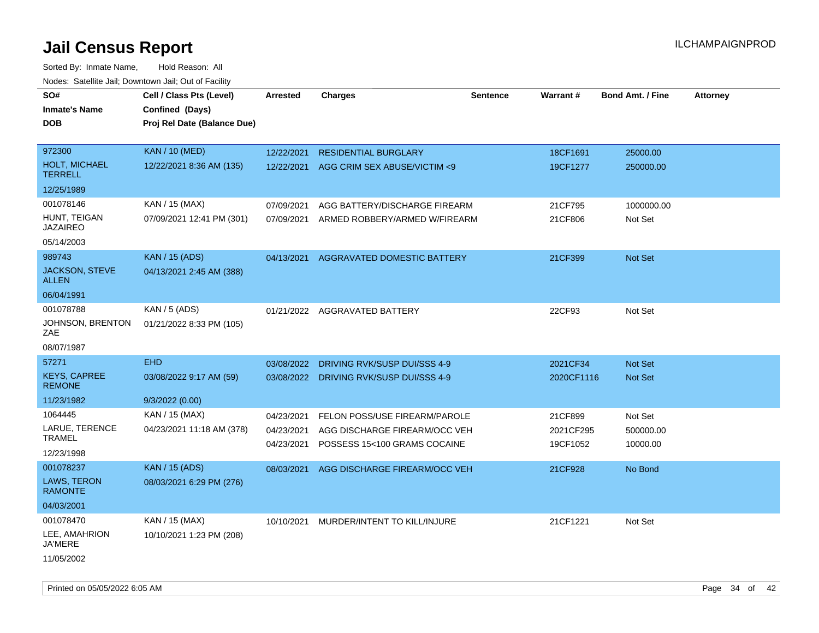Sorted By: Inmate Name, Hold Reason: All Nodes: Satellite Jail; Downtown Jail; Out of Facility

| rouce. Calcillic Jali, Downtown Jali, Out of Facility |                             |                 |                                         |                 |            |                         |                 |
|-------------------------------------------------------|-----------------------------|-----------------|-----------------------------------------|-----------------|------------|-------------------------|-----------------|
| SO#                                                   | Cell / Class Pts (Level)    | <b>Arrested</b> | <b>Charges</b>                          | <b>Sentence</b> | Warrant#   | <b>Bond Amt. / Fine</b> | <b>Attorney</b> |
| Inmate's Name                                         | Confined (Days)             |                 |                                         |                 |            |                         |                 |
| DOB                                                   | Proj Rel Date (Balance Due) |                 |                                         |                 |            |                         |                 |
|                                                       |                             |                 |                                         |                 |            |                         |                 |
| 972300                                                | <b>KAN / 10 (MED)</b>       | 12/22/2021      | <b>RESIDENTIAL BURGLARY</b>             |                 | 18CF1691   | 25000.00                |                 |
| HOLT, MICHAEL<br><b>TERRELL</b>                       | 12/22/2021 8:36 AM (135)    | 12/22/2021      | AGG CRIM SEX ABUSE/VICTIM <9            |                 | 19CF1277   | 250000.00               |                 |
| 12/25/1989                                            |                             |                 |                                         |                 |            |                         |                 |
| 001078146                                             | KAN / 15 (MAX)              | 07/09/2021      | AGG BATTERY/DISCHARGE FIREARM           |                 | 21CF795    | 1000000.00              |                 |
| HUNT, TEIGAN<br><b>JAZAIREO</b>                       | 07/09/2021 12:41 PM (301)   | 07/09/2021      | ARMED ROBBERY/ARMED W/FIREARM           |                 | 21CF806    | Not Set                 |                 |
| 05/14/2003                                            |                             |                 |                                         |                 |            |                         |                 |
| 989743                                                | <b>KAN / 15 (ADS)</b>       | 04/13/2021      | AGGRAVATED DOMESTIC BATTERY             |                 | 21CF399    | Not Set                 |                 |
| <b>JACKSON, STEVE</b><br><b>ALLEN</b>                 | 04/13/2021 2:45 AM (388)    |                 |                                         |                 |            |                         |                 |
| 06/04/1991                                            |                             |                 |                                         |                 |            |                         |                 |
| 001078788                                             | KAN / 5 (ADS)               |                 | 01/21/2022 AGGRAVATED BATTERY           |                 | 22CF93     | Not Set                 |                 |
| JOHNSON, BRENTON<br>ZAE                               | 01/21/2022 8:33 PM (105)    |                 |                                         |                 |            |                         |                 |
| 08/07/1987                                            |                             |                 |                                         |                 |            |                         |                 |
| 57271                                                 | <b>EHD</b>                  | 03/08/2022      | DRIVING RVK/SUSP DUI/SSS 4-9            |                 | 2021CF34   | <b>Not Set</b>          |                 |
| <b>KEYS, CAPREE</b><br><b>REMONE</b>                  | 03/08/2022 9:17 AM (59)     |                 | 03/08/2022 DRIVING RVK/SUSP DUI/SSS 4-9 |                 | 2020CF1116 | Not Set                 |                 |
| 11/23/1982                                            | 9/3/2022(0.00)              |                 |                                         |                 |            |                         |                 |
| 1064445                                               | KAN / 15 (MAX)              | 04/23/2021      | FELON POSS/USE FIREARM/PAROLE           |                 | 21CF899    | Not Set                 |                 |
| LARUE, TERENCE<br><b>TRAMEL</b>                       | 04/23/2021 11:18 AM (378)   | 04/23/2021      | AGG DISCHARGE FIREARM/OCC VEH           |                 | 2021CF295  | 500000.00               |                 |
| 12/23/1998                                            |                             | 04/23/2021      | POSSESS 15<100 GRAMS COCAINE            |                 | 19CF1052   | 10000.00                |                 |
| 001078237                                             | <b>KAN / 15 (ADS)</b>       | 08/03/2021      | AGG DISCHARGE FIREARM/OCC VEH           |                 | 21CF928    | No Bond                 |                 |
| LAWS, TERON<br><b>RAMONTE</b>                         | 08/03/2021 6:29 PM (276)    |                 |                                         |                 |            |                         |                 |
| 04/03/2001                                            |                             |                 |                                         |                 |            |                         |                 |
| 001078470                                             | KAN / 15 (MAX)              | 10/10/2021      | MURDER/INTENT TO KILL/INJURE            |                 | 21CF1221   | Not Set                 |                 |
| LEE, AMAHRION<br><b>JA'MERE</b>                       | 10/10/2021 1:23 PM (208)    |                 |                                         |                 |            |                         |                 |
| 11/05/2002                                            |                             |                 |                                         |                 |            |                         |                 |

Printed on 05/05/2022 6:05 AM **Page 34** of 42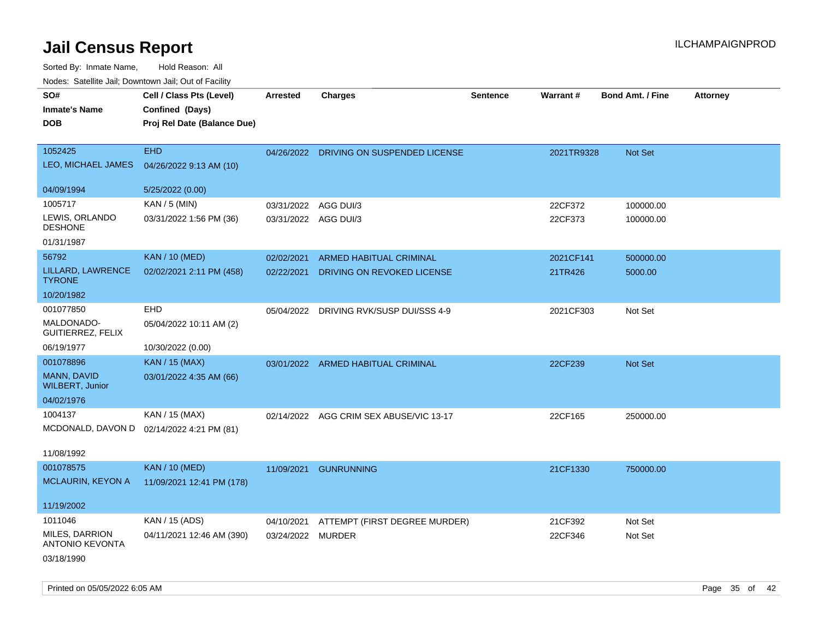| SO#<br><b>Inmate's Name</b><br><b>DOB</b> | Cell / Class Pts (Level)<br>Confined (Days)<br>Proj Rel Date (Balance Due) | <b>Arrested</b>      | Charges                       | <b>Sentence</b> | Warrant#   | Bond Amt. / Fine | <b>Attorney</b> |
|-------------------------------------------|----------------------------------------------------------------------------|----------------------|-------------------------------|-----------------|------------|------------------|-----------------|
| 1052425<br>LEO, MICHAEL JAMES             | <b>EHD</b><br>04/26/2022 9:13 AM (10)                                      | 04/26/2022           | DRIVING ON SUSPENDED LICENSE  |                 | 2021TR9328 | Not Set          |                 |
| 04/09/1994                                | 5/25/2022 (0.00)                                                           |                      |                               |                 |            |                  |                 |
| 1005717                                   | KAN / 5 (MIN)                                                              | 03/31/2022           | AGG DUI/3                     |                 | 22CF372    | 100000.00        |                 |
| LEWIS, ORLANDO<br><b>DESHONE</b>          | 03/31/2022 1:56 PM (36)                                                    | 03/31/2022 AGG DUI/3 |                               |                 | 22CF373    | 100000.00        |                 |
| 01/31/1987                                |                                                                            |                      |                               |                 |            |                  |                 |
| 56792                                     | <b>KAN / 10 (MED)</b>                                                      | 02/02/2021           | ARMED HABITUAL CRIMINAL       |                 | 2021CF141  | 500000.00        |                 |
| LILLARD, LAWRENCE<br><b>TYRONE</b>        | 02/02/2021 2:11 PM (458)                                                   | 02/22/2021           | DRIVING ON REVOKED LICENSE    |                 | 21TR426    | 5000.00          |                 |
| 10/20/1982                                |                                                                            |                      |                               |                 |            |                  |                 |
| 001077850                                 | EHD                                                                        | 05/04/2022           | DRIVING RVK/SUSP DUI/SSS 4-9  |                 | 2021CF303  | Not Set          |                 |
| MALDONADO-<br>GUITIERREZ, FELIX           | 05/04/2022 10:11 AM (2)                                                    |                      |                               |                 |            |                  |                 |
| 06/19/1977                                | 10/30/2022 (0.00)                                                          |                      |                               |                 |            |                  |                 |
| 001078896                                 | <b>KAN / 15 (MAX)</b>                                                      | 03/01/2022           | ARMED HABITUAL CRIMINAL       |                 | 22CF239    | Not Set          |                 |
| MANN, DAVID<br><b>WILBERT, Junior</b>     | 03/01/2022 4:35 AM (66)                                                    |                      |                               |                 |            |                  |                 |
| 04/02/1976                                |                                                                            |                      |                               |                 |            |                  |                 |
| 1004137                                   | KAN / 15 (MAX)                                                             | 02/14/2022           | AGG CRIM SEX ABUSE/VIC 13-17  |                 | 22CF165    | 250000.00        |                 |
| MCDONALD, DAVON D                         | 02/14/2022 4:21 PM (81)                                                    |                      |                               |                 |            |                  |                 |
| 11/08/1992                                |                                                                            |                      |                               |                 |            |                  |                 |
| 001078575                                 | <b>KAN / 10 (MED)</b>                                                      | 11/09/2021           | <b>GUNRUNNING</b>             |                 | 21CF1330   | 750000.00        |                 |
| MCLAURIN, KEYON A                         | 11/09/2021 12:41 PM (178)                                                  |                      |                               |                 |            |                  |                 |
| 11/19/2002                                |                                                                            |                      |                               |                 |            |                  |                 |
| 1011046                                   | KAN / 15 (ADS)                                                             | 04/10/2021           | ATTEMPT (FIRST DEGREE MURDER) |                 | 21CF392    | Not Set          |                 |
| MILES, DARRION<br><b>ANTONIO KEVONTA</b>  | 04/11/2021 12:46 AM (390)                                                  | 03/24/2022 MURDER    |                               |                 | 22CF346    | Not Set          |                 |
| 03/18/1990                                |                                                                            |                      |                               |                 |            |                  |                 |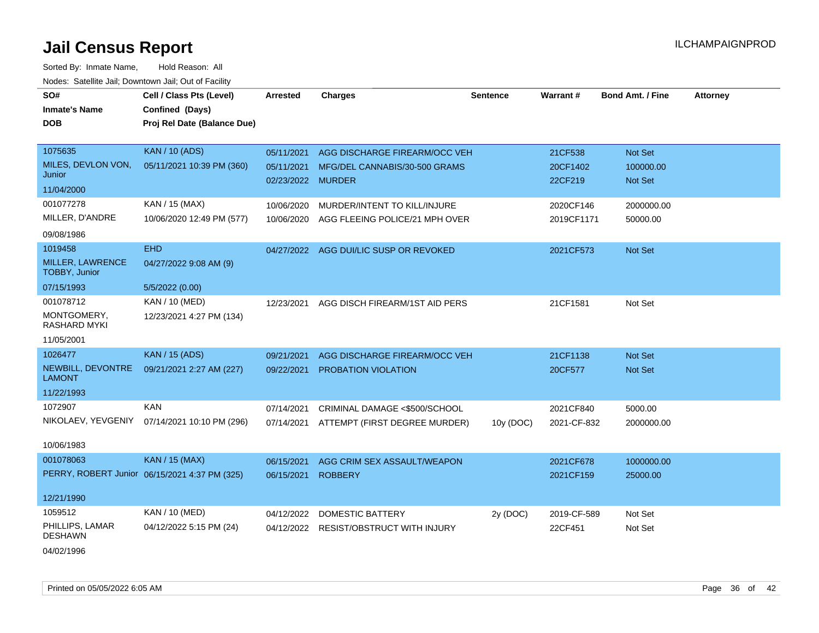| SO#<br><b>Inmate's Name</b>              | Cell / Class Pts (Level)<br>Confined (Days)   | <b>Arrested</b>   | <b>Charges</b>                           | <b>Sentence</b> | Warrant#            | <b>Bond Amt. / Fine</b> | <b>Attorney</b> |
|------------------------------------------|-----------------------------------------------|-------------------|------------------------------------------|-----------------|---------------------|-------------------------|-----------------|
|                                          |                                               |                   |                                          |                 |                     |                         |                 |
| <b>DOB</b>                               | Proj Rel Date (Balance Due)                   |                   |                                          |                 |                     |                         |                 |
|                                          |                                               |                   |                                          |                 |                     |                         |                 |
| 1075635                                  | <b>KAN / 10 (ADS)</b>                         | 05/11/2021        | AGG DISCHARGE FIREARM/OCC VEH            |                 | 21CF538             | Not Set                 |                 |
| MILES, DEVLON VON,<br>Junior             | 05/11/2021 10:39 PM (360)                     | 02/23/2022 MURDER | 05/11/2021 MFG/DEL CANNABIS/30-500 GRAMS |                 | 20CF1402<br>22CF219 | 100000.00<br>Not Set    |                 |
| 11/04/2000                               |                                               |                   |                                          |                 |                     |                         |                 |
| 001077278                                | KAN / 15 (MAX)                                | 10/06/2020        | MURDER/INTENT TO KILL/INJURE             |                 | 2020CF146           | 2000000.00              |                 |
| MILLER, D'ANDRE                          | 10/06/2020 12:49 PM (577)                     | 10/06/2020        | AGG FLEEING POLICE/21 MPH OVER           |                 | 2019CF1171          | 50000.00                |                 |
| 09/08/1986                               |                                               |                   |                                          |                 |                     |                         |                 |
| 1019458                                  | <b>EHD</b>                                    |                   | 04/27/2022 AGG DUI/LIC SUSP OR REVOKED   |                 | 2021CF573           | Not Set                 |                 |
| <b>MILLER, LAWRENCE</b><br>TOBBY, Junior | 04/27/2022 9:08 AM (9)                        |                   |                                          |                 |                     |                         |                 |
| 07/15/1993                               | 5/5/2022 (0.00)                               |                   |                                          |                 |                     |                         |                 |
| 001078712                                | KAN / 10 (MED)                                | 12/23/2021        | AGG DISCH FIREARM/1ST AID PERS           |                 | 21CF1581            | Not Set                 |                 |
| MONTGOMERY,<br>RASHARD MYKI              | 12/23/2021 4:27 PM (134)                      |                   |                                          |                 |                     |                         |                 |
| 11/05/2001                               |                                               |                   |                                          |                 |                     |                         |                 |
| 1026477                                  | <b>KAN / 15 (ADS)</b>                         | 09/21/2021        | AGG DISCHARGE FIREARM/OCC VEH            |                 | 21CF1138            | Not Set                 |                 |
| NEWBILL, DEVONTRE<br><b>LAMONT</b>       | 09/21/2021 2:27 AM (227)                      | 09/22/2021        | PROBATION VIOLATION                      |                 | 20CF577             | <b>Not Set</b>          |                 |
| 11/22/1993                               |                                               |                   |                                          |                 |                     |                         |                 |
| 1072907                                  | <b>KAN</b>                                    | 07/14/2021        | CRIMINAL DAMAGE <\$500/SCHOOL            |                 | 2021CF840           | 5000.00                 |                 |
| NIKOLAEV, YEVGENIY                       | 07/14/2021 10:10 PM (296)                     |                   | 07/14/2021 ATTEMPT (FIRST DEGREE MURDER) | 10y (DOC)       | 2021-CF-832         | 2000000.00              |                 |
| 10/06/1983                               |                                               |                   |                                          |                 |                     |                         |                 |
| 001078063                                | <b>KAN / 15 (MAX)</b>                         | 06/15/2021        | AGG CRIM SEX ASSAULT/WEAPON              |                 | 2021CF678           | 1000000.00              |                 |
|                                          | PERRY, ROBERT Junior 06/15/2021 4:37 PM (325) | 06/15/2021        | <b>ROBBERY</b>                           |                 | 2021CF159           | 25000.00                |                 |
| 12/21/1990                               |                                               |                   |                                          |                 |                     |                         |                 |
| 1059512                                  | KAN / 10 (MED)                                | 04/12/2022        | <b>DOMESTIC BATTERY</b>                  | 2y (DOC)        | 2019-CF-589         | Not Set                 |                 |
| PHILLIPS, LAMAR<br><b>DESHAWN</b>        | 04/12/2022 5:15 PM (24)                       |                   | 04/12/2022 RESIST/OBSTRUCT WITH INJURY   |                 | 22CF451             | Not Set                 |                 |
| 04/02/1996                               |                                               |                   |                                          |                 |                     |                         |                 |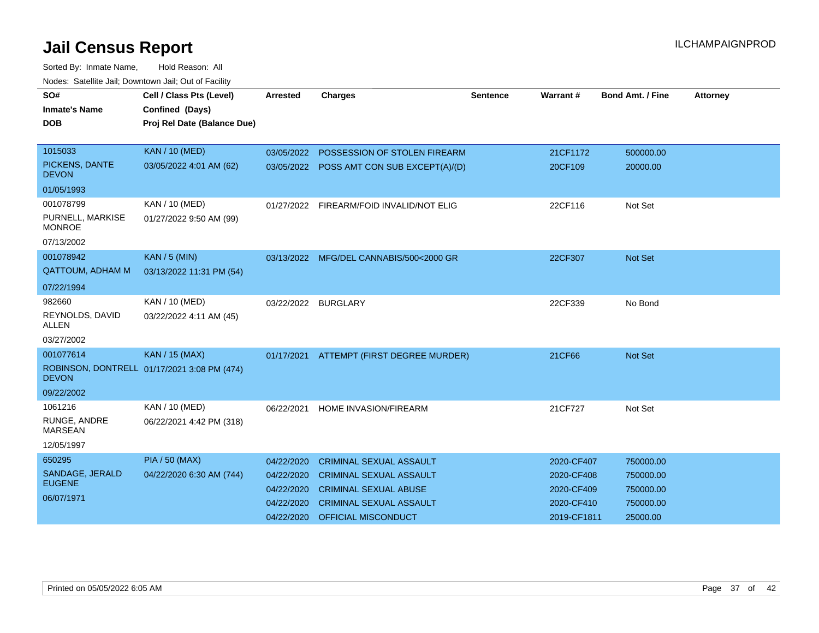| SO#<br><b>Inmate's Name</b><br><b>DOB</b> | Cell / Class Pts (Level)<br>Confined (Days)<br>Proj Rel Date (Balance Due) | <b>Arrested</b> | <b>Charges</b>                            | <b>Sentence</b> | Warrant #   | <b>Bond Amt. / Fine</b> | <b>Attorney</b> |
|-------------------------------------------|----------------------------------------------------------------------------|-----------------|-------------------------------------------|-----------------|-------------|-------------------------|-----------------|
|                                           |                                                                            |                 |                                           |                 |             |                         |                 |
| 1015033                                   | <b>KAN / 10 (MED)</b>                                                      | 03/05/2022      | POSSESSION OF STOLEN FIREARM              |                 | 21CF1172    | 500000.00               |                 |
| PICKENS, DANTE<br><b>DEVON</b>            | 03/05/2022 4:01 AM (62)                                                    |                 | 03/05/2022 POSS AMT CON SUB EXCEPT(A)/(D) |                 | 20CF109     | 20000.00                |                 |
| 01/05/1993                                |                                                                            |                 |                                           |                 |             |                         |                 |
| 001078799                                 | KAN / 10 (MED)                                                             | 01/27/2022      | FIREARM/FOID INVALID/NOT ELIG             |                 | 22CF116     | Not Set                 |                 |
| PURNELL, MARKISE<br><b>MONROE</b>         | 01/27/2022 9:50 AM (99)                                                    |                 |                                           |                 |             |                         |                 |
| 07/13/2002                                |                                                                            |                 |                                           |                 |             |                         |                 |
| 001078942                                 | <b>KAN / 5 (MIN)</b>                                                       |                 | 03/13/2022 MFG/DEL CANNABIS/500<2000 GR   |                 | 22CF307     | Not Set                 |                 |
| <b>QATTOUM, ADHAM M</b>                   | 03/13/2022 11:31 PM (54)                                                   |                 |                                           |                 |             |                         |                 |
| 07/22/1994                                |                                                                            |                 |                                           |                 |             |                         |                 |
| 982660                                    | KAN / 10 (MED)                                                             | 03/22/2022      | <b>BURGLARY</b>                           |                 | 22CF339     | No Bond                 |                 |
| REYNOLDS, DAVID<br><b>ALLEN</b>           | 03/22/2022 4:11 AM (45)                                                    |                 |                                           |                 |             |                         |                 |
| 03/27/2002                                |                                                                            |                 |                                           |                 |             |                         |                 |
| 001077614                                 | <b>KAN / 15 (MAX)</b>                                                      | 01/17/2021      | ATTEMPT (FIRST DEGREE MURDER)             |                 | 21CF66      | <b>Not Set</b>          |                 |
| <b>DEVON</b>                              | ROBINSON, DONTRELL 01/17/2021 3:08 PM (474)                                |                 |                                           |                 |             |                         |                 |
| 09/22/2002                                |                                                                            |                 |                                           |                 |             |                         |                 |
| 1061216                                   | KAN / 10 (MED)                                                             | 06/22/2021      | HOME INVASION/FIREARM                     |                 | 21CF727     | Not Set                 |                 |
| RUNGE, ANDRE<br><b>MARSEAN</b>            | 06/22/2021 4:42 PM (318)                                                   |                 |                                           |                 |             |                         |                 |
| 12/05/1997                                |                                                                            |                 |                                           |                 |             |                         |                 |
| 650295                                    | <b>PIA / 50 (MAX)</b>                                                      | 04/22/2020      | <b>CRIMINAL SEXUAL ASSAULT</b>            |                 | 2020-CF407  | 750000.00               |                 |
| SANDAGE, JERALD                           | 04/22/2020 6:30 AM (744)                                                   | 04/22/2020      | <b>CRIMINAL SEXUAL ASSAULT</b>            |                 | 2020-CF408  | 750000.00               |                 |
| <b>EUGENE</b>                             |                                                                            | 04/22/2020      | <b>CRIMINAL SEXUAL ABUSE</b>              |                 | 2020-CF409  | 750000.00               |                 |
| 06/07/1971                                |                                                                            | 04/22/2020      | <b>CRIMINAL SEXUAL ASSAULT</b>            |                 | 2020-CF410  | 750000.00               |                 |
|                                           |                                                                            | 04/22/2020      | OFFICIAL MISCONDUCT                       |                 | 2019-CF1811 | 25000.00                |                 |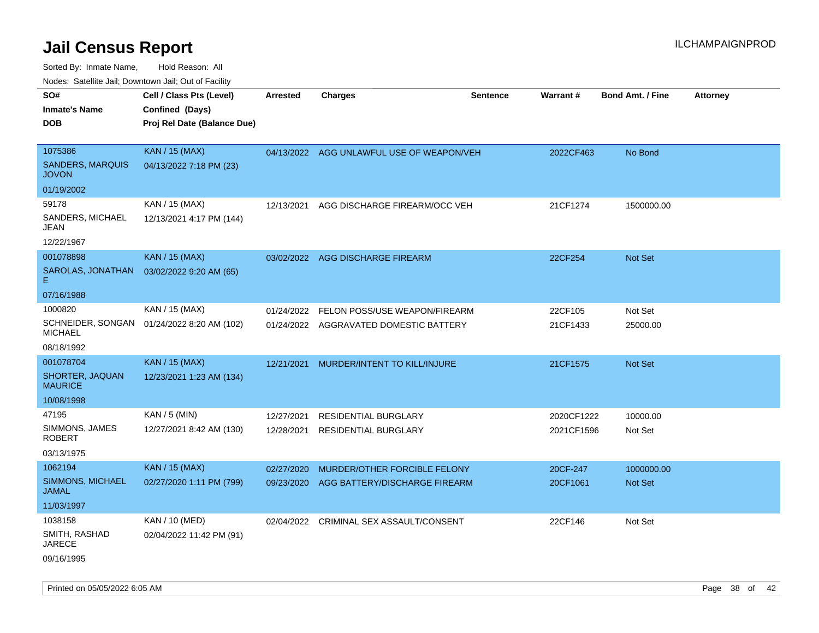| ivouss. Saleling Jali, Downlown Jali, Out of Facility |                             |                 |                                           |                 |            |                         |                 |
|-------------------------------------------------------|-----------------------------|-----------------|-------------------------------------------|-----------------|------------|-------------------------|-----------------|
| SO#                                                   | Cell / Class Pts (Level)    | <b>Arrested</b> | <b>Charges</b>                            | <b>Sentence</b> | Warrant#   | <b>Bond Amt. / Fine</b> | <b>Attorney</b> |
| <b>Inmate's Name</b>                                  | Confined (Days)             |                 |                                           |                 |            |                         |                 |
| <b>DOB</b>                                            | Proj Rel Date (Balance Due) |                 |                                           |                 |            |                         |                 |
|                                                       |                             |                 |                                           |                 |            |                         |                 |
| 1075386                                               | <b>KAN / 15 (MAX)</b>       |                 | 04/13/2022 AGG UNLAWFUL USE OF WEAPON/VEH |                 | 2022CF463  | No Bond                 |                 |
| <b>SANDERS, MARQUIS</b><br><b>JOVON</b>               | 04/13/2022 7:18 PM (23)     |                 |                                           |                 |            |                         |                 |
| 01/19/2002                                            |                             |                 |                                           |                 |            |                         |                 |
| 59178                                                 | KAN / 15 (MAX)              | 12/13/2021      | AGG DISCHARGE FIREARM/OCC VEH             |                 | 21CF1274   | 1500000.00              |                 |
| SANDERS, MICHAEL<br>JEAN                              | 12/13/2021 4:17 PM (144)    |                 |                                           |                 |            |                         |                 |
| 12/22/1967                                            |                             |                 |                                           |                 |            |                         |                 |
| 001078898                                             | <b>KAN / 15 (MAX)</b>       |                 | 03/02/2022 AGG DISCHARGE FIREARM          |                 | 22CF254    | Not Set                 |                 |
| SAROLAS, JONATHAN<br>E.                               | 03/02/2022 9:20 AM (65)     |                 |                                           |                 |            |                         |                 |
| 07/16/1988                                            |                             |                 |                                           |                 |            |                         |                 |
| 1000820                                               | KAN / 15 (MAX)              | 01/24/2022      | FELON POSS/USE WEAPON/FIREARM             |                 | 22CF105    | Not Set                 |                 |
| SCHNEIDER, SONGAN<br><b>MICHAEL</b>                   | 01/24/2022 8:20 AM (102)    |                 | 01/24/2022 AGGRAVATED DOMESTIC BATTERY    |                 | 21CF1433   | 25000.00                |                 |
| 08/18/1992                                            |                             |                 |                                           |                 |            |                         |                 |
| 001078704                                             | <b>KAN / 15 (MAX)</b>       |                 | 12/21/2021 MURDER/INTENT TO KILL/INJURE   |                 | 21CF1575   | Not Set                 |                 |
| SHORTER, JAQUAN<br><b>MAURICE</b>                     | 12/23/2021 1:23 AM (134)    |                 |                                           |                 |            |                         |                 |
| 10/08/1998                                            |                             |                 |                                           |                 |            |                         |                 |
| 47195                                                 | KAN / 5 (MIN)               | 12/27/2021      | <b>RESIDENTIAL BURGLARY</b>               |                 | 2020CF1222 | 10000.00                |                 |
| SIMMONS, JAMES<br><b>ROBERT</b>                       | 12/27/2021 8:42 AM (130)    | 12/28/2021      | RESIDENTIAL BURGLARY                      |                 | 2021CF1596 | Not Set                 |                 |
| 03/13/1975                                            |                             |                 |                                           |                 |            |                         |                 |
| 1062194                                               | <b>KAN</b> / 15 (MAX)       | 02/27/2020      | MURDER/OTHER FORCIBLE FELONY              |                 | 20CF-247   | 1000000.00              |                 |
| SIMMONS, MICHAEL<br><b>JAMAL</b>                      | 02/27/2020 1:11 PM (799)    |                 | 09/23/2020 AGG BATTERY/DISCHARGE FIREARM  |                 | 20CF1061   | Not Set                 |                 |
| 11/03/1997                                            |                             |                 |                                           |                 |            |                         |                 |
| 1038158                                               | KAN / 10 (MED)              |                 | 02/04/2022 CRIMINAL SEX ASSAULT/CONSENT   |                 | 22CF146    | Not Set                 |                 |
| SMITH, RASHAD<br><b>JARECE</b>                        | 02/04/2022 11:42 PM (91)    |                 |                                           |                 |            |                         |                 |
| 09/16/1995                                            |                             |                 |                                           |                 |            |                         |                 |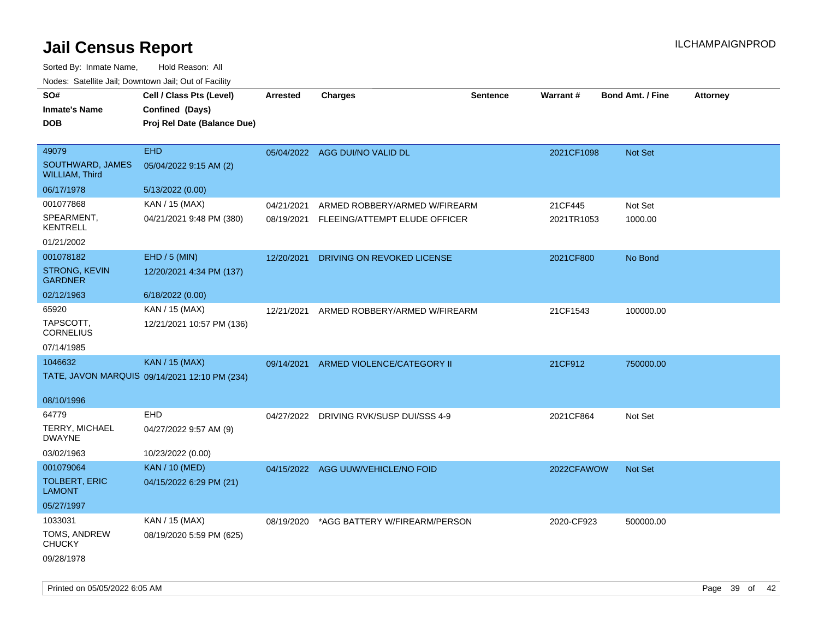| SO#<br>Inmate's Name                      | Cell / Class Pts (Level)<br>Confined (Days)   | <b>Arrested</b> | <b>Charges</b>                     | <b>Sentence</b> | Warrant#   | <b>Bond Amt. / Fine</b> | <b>Attorney</b> |
|-------------------------------------------|-----------------------------------------------|-----------------|------------------------------------|-----------------|------------|-------------------------|-----------------|
| DOB                                       | Proj Rel Date (Balance Due)                   |                 |                                    |                 |            |                         |                 |
| 49079                                     | <b>EHD</b>                                    |                 | 05/04/2022 AGG DUI/NO VALID DL     |                 | 2021CF1098 | <b>Not Set</b>          |                 |
| SOUTHWARD, JAMES<br><b>WILLIAM, Third</b> | 05/04/2022 9:15 AM (2)                        |                 |                                    |                 |            |                         |                 |
| 06/17/1978                                | 5/13/2022 (0.00)                              |                 |                                    |                 |            |                         |                 |
| 001077868                                 | KAN / 15 (MAX)                                | 04/21/2021      | ARMED ROBBERY/ARMED W/FIREARM      |                 | 21CF445    | Not Set                 |                 |
| SPEARMENT,<br><b>KENTRELL</b>             | 04/21/2021 9:48 PM (380)                      | 08/19/2021      | FLEEING/ATTEMPT ELUDE OFFICER      |                 | 2021TR1053 | 1000.00                 |                 |
| 01/21/2002                                |                                               |                 |                                    |                 |            |                         |                 |
| 001078182                                 | EHD / 5 (MIN)                                 | 12/20/2021      | DRIVING ON REVOKED LICENSE         |                 | 2021CF800  | No Bond                 |                 |
| <b>STRONG, KEVIN</b><br><b>GARDNER</b>    | 12/20/2021 4:34 PM (137)                      |                 |                                    |                 |            |                         |                 |
| 02/12/1963                                | 6/18/2022 (0.00)                              |                 |                                    |                 |            |                         |                 |
| 65920                                     | KAN / 15 (MAX)                                | 12/21/2021      | ARMED ROBBERY/ARMED W/FIREARM      |                 | 21CF1543   | 100000.00               |                 |
| TAPSCOTT,<br><b>CORNELIUS</b>             | 12/21/2021 10:57 PM (136)                     |                 |                                    |                 |            |                         |                 |
| 07/14/1985                                |                                               |                 |                                    |                 |            |                         |                 |
| 1046632                                   | <b>KAN / 15 (MAX)</b>                         | 09/14/2021      | ARMED VIOLENCE/CATEGORY II         |                 | 21CF912    | 750000.00               |                 |
|                                           | TATE, JAVON MARQUIS 09/14/2021 12:10 PM (234) |                 |                                    |                 |            |                         |                 |
| 08/10/1996                                |                                               |                 |                                    |                 |            |                         |                 |
| 64779                                     | <b>EHD</b>                                    | 04/27/2022      | DRIVING RVK/SUSP DUI/SSS 4-9       |                 | 2021CF864  | Not Set                 |                 |
| <b>TERRY, MICHAEL</b><br><b>DWAYNE</b>    | 04/27/2022 9:57 AM (9)                        |                 |                                    |                 |            |                         |                 |
| 03/02/1963                                | 10/23/2022 (0.00)                             |                 |                                    |                 |            |                         |                 |
| 001079064                                 | <b>KAN / 10 (MED)</b>                         |                 | 04/15/2022 AGG UUW/VEHICLE/NO FOID |                 | 2022CFAWOW | Not Set                 |                 |
| <b>TOLBERT, ERIC</b><br>LAMONT            | 04/15/2022 6:29 PM (21)                       |                 |                                    |                 |            |                         |                 |
| 05/27/1997                                |                                               |                 |                                    |                 |            |                         |                 |
| 1033031                                   | KAN / 15 (MAX)                                | 08/19/2020      | *AGG BATTERY W/FIREARM/PERSON      |                 | 2020-CF923 | 500000.00               |                 |
| TOMS, ANDREW<br><b>CHUCKY</b>             | 08/19/2020 5:59 PM (625)                      |                 |                                    |                 |            |                         |                 |
| 09/28/1978                                |                                               |                 |                                    |                 |            |                         |                 |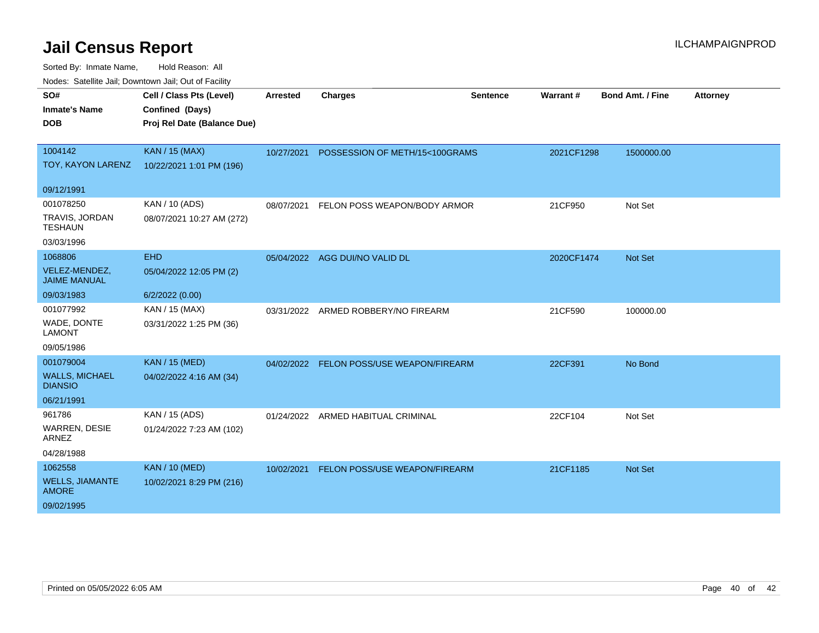| roaco. Catolino dall, Downtown dall, Out of Fability |                                             |                 |                                          |                 |            |                         |                 |
|------------------------------------------------------|---------------------------------------------|-----------------|------------------------------------------|-----------------|------------|-------------------------|-----------------|
| SO#<br><b>Inmate's Name</b>                          | Cell / Class Pts (Level)<br>Confined (Days) | <b>Arrested</b> | <b>Charges</b>                           | <b>Sentence</b> | Warrant#   | <b>Bond Amt. / Fine</b> | <b>Attorney</b> |
| <b>DOB</b>                                           | Proj Rel Date (Balance Due)                 |                 |                                          |                 |            |                         |                 |
|                                                      |                                             |                 |                                          |                 |            |                         |                 |
| 1004142                                              | <b>KAN / 15 (MAX)</b>                       | 10/27/2021      | POSSESSION OF METH/15<100GRAMS           |                 | 2021CF1298 | 1500000.00              |                 |
| TOY, KAYON LARENZ                                    | 10/22/2021 1:01 PM (196)                    |                 |                                          |                 |            |                         |                 |
| 09/12/1991                                           |                                             |                 |                                          |                 |            |                         |                 |
| 001078250                                            | KAN / 10 (ADS)                              | 08/07/2021      | FELON POSS WEAPON/BODY ARMOR             |                 | 21CF950    | Not Set                 |                 |
| TRAVIS, JORDAN<br><b>TESHAUN</b>                     | 08/07/2021 10:27 AM (272)                   |                 |                                          |                 |            |                         |                 |
| 03/03/1996                                           |                                             |                 |                                          |                 |            |                         |                 |
| 1068806                                              | <b>EHD</b>                                  | 05/04/2022      | AGG DUI/NO VALID DL                      |                 | 2020CF1474 | <b>Not Set</b>          |                 |
| VELEZ-MENDEZ,<br><b>JAIME MANUAL</b>                 | 05/04/2022 12:05 PM (2)                     |                 |                                          |                 |            |                         |                 |
| 09/03/1983                                           | 6/2/2022 (0.00)                             |                 |                                          |                 |            |                         |                 |
| 001077992                                            | KAN / 15 (MAX)                              | 03/31/2022      | ARMED ROBBERY/NO FIREARM                 |                 | 21CF590    | 100000.00               |                 |
| WADE, DONTE<br><b>LAMONT</b>                         | 03/31/2022 1:25 PM (36)                     |                 |                                          |                 |            |                         |                 |
| 09/05/1986                                           |                                             |                 |                                          |                 |            |                         |                 |
| 001079004                                            | <b>KAN / 15 (MED)</b>                       |                 | 04/02/2022 FELON POSS/USE WEAPON/FIREARM |                 | 22CF391    | No Bond                 |                 |
| <b>WALLS, MICHAEL</b><br><b>DIANSIO</b>              | 04/02/2022 4:16 AM (34)                     |                 |                                          |                 |            |                         |                 |
| 06/21/1991                                           |                                             |                 |                                          |                 |            |                         |                 |
| 961786                                               | KAN / 15 (ADS)                              | 01/24/2022      | ARMED HABITUAL CRIMINAL                  |                 | 22CF104    | Not Set                 |                 |
| <b>WARREN, DESIE</b><br>ARNEZ                        | 01/24/2022 7:23 AM (102)                    |                 |                                          |                 |            |                         |                 |
| 04/28/1988                                           |                                             |                 |                                          |                 |            |                         |                 |
| 1062558                                              | <b>KAN / 10 (MED)</b>                       | 10/02/2021      | FELON POSS/USE WEAPON/FIREARM            |                 | 21CF1185   | <b>Not Set</b>          |                 |
| <b>WELLS, JIAMANTE</b><br><b>AMORE</b>               | 10/02/2021 8:29 PM (216)                    |                 |                                          |                 |            |                         |                 |
| 09/02/1995                                           |                                             |                 |                                          |                 |            |                         |                 |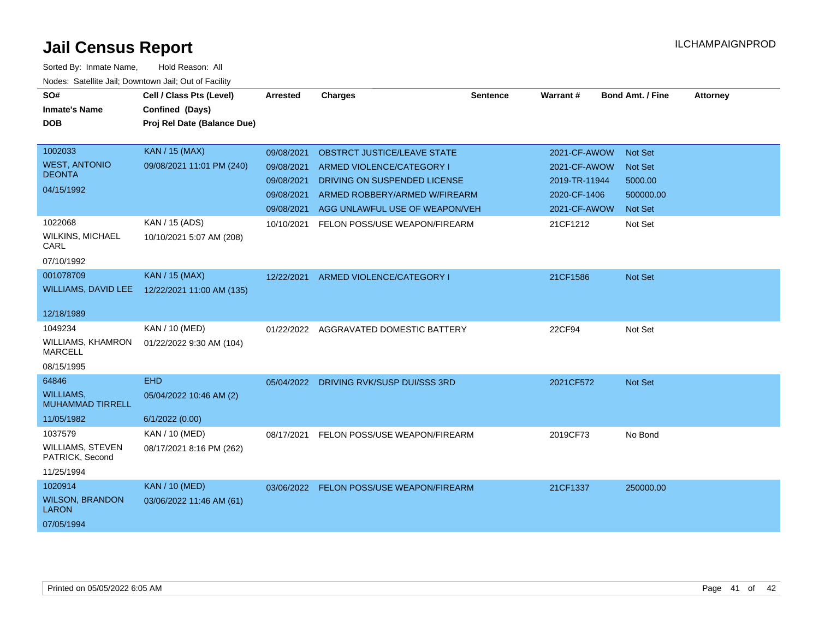| SO#<br><b>Inmate's Name</b><br><b>DOB</b>                                  | Cell / Class Pts (Level)<br>Confined (Days)             | <b>Arrested</b>                                                    | <b>Charges</b>                                                                                                                                                     | <b>Sentence</b> | Warrant#                                                                      | <b>Bond Amt. / Fine</b>                                                    | <b>Attorney</b> |
|----------------------------------------------------------------------------|---------------------------------------------------------|--------------------------------------------------------------------|--------------------------------------------------------------------------------------------------------------------------------------------------------------------|-----------------|-------------------------------------------------------------------------------|----------------------------------------------------------------------------|-----------------|
|                                                                            | Proj Rel Date (Balance Due)                             |                                                                    |                                                                                                                                                                    |                 |                                                                               |                                                                            |                 |
| 1002033<br><b>WEST, ANTONIO</b><br><b>DEONTA</b><br>04/15/1992             | <b>KAN / 15 (MAX)</b><br>09/08/2021 11:01 PM (240)      | 09/08/2021<br>09/08/2021<br>09/08/2021<br>09/08/2021<br>09/08/2021 | <b>OBSTRCT JUSTICE/LEAVE STATE</b><br>ARMED VIOLENCE/CATEGORY I<br>DRIVING ON SUSPENDED LICENSE<br>ARMED ROBBERY/ARMED W/FIREARM<br>AGG UNLAWFUL USE OF WEAPON/VEH |                 | 2021-CF-AWOW<br>2021-CF-AWOW<br>2019-TR-11944<br>2020-CF-1406<br>2021-CF-AWOW | <b>Not Set</b><br><b>Not Set</b><br>5000.00<br>500000.00<br><b>Not Set</b> |                 |
| 1022068<br><b>WILKINS, MICHAEL</b><br>CARL<br>07/10/1992                   | KAN / 15 (ADS)<br>10/10/2021 5:07 AM (208)              | 10/10/2021                                                         | FELON POSS/USE WEAPON/FIREARM                                                                                                                                      |                 | 21CF1212                                                                      | Not Set                                                                    |                 |
| 001078709<br><b>WILLIAMS, DAVID LEE</b>                                    | <b>KAN / 15 (MAX)</b><br>12/22/2021 11:00 AM (135)      | 12/22/2021                                                         | ARMED VIOLENCE/CATEGORY I                                                                                                                                          |                 | 21CF1586                                                                      | Not Set                                                                    |                 |
| 12/18/1989<br>1049234<br>WILLIAMS, KHAMRON<br><b>MARCELL</b><br>08/15/1995 | KAN / 10 (MED)<br>01/22/2022 9:30 AM (104)              | 01/22/2022                                                         | AGGRAVATED DOMESTIC BATTERY                                                                                                                                        |                 | 22CF94                                                                        | Not Set                                                                    |                 |
| 64846<br><b>WILLIAMS,</b><br><b>MUHAMMAD TIRRELL</b><br>11/05/1982         | <b>EHD</b><br>05/04/2022 10:46 AM (2)<br>6/1/2022(0.00) |                                                                    | 05/04/2022 DRIVING RVK/SUSP DUI/SSS 3RD                                                                                                                            |                 | 2021CF572                                                                     | <b>Not Set</b>                                                             |                 |
| 1037579<br><b>WILLIAMS, STEVEN</b><br>PATRICK, Second<br>11/25/1994        | KAN / 10 (MED)<br>08/17/2021 8:16 PM (262)              | 08/17/2021                                                         | FELON POSS/USE WEAPON/FIREARM                                                                                                                                      |                 | 2019CF73                                                                      | No Bond                                                                    |                 |
| 1020914<br><b>WILSON, BRANDON</b><br><b>LARON</b><br>07/05/1994            | <b>KAN / 10 (MED)</b><br>03/06/2022 11:46 AM (61)       | 03/06/2022                                                         | FELON POSS/USE WEAPON/FIREARM                                                                                                                                      |                 | 21CF1337                                                                      | 250000.00                                                                  |                 |